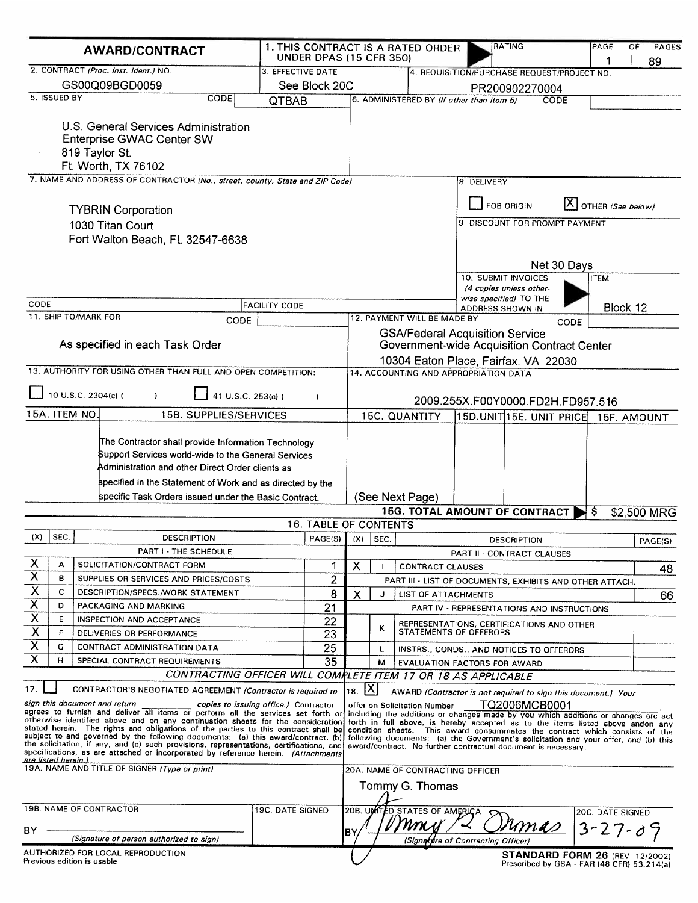| 3. EFFECTIVE DATE<br>4. REQUISITION/PURCHASE REQUEST/PROJECT NO.<br>GS00Q09BGD0059<br>See Block 20C<br>PR200902270004<br><b>CODE</b><br>6. ADMINISTERED BY (If other than Item 5)<br>QTBAB<br>CODE<br>U.S. General Services Administration<br>Enterprise GWAC Center SW<br>819 Taylor St.<br>Ft. Worth, TX 76102<br>7. NAME AND ADDRESS OF CONTRACTOR (No., street, county, State and ZIP Code)<br>8. DELIVERY<br>$[X]$ OTHER (See below)<br><b>FOB ORIGIN</b><br><b>TYBRIN Corporation</b><br>9. DISCOUNT FOR PROMPT PAYMENT<br>1030 Titan Court<br>Fort Walton Beach, FL 32547-6638<br>Net 30 Days<br>10. SUBMIT INVOICES<br><b>ITEM</b><br>(4 copies unless other-<br>wise specified) TO THE<br>CODE<br><b>FACILITY CODE</b><br>Block 12<br>ADDRESS SHOWN IN<br>11. SHIP TO/MARK FOR<br>12. PAYMENT WILL BE MADE BY<br>CODE<br>CODE<br><b>GSA/Federal Acquisition Service</b><br>As specified in each Task Order<br>Government-wide Acquisition Contract Center<br>10304 Eaton Place, Fairfax, VA 22030<br>13. AUTHORITY FOR USING OTHER THAN FULL AND OPEN COMPETITION:<br>14. ACCOUNTING AND APPROPRIATION DATA<br>10 U.S.C. 2304(c) (<br>41 U.S.C. 253(c) (<br>$\lambda$<br>2009.255X.F00Y0000.FD2H.FD957.516<br><b>15B. SUPPLIES/SERVICES</b><br><b>15C. QUANTITY</b><br>15D.UNIT 15E. UNIT PRICE<br>15F. AMOUNT<br>The Contractor shall provide Information Technology<br>Support Services world-wide to the General Services<br>Administration and other Direct Order clients as<br>specified in the Statement of Work and as directed by the<br>specific Task Orders issued under the Basic Contract.<br>(See Next Page)<br><b>15G. TOTAL AMOUNT OF CONTRACT</b><br>\$2,500 MRG<br>-S<br><b>16. TABLE OF CONTENTS</b><br>SEC.<br><b>DESCRIPTION</b><br>PAGE(S)<br>(X)<br>$ $ SEC.<br><b>DESCRIPTION</b><br><b>PART I - THE SCHEDULE</b><br>PART II - CONTRACT CLAUSES<br>X<br>А<br>SOLICITATION/CONTRACT FORM<br>1<br>Х<br><b>CONTRACT CLAUSES</b><br>$\overline{\mathsf{x}}$<br>в<br>2<br>SUPPLIES OR SERVICES AND PRICES/COSTS<br>PART III - LIST OF DOCUMENTS, EXHIBITS AND OTHER ATTACH.<br>$\overline{\mathsf{X}}$<br>c<br>DESCRIPTION/SPECS./WORK STATEMENT<br>8<br>х<br><b>LIST OF ATTACHMENTS</b><br>J<br>$\overline{\mathsf{X}}$<br>D<br>PACKAGING AND MARKING<br>21<br>PART IV - REPRESENTATIONS AND INSTRUCTIONS<br>$\overline{\mathsf{x}}$<br>E<br><b>INSPECTION AND ACCEPTANCE</b><br>22<br>REPRESENTATIONS, CERTIFICATIONS AND OTHER<br>κ<br>$\overline{\mathsf{x}}$<br>F<br>STATEMENTS OF OFFERORS<br>23<br>DELIVERIES OR PERFORMANCE<br>Χ<br>G<br>25<br>CONTRACT ADMINISTRATION DATA<br>L<br>INSTRS., CONDS., AND NOTICES TO OFFERORS<br>$\overline{\mathsf{x}}$<br>H<br>35<br>SPECIAL CONTRACT REQUIREMENTS<br>м<br>EVALUATION FACTORS FOR AWARD<br>CONTRACTING OFFICER WILL COMPLETE ITEM 17 OR 18 AS APPLICABLE<br>18. $X$<br>CONTRACTOR'S NEGOTIATED AGREEMENT (Contractor is required to<br>AWARD (Contractor is not required to sign this document.) Your<br>TQ2006MCB0001<br>copies to issuing office.) Contractor<br>offer on Solicitation Number<br>agrees to furnish and deliver all items or perform all the services set forth or including the additions or changes made by you which additions or changes are set<br>otherwise identified above and on any continuation sheets for the consideration forth in full above, is hereby accepted as to the items listed above andon any<br>stated herein. The rights and obligations of the parties to this contract shall be condition sheets. This award consummates the contract which consists of the<br>subject to and governed by the following documents: (a) this award/contract, (b)<br>following documents: (a) the Government's solicitation and your offer, and (b) this<br>the solicitation, if any, and (c) such provisions, representations, certifications, and<br>award/contract. No further contractual document is necessary.<br>specifications, as are attached or incorporated by reference herein. (Attachments<br>20A. NAME OF CONTRACTING OFFICER<br>Tommy G. Thomas<br>19B. NAME OF CONTRACTOR<br>19C. DATE SIGNED<br>20B. UNITED STATES OF AMERICA<br>20C. DATE SIGNED<br>mm<br>$3 - 27 - 09$<br>'umas<br>B۲<br>(Signature of person authorized to sign)<br>(Signeture of Contracting Officer) | <b>AWARD/CONTRACT</b>                                                                                         | <b>UNDER DPAS (15 CFR 350)</b> |  | 1. THIS CONTRACT IS A RATED ORDER | <b>RATING</b> | PAGE<br>1 | OF<br><b>PAGES</b><br>89 |
|--------------------------------------------------------------------------------------------------------------------------------------------------------------------------------------------------------------------------------------------------------------------------------------------------------------------------------------------------------------------------------------------------------------------------------------------------------------------------------------------------------------------------------------------------------------------------------------------------------------------------------------------------------------------------------------------------------------------------------------------------------------------------------------------------------------------------------------------------------------------------------------------------------------------------------------------------------------------------------------------------------------------------------------------------------------------------------------------------------------------------------------------------------------------------------------------------------------------------------------------------------------------------------------------------------------------------------------------------------------------------------------------------------------------------------------------------------------------------------------------------------------------------------------------------------------------------------------------------------------------------------------------------------------------------------------------------------------------------------------------------------------------------------------------------------------------------------------------------------------------------------------------------------------------------------------------------------------------------------------------------------------------------------------------------------------------------------------------------------------------------------------------------------------------------------------------------------------------------------------------------------------------------------------------------------------------------------------------------------------------------------------------------------------------------------------------------------------------------------------------------------------------------------------------------------------------------------------------------------------------------------------------------------------------------------------------------------------------------------------------------------------------------------------------------------------------------------------------------------------------------------------------------------------------------------------------------------------------------------------------------------------------------------------------------------------------------------------------------------------------------------------------------------------------------------------------------------------------------------------------------------------------------------------------------------------------------------------------------------------------------------------------------------------------------------------------------------------------------------------------------------------------------------------------------------------------------------------------------------------------------------------------------------------------------------------------------------------------------------------------------------------------------------------------------------------------------------------------------------------------------------------------------------------------------------------------------------------------------------------------------------------------------------------------------------------------------------------------------------------------------------------------------------------------------------------------------------------------------------------------------------------------------------------------------------------|---------------------------------------------------------------------------------------------------------------|--------------------------------|--|-----------------------------------|---------------|-----------|--------------------------|
|                                                                                                                                                                                                                                                                                                                                                                                                                                                                                                                                                                                                                                                                                                                                                                                                                                                                                                                                                                                                                                                                                                                                                                                                                                                                                                                                                                                                                                                                                                                                                                                                                                                                                                                                                                                                                                                                                                                                                                                                                                                                                                                                                                                                                                                                                                                                                                                                                                                                                                                                                                                                                                                                                                                                                                                                                                                                                                                                                                                                                                                                                                                                                                                                                                                                                                                                                                                                                                                                                                                                                                                                                                                                                                                                                                                                                                                                                                                                                                                                                                                                                                                                                                                                                                                                                                              | 2. CONTRACT (Proc. Inst. Ident.) NO.                                                                          |                                |  |                                   |               |           |                          |
|                                                                                                                                                                                                                                                                                                                                                                                                                                                                                                                                                                                                                                                                                                                                                                                                                                                                                                                                                                                                                                                                                                                                                                                                                                                                                                                                                                                                                                                                                                                                                                                                                                                                                                                                                                                                                                                                                                                                                                                                                                                                                                                                                                                                                                                                                                                                                                                                                                                                                                                                                                                                                                                                                                                                                                                                                                                                                                                                                                                                                                                                                                                                                                                                                                                                                                                                                                                                                                                                                                                                                                                                                                                                                                                                                                                                                                                                                                                                                                                                                                                                                                                                                                                                                                                                                                              |                                                                                                               |                                |  |                                   |               |           |                          |
|                                                                                                                                                                                                                                                                                                                                                                                                                                                                                                                                                                                                                                                                                                                                                                                                                                                                                                                                                                                                                                                                                                                                                                                                                                                                                                                                                                                                                                                                                                                                                                                                                                                                                                                                                                                                                                                                                                                                                                                                                                                                                                                                                                                                                                                                                                                                                                                                                                                                                                                                                                                                                                                                                                                                                                                                                                                                                                                                                                                                                                                                                                                                                                                                                                                                                                                                                                                                                                                                                                                                                                                                                                                                                                                                                                                                                                                                                                                                                                                                                                                                                                                                                                                                                                                                                                              | 5. ISSUED BY                                                                                                  |                                |  |                                   |               |           |                          |
|                                                                                                                                                                                                                                                                                                                                                                                                                                                                                                                                                                                                                                                                                                                                                                                                                                                                                                                                                                                                                                                                                                                                                                                                                                                                                                                                                                                                                                                                                                                                                                                                                                                                                                                                                                                                                                                                                                                                                                                                                                                                                                                                                                                                                                                                                                                                                                                                                                                                                                                                                                                                                                                                                                                                                                                                                                                                                                                                                                                                                                                                                                                                                                                                                                                                                                                                                                                                                                                                                                                                                                                                                                                                                                                                                                                                                                                                                                                                                                                                                                                                                                                                                                                                                                                                                                              |                                                                                                               |                                |  |                                   |               |           |                          |
|                                                                                                                                                                                                                                                                                                                                                                                                                                                                                                                                                                                                                                                                                                                                                                                                                                                                                                                                                                                                                                                                                                                                                                                                                                                                                                                                                                                                                                                                                                                                                                                                                                                                                                                                                                                                                                                                                                                                                                                                                                                                                                                                                                                                                                                                                                                                                                                                                                                                                                                                                                                                                                                                                                                                                                                                                                                                                                                                                                                                                                                                                                                                                                                                                                                                                                                                                                                                                                                                                                                                                                                                                                                                                                                                                                                                                                                                                                                                                                                                                                                                                                                                                                                                                                                                                                              |                                                                                                               |                                |  |                                   |               |           |                          |
|                                                                                                                                                                                                                                                                                                                                                                                                                                                                                                                                                                                                                                                                                                                                                                                                                                                                                                                                                                                                                                                                                                                                                                                                                                                                                                                                                                                                                                                                                                                                                                                                                                                                                                                                                                                                                                                                                                                                                                                                                                                                                                                                                                                                                                                                                                                                                                                                                                                                                                                                                                                                                                                                                                                                                                                                                                                                                                                                                                                                                                                                                                                                                                                                                                                                                                                                                                                                                                                                                                                                                                                                                                                                                                                                                                                                                                                                                                                                                                                                                                                                                                                                                                                                                                                                                                              |                                                                                                               |                                |  |                                   |               |           |                          |
|                                                                                                                                                                                                                                                                                                                                                                                                                                                                                                                                                                                                                                                                                                                                                                                                                                                                                                                                                                                                                                                                                                                                                                                                                                                                                                                                                                                                                                                                                                                                                                                                                                                                                                                                                                                                                                                                                                                                                                                                                                                                                                                                                                                                                                                                                                                                                                                                                                                                                                                                                                                                                                                                                                                                                                                                                                                                                                                                                                                                                                                                                                                                                                                                                                                                                                                                                                                                                                                                                                                                                                                                                                                                                                                                                                                                                                                                                                                                                                                                                                                                                                                                                                                                                                                                                                              |                                                                                                               |                                |  |                                   |               |           |                          |
|                                                                                                                                                                                                                                                                                                                                                                                                                                                                                                                                                                                                                                                                                                                                                                                                                                                                                                                                                                                                                                                                                                                                                                                                                                                                                                                                                                                                                                                                                                                                                                                                                                                                                                                                                                                                                                                                                                                                                                                                                                                                                                                                                                                                                                                                                                                                                                                                                                                                                                                                                                                                                                                                                                                                                                                                                                                                                                                                                                                                                                                                                                                                                                                                                                                                                                                                                                                                                                                                                                                                                                                                                                                                                                                                                                                                                                                                                                                                                                                                                                                                                                                                                                                                                                                                                                              |                                                                                                               |                                |  |                                   |               |           |                          |
|                                                                                                                                                                                                                                                                                                                                                                                                                                                                                                                                                                                                                                                                                                                                                                                                                                                                                                                                                                                                                                                                                                                                                                                                                                                                                                                                                                                                                                                                                                                                                                                                                                                                                                                                                                                                                                                                                                                                                                                                                                                                                                                                                                                                                                                                                                                                                                                                                                                                                                                                                                                                                                                                                                                                                                                                                                                                                                                                                                                                                                                                                                                                                                                                                                                                                                                                                                                                                                                                                                                                                                                                                                                                                                                                                                                                                                                                                                                                                                                                                                                                                                                                                                                                                                                                                                              |                                                                                                               |                                |  |                                   |               |           |                          |
|                                                                                                                                                                                                                                                                                                                                                                                                                                                                                                                                                                                                                                                                                                                                                                                                                                                                                                                                                                                                                                                                                                                                                                                                                                                                                                                                                                                                                                                                                                                                                                                                                                                                                                                                                                                                                                                                                                                                                                                                                                                                                                                                                                                                                                                                                                                                                                                                                                                                                                                                                                                                                                                                                                                                                                                                                                                                                                                                                                                                                                                                                                                                                                                                                                                                                                                                                                                                                                                                                                                                                                                                                                                                                                                                                                                                                                                                                                                                                                                                                                                                                                                                                                                                                                                                                                              |                                                                                                               |                                |  |                                   |               |           |                          |
|                                                                                                                                                                                                                                                                                                                                                                                                                                                                                                                                                                                                                                                                                                                                                                                                                                                                                                                                                                                                                                                                                                                                                                                                                                                                                                                                                                                                                                                                                                                                                                                                                                                                                                                                                                                                                                                                                                                                                                                                                                                                                                                                                                                                                                                                                                                                                                                                                                                                                                                                                                                                                                                                                                                                                                                                                                                                                                                                                                                                                                                                                                                                                                                                                                                                                                                                                                                                                                                                                                                                                                                                                                                                                                                                                                                                                                                                                                                                                                                                                                                                                                                                                                                                                                                                                                              |                                                                                                               |                                |  |                                   |               |           |                          |
|                                                                                                                                                                                                                                                                                                                                                                                                                                                                                                                                                                                                                                                                                                                                                                                                                                                                                                                                                                                                                                                                                                                                                                                                                                                                                                                                                                                                                                                                                                                                                                                                                                                                                                                                                                                                                                                                                                                                                                                                                                                                                                                                                                                                                                                                                                                                                                                                                                                                                                                                                                                                                                                                                                                                                                                                                                                                                                                                                                                                                                                                                                                                                                                                                                                                                                                                                                                                                                                                                                                                                                                                                                                                                                                                                                                                                                                                                                                                                                                                                                                                                                                                                                                                                                                                                                              |                                                                                                               |                                |  |                                   |               |           |                          |
|                                                                                                                                                                                                                                                                                                                                                                                                                                                                                                                                                                                                                                                                                                                                                                                                                                                                                                                                                                                                                                                                                                                                                                                                                                                                                                                                                                                                                                                                                                                                                                                                                                                                                                                                                                                                                                                                                                                                                                                                                                                                                                                                                                                                                                                                                                                                                                                                                                                                                                                                                                                                                                                                                                                                                                                                                                                                                                                                                                                                                                                                                                                                                                                                                                                                                                                                                                                                                                                                                                                                                                                                                                                                                                                                                                                                                                                                                                                                                                                                                                                                                                                                                                                                                                                                                                              |                                                                                                               |                                |  |                                   |               |           |                          |
|                                                                                                                                                                                                                                                                                                                                                                                                                                                                                                                                                                                                                                                                                                                                                                                                                                                                                                                                                                                                                                                                                                                                                                                                                                                                                                                                                                                                                                                                                                                                                                                                                                                                                                                                                                                                                                                                                                                                                                                                                                                                                                                                                                                                                                                                                                                                                                                                                                                                                                                                                                                                                                                                                                                                                                                                                                                                                                                                                                                                                                                                                                                                                                                                                                                                                                                                                                                                                                                                                                                                                                                                                                                                                                                                                                                                                                                                                                                                                                                                                                                                                                                                                                                                                                                                                                              |                                                                                                               |                                |  |                                   |               |           |                          |
|                                                                                                                                                                                                                                                                                                                                                                                                                                                                                                                                                                                                                                                                                                                                                                                                                                                                                                                                                                                                                                                                                                                                                                                                                                                                                                                                                                                                                                                                                                                                                                                                                                                                                                                                                                                                                                                                                                                                                                                                                                                                                                                                                                                                                                                                                                                                                                                                                                                                                                                                                                                                                                                                                                                                                                                                                                                                                                                                                                                                                                                                                                                                                                                                                                                                                                                                                                                                                                                                                                                                                                                                                                                                                                                                                                                                                                                                                                                                                                                                                                                                                                                                                                                                                                                                                                              | 15A. ITEM NO                                                                                                  |                                |  |                                   |               |           |                          |
|                                                                                                                                                                                                                                                                                                                                                                                                                                                                                                                                                                                                                                                                                                                                                                                                                                                                                                                                                                                                                                                                                                                                                                                                                                                                                                                                                                                                                                                                                                                                                                                                                                                                                                                                                                                                                                                                                                                                                                                                                                                                                                                                                                                                                                                                                                                                                                                                                                                                                                                                                                                                                                                                                                                                                                                                                                                                                                                                                                                                                                                                                                                                                                                                                                                                                                                                                                                                                                                                                                                                                                                                                                                                                                                                                                                                                                                                                                                                                                                                                                                                                                                                                                                                                                                                                                              |                                                                                                               |                                |  |                                   |               |           |                          |
|                                                                                                                                                                                                                                                                                                                                                                                                                                                                                                                                                                                                                                                                                                                                                                                                                                                                                                                                                                                                                                                                                                                                                                                                                                                                                                                                                                                                                                                                                                                                                                                                                                                                                                                                                                                                                                                                                                                                                                                                                                                                                                                                                                                                                                                                                                                                                                                                                                                                                                                                                                                                                                                                                                                                                                                                                                                                                                                                                                                                                                                                                                                                                                                                                                                                                                                                                                                                                                                                                                                                                                                                                                                                                                                                                                                                                                                                                                                                                                                                                                                                                                                                                                                                                                                                                                              |                                                                                                               |                                |  |                                   |               |           |                          |
|                                                                                                                                                                                                                                                                                                                                                                                                                                                                                                                                                                                                                                                                                                                                                                                                                                                                                                                                                                                                                                                                                                                                                                                                                                                                                                                                                                                                                                                                                                                                                                                                                                                                                                                                                                                                                                                                                                                                                                                                                                                                                                                                                                                                                                                                                                                                                                                                                                                                                                                                                                                                                                                                                                                                                                                                                                                                                                                                                                                                                                                                                                                                                                                                                                                                                                                                                                                                                                                                                                                                                                                                                                                                                                                                                                                                                                                                                                                                                                                                                                                                                                                                                                                                                                                                                                              | (X)                                                                                                           |                                |  |                                   |               |           | PAGE(S)                  |
|                                                                                                                                                                                                                                                                                                                                                                                                                                                                                                                                                                                                                                                                                                                                                                                                                                                                                                                                                                                                                                                                                                                                                                                                                                                                                                                                                                                                                                                                                                                                                                                                                                                                                                                                                                                                                                                                                                                                                                                                                                                                                                                                                                                                                                                                                                                                                                                                                                                                                                                                                                                                                                                                                                                                                                                                                                                                                                                                                                                                                                                                                                                                                                                                                                                                                                                                                                                                                                                                                                                                                                                                                                                                                                                                                                                                                                                                                                                                                                                                                                                                                                                                                                                                                                                                                                              |                                                                                                               |                                |  |                                   |               |           |                          |
|                                                                                                                                                                                                                                                                                                                                                                                                                                                                                                                                                                                                                                                                                                                                                                                                                                                                                                                                                                                                                                                                                                                                                                                                                                                                                                                                                                                                                                                                                                                                                                                                                                                                                                                                                                                                                                                                                                                                                                                                                                                                                                                                                                                                                                                                                                                                                                                                                                                                                                                                                                                                                                                                                                                                                                                                                                                                                                                                                                                                                                                                                                                                                                                                                                                                                                                                                                                                                                                                                                                                                                                                                                                                                                                                                                                                                                                                                                                                                                                                                                                                                                                                                                                                                                                                                                              |                                                                                                               |                                |  |                                   |               |           | 48                       |
|                                                                                                                                                                                                                                                                                                                                                                                                                                                                                                                                                                                                                                                                                                                                                                                                                                                                                                                                                                                                                                                                                                                                                                                                                                                                                                                                                                                                                                                                                                                                                                                                                                                                                                                                                                                                                                                                                                                                                                                                                                                                                                                                                                                                                                                                                                                                                                                                                                                                                                                                                                                                                                                                                                                                                                                                                                                                                                                                                                                                                                                                                                                                                                                                                                                                                                                                                                                                                                                                                                                                                                                                                                                                                                                                                                                                                                                                                                                                                                                                                                                                                                                                                                                                                                                                                                              |                                                                                                               |                                |  |                                   |               |           |                          |
|                                                                                                                                                                                                                                                                                                                                                                                                                                                                                                                                                                                                                                                                                                                                                                                                                                                                                                                                                                                                                                                                                                                                                                                                                                                                                                                                                                                                                                                                                                                                                                                                                                                                                                                                                                                                                                                                                                                                                                                                                                                                                                                                                                                                                                                                                                                                                                                                                                                                                                                                                                                                                                                                                                                                                                                                                                                                                                                                                                                                                                                                                                                                                                                                                                                                                                                                                                                                                                                                                                                                                                                                                                                                                                                                                                                                                                                                                                                                                                                                                                                                                                                                                                                                                                                                                                              |                                                                                                               |                                |  |                                   |               |           | 66                       |
|                                                                                                                                                                                                                                                                                                                                                                                                                                                                                                                                                                                                                                                                                                                                                                                                                                                                                                                                                                                                                                                                                                                                                                                                                                                                                                                                                                                                                                                                                                                                                                                                                                                                                                                                                                                                                                                                                                                                                                                                                                                                                                                                                                                                                                                                                                                                                                                                                                                                                                                                                                                                                                                                                                                                                                                                                                                                                                                                                                                                                                                                                                                                                                                                                                                                                                                                                                                                                                                                                                                                                                                                                                                                                                                                                                                                                                                                                                                                                                                                                                                                                                                                                                                                                                                                                                              |                                                                                                               |                                |  |                                   |               |           |                          |
|                                                                                                                                                                                                                                                                                                                                                                                                                                                                                                                                                                                                                                                                                                                                                                                                                                                                                                                                                                                                                                                                                                                                                                                                                                                                                                                                                                                                                                                                                                                                                                                                                                                                                                                                                                                                                                                                                                                                                                                                                                                                                                                                                                                                                                                                                                                                                                                                                                                                                                                                                                                                                                                                                                                                                                                                                                                                                                                                                                                                                                                                                                                                                                                                                                                                                                                                                                                                                                                                                                                                                                                                                                                                                                                                                                                                                                                                                                                                                                                                                                                                                                                                                                                                                                                                                                              |                                                                                                               |                                |  |                                   |               |           |                          |
|                                                                                                                                                                                                                                                                                                                                                                                                                                                                                                                                                                                                                                                                                                                                                                                                                                                                                                                                                                                                                                                                                                                                                                                                                                                                                                                                                                                                                                                                                                                                                                                                                                                                                                                                                                                                                                                                                                                                                                                                                                                                                                                                                                                                                                                                                                                                                                                                                                                                                                                                                                                                                                                                                                                                                                                                                                                                                                                                                                                                                                                                                                                                                                                                                                                                                                                                                                                                                                                                                                                                                                                                                                                                                                                                                                                                                                                                                                                                                                                                                                                                                                                                                                                                                                                                                                              |                                                                                                               |                                |  |                                   |               |           |                          |
|                                                                                                                                                                                                                                                                                                                                                                                                                                                                                                                                                                                                                                                                                                                                                                                                                                                                                                                                                                                                                                                                                                                                                                                                                                                                                                                                                                                                                                                                                                                                                                                                                                                                                                                                                                                                                                                                                                                                                                                                                                                                                                                                                                                                                                                                                                                                                                                                                                                                                                                                                                                                                                                                                                                                                                                                                                                                                                                                                                                                                                                                                                                                                                                                                                                                                                                                                                                                                                                                                                                                                                                                                                                                                                                                                                                                                                                                                                                                                                                                                                                                                                                                                                                                                                                                                                              |                                                                                                               |                                |  |                                   |               |           |                          |
|                                                                                                                                                                                                                                                                                                                                                                                                                                                                                                                                                                                                                                                                                                                                                                                                                                                                                                                                                                                                                                                                                                                                                                                                                                                                                                                                                                                                                                                                                                                                                                                                                                                                                                                                                                                                                                                                                                                                                                                                                                                                                                                                                                                                                                                                                                                                                                                                                                                                                                                                                                                                                                                                                                                                                                                                                                                                                                                                                                                                                                                                                                                                                                                                                                                                                                                                                                                                                                                                                                                                                                                                                                                                                                                                                                                                                                                                                                                                                                                                                                                                                                                                                                                                                                                                                                              |                                                                                                               |                                |  |                                   |               |           |                          |
|                                                                                                                                                                                                                                                                                                                                                                                                                                                                                                                                                                                                                                                                                                                                                                                                                                                                                                                                                                                                                                                                                                                                                                                                                                                                                                                                                                                                                                                                                                                                                                                                                                                                                                                                                                                                                                                                                                                                                                                                                                                                                                                                                                                                                                                                                                                                                                                                                                                                                                                                                                                                                                                                                                                                                                                                                                                                                                                                                                                                                                                                                                                                                                                                                                                                                                                                                                                                                                                                                                                                                                                                                                                                                                                                                                                                                                                                                                                                                                                                                                                                                                                                                                                                                                                                                                              |                                                                                                               |                                |  |                                   |               |           |                          |
|                                                                                                                                                                                                                                                                                                                                                                                                                                                                                                                                                                                                                                                                                                                                                                                                                                                                                                                                                                                                                                                                                                                                                                                                                                                                                                                                                                                                                                                                                                                                                                                                                                                                                                                                                                                                                                                                                                                                                                                                                                                                                                                                                                                                                                                                                                                                                                                                                                                                                                                                                                                                                                                                                                                                                                                                                                                                                                                                                                                                                                                                                                                                                                                                                                                                                                                                                                                                                                                                                                                                                                                                                                                                                                                                                                                                                                                                                                                                                                                                                                                                                                                                                                                                                                                                                                              | 17.<br>sign this document and return<br>are listed herein. I<br>19A. NAME AND TITLE OF SIGNER (Type or print) |                                |  |                                   |               |           |                          |
|                                                                                                                                                                                                                                                                                                                                                                                                                                                                                                                                                                                                                                                                                                                                                                                                                                                                                                                                                                                                                                                                                                                                                                                                                                                                                                                                                                                                                                                                                                                                                                                                                                                                                                                                                                                                                                                                                                                                                                                                                                                                                                                                                                                                                                                                                                                                                                                                                                                                                                                                                                                                                                                                                                                                                                                                                                                                                                                                                                                                                                                                                                                                                                                                                                                                                                                                                                                                                                                                                                                                                                                                                                                                                                                                                                                                                                                                                                                                                                                                                                                                                                                                                                                                                                                                                                              |                                                                                                               |                                |  |                                   |               |           |                          |
|                                                                                                                                                                                                                                                                                                                                                                                                                                                                                                                                                                                                                                                                                                                                                                                                                                                                                                                                                                                                                                                                                                                                                                                                                                                                                                                                                                                                                                                                                                                                                                                                                                                                                                                                                                                                                                                                                                                                                                                                                                                                                                                                                                                                                                                                                                                                                                                                                                                                                                                                                                                                                                                                                                                                                                                                                                                                                                                                                                                                                                                                                                                                                                                                                                                                                                                                                                                                                                                                                                                                                                                                                                                                                                                                                                                                                                                                                                                                                                                                                                                                                                                                                                                                                                                                                                              | BY.                                                                                                           |                                |  |                                   |               |           |                          |
|                                                                                                                                                                                                                                                                                                                                                                                                                                                                                                                                                                                                                                                                                                                                                                                                                                                                                                                                                                                                                                                                                                                                                                                                                                                                                                                                                                                                                                                                                                                                                                                                                                                                                                                                                                                                                                                                                                                                                                                                                                                                                                                                                                                                                                                                                                                                                                                                                                                                                                                                                                                                                                                                                                                                                                                                                                                                                                                                                                                                                                                                                                                                                                                                                                                                                                                                                                                                                                                                                                                                                                                                                                                                                                                                                                                                                                                                                                                                                                                                                                                                                                                                                                                                                                                                                                              |                                                                                                               |                                |  |                                   |               |           |                          |

AUTHORIZED FOR LOCAL REPRODUCTION<br>Previous edition is usable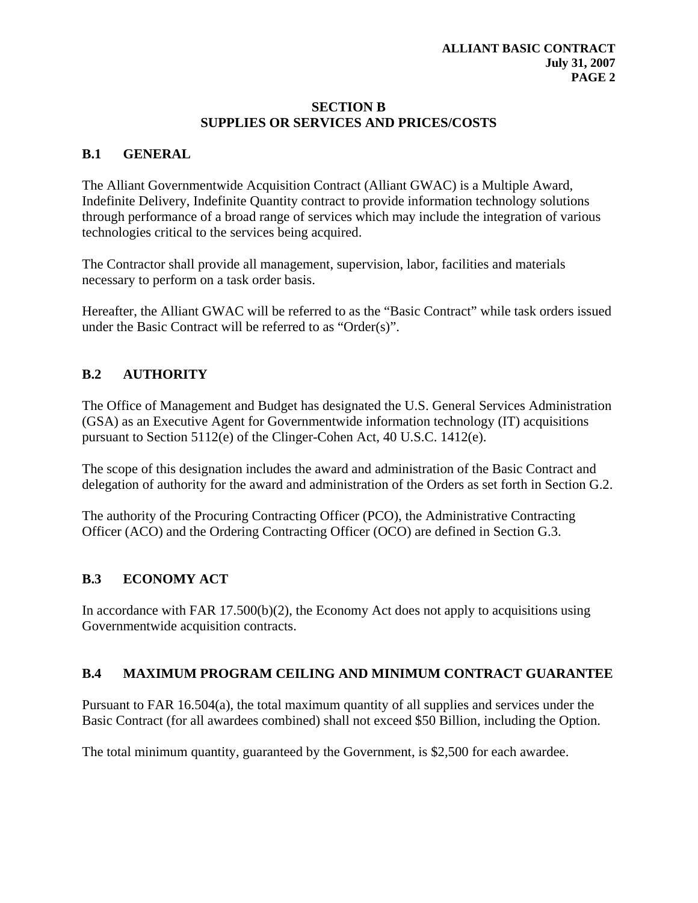#### **SECTION B SUPPLIES OR SERVICES AND PRICES/COSTS**

### **B.1 GENERAL**

The Alliant Governmentwide Acquisition Contract (Alliant GWAC) is a Multiple Award, Indefinite Delivery, Indefinite Quantity contract to provide information technology solutions through performance of a broad range of services which may include the integration of various technologies critical to the services being acquired.

The Contractor shall provide all management, supervision, labor, facilities and materials necessary to perform on a task order basis.

Hereafter, the Alliant GWAC will be referred to as the "Basic Contract" while task orders issued under the Basic Contract will be referred to as "Order(s)".

## **B.2 AUTHORITY**

The Office of Management and Budget has designated the U.S. General Services Administration (GSA) as an Executive Agent for Governmentwide information technology (IT) acquisitions pursuant to Section 5112(e) of the Clinger-Cohen Act, 40 U.S.C. 1412(e).

The scope of this designation includes the award and administration of the Basic Contract and delegation of authority for the award and administration of the Orders as set forth in Section G.2.

The authority of the Procuring Contracting Officer (PCO), the Administrative Contracting Officer (ACO) and the Ordering Contracting Officer (OCO) are defined in Section G.3.

### **B.3 ECONOMY ACT**

In accordance with FAR 17.500 $(b)(2)$ , the Economy Act does not apply to acquisitions using Governmentwide acquisition contracts.

### **B.4 MAXIMUM PROGRAM CEILING AND MINIMUM CONTRACT GUARANTEE**

Pursuant to FAR 16.504(a), the total maximum quantity of all supplies and services under the Basic Contract (for all awardees combined) shall not exceed \$50 Billion, including the Option.

The total minimum quantity, guaranteed by the Government, is \$2,500 for each awardee.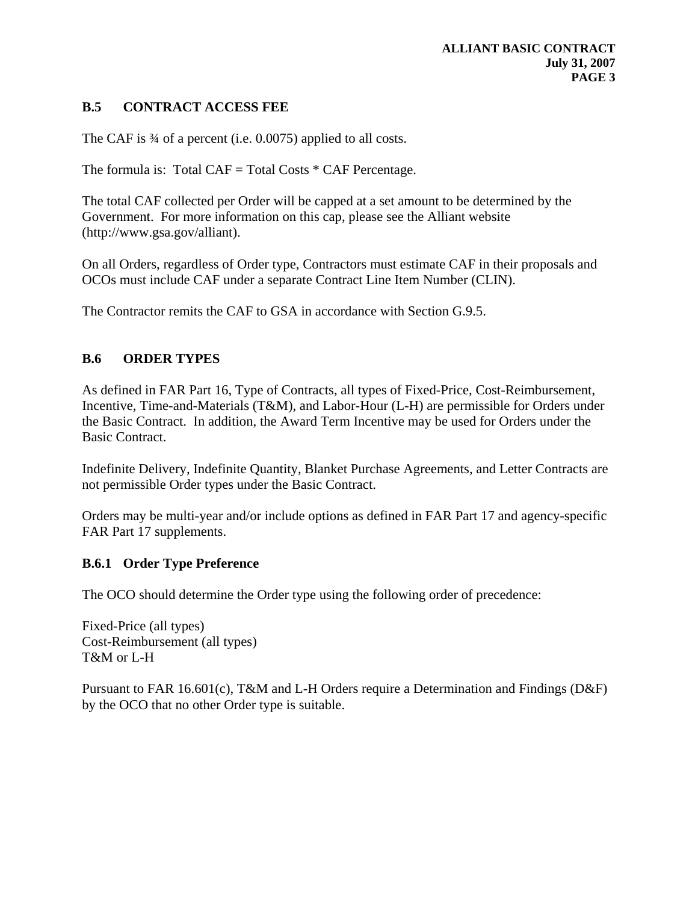# **B.5 CONTRACT ACCESS FEE**

The CAF is  $\frac{3}{4}$  of a percent (i.e. 0.0075) applied to all costs.

The formula is: Total CAF = Total Costs  $*$  CAF Percentage.

The total CAF collected per Order will be capped at a set amount to be determined by the Government. For more information on this cap, please see the Alliant website (http://www.gsa.gov/alliant).

On all Orders, regardless of Order type, Contractors must estimate CAF in their proposals and OCOs must include CAF under a separate Contract Line Item Number (CLIN).

The Contractor remits the CAF to GSA in accordance with Section G.9.5.

#### **B.6 ORDER TYPES**

As defined in FAR Part 16, Type of Contracts, all types of Fixed-Price, Cost-Reimbursement, Incentive, Time-and-Materials (T&M), and Labor-Hour (L-H) are permissible for Orders under the Basic Contract. In addition, the Award Term Incentive may be used for Orders under the Basic Contract.

Indefinite Delivery, Indefinite Quantity, Blanket Purchase Agreements, and Letter Contracts are not permissible Order types under the Basic Contract.

Orders may be multi-year and/or include options as defined in FAR Part 17 and agency-specific FAR Part 17 supplements.

#### **B.6.1 Order Type Preference**

The OCO should determine the Order type using the following order of precedence:

Fixed-Price (all types) Cost-Reimbursement (all types) T&M or L-H

Pursuant to FAR 16.601(c), T&M and L-H Orders require a Determination and Findings (D&F) by the OCO that no other Order type is suitable.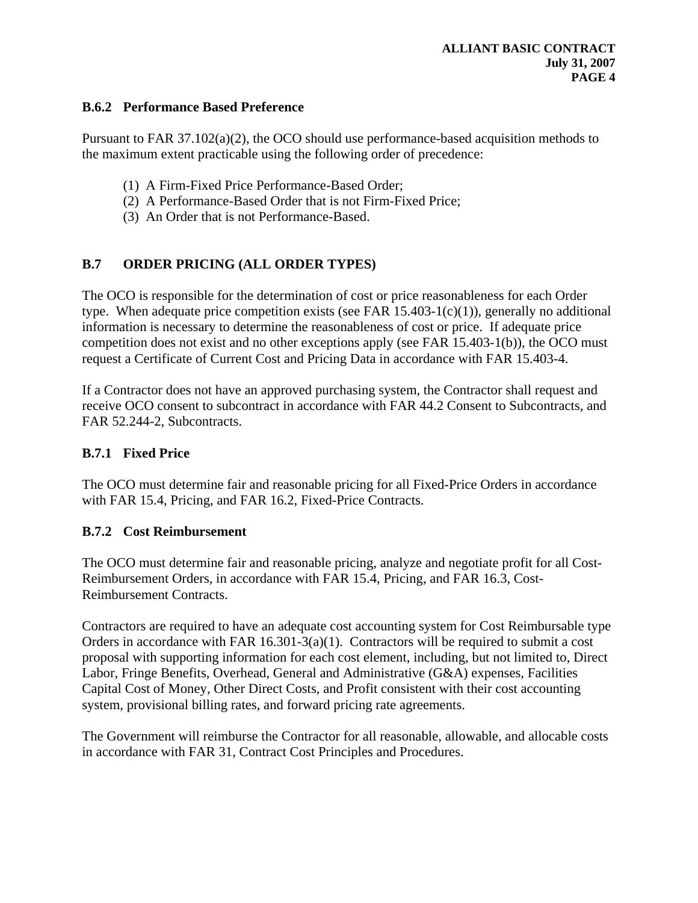#### **B.6.2 Performance Based Preference**

Pursuant to FAR 37.102(a)(2), the OCO should use performance-based acquisition methods to the maximum extent practicable using the following order of precedence:

- (1) A Firm-Fixed Price Performance-Based Order;
- (2) A Performance-Based Order that is not Firm-Fixed Price;
- (3) An Order that is not Performance-Based.

# **B.7 ORDER PRICING (ALL ORDER TYPES)**

The OCO is responsible for the determination of cost or price reasonableness for each Order type. When adequate price competition exists (see FAR  $15.403-1(c)(1)$ ), generally no additional information is necessary to determine the reasonableness of cost or price. If adequate price competition does not exist and no other exceptions apply (see FAR 15.403-1(b)), the OCO must request a Certificate of Current Cost and Pricing Data in accordance with FAR 15.403-4.

If a Contractor does not have an approved purchasing system, the Contractor shall request and receive OCO consent to subcontract in accordance with FAR 44.2 Consent to Subcontracts, and FAR 52.244-2, Subcontracts.

### **B.7.1 Fixed Price**

The OCO must determine fair and reasonable pricing for all Fixed-Price Orders in accordance with FAR 15.4, Pricing, and FAR 16.2, Fixed-Price Contracts.

### **B.7.2 Cost Reimbursement**

The OCO must determine fair and reasonable pricing, analyze and negotiate profit for all Cost-Reimbursement Orders, in accordance with FAR 15.4, Pricing, and FAR 16.3, Cost-Reimbursement Contracts.

Contractors are required to have an adequate cost accounting system for Cost Reimbursable type Orders in accordance with FAR 16.301-3(a)(1). Contractors will be required to submit a cost proposal with supporting information for each cost element, including, but not limited to, Direct Labor, Fringe Benefits, Overhead, General and Administrative (G&A) expenses, Facilities Capital Cost of Money, Other Direct Costs, and Profit consistent with their cost accounting system, provisional billing rates, and forward pricing rate agreements.

The Government will reimburse the Contractor for all reasonable, allowable, and allocable costs in accordance with FAR 31, Contract Cost Principles and Procedures.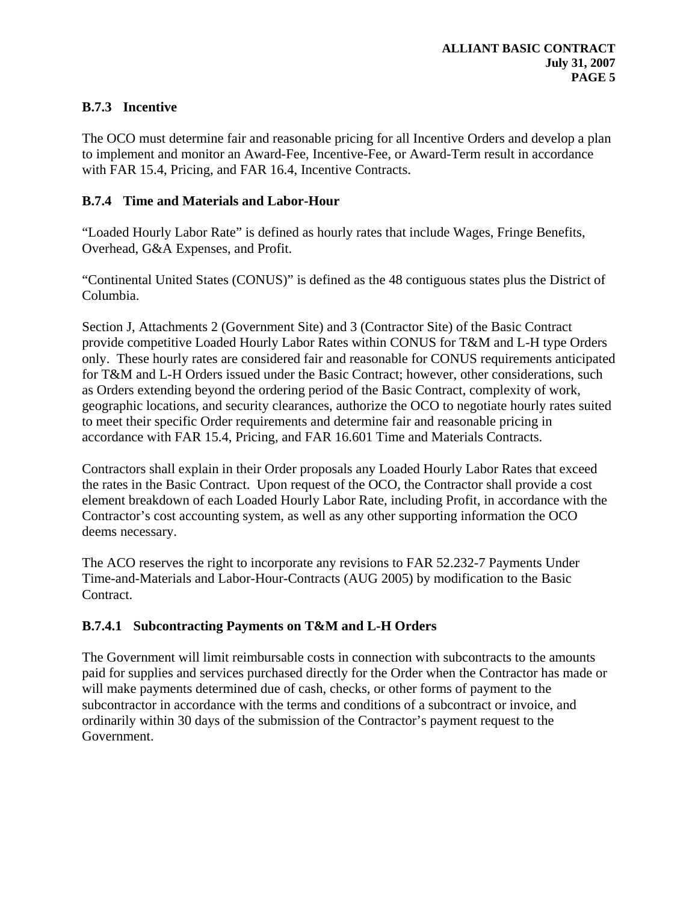# **B.7.3 Incentive**

The OCO must determine fair and reasonable pricing for all Incentive Orders and develop a plan to implement and monitor an Award-Fee, Incentive-Fee, or Award-Term result in accordance with FAR 15.4, Pricing, and FAR 16.4, Incentive Contracts.

### **B.7.4 Time and Materials and Labor-Hour**

"Loaded Hourly Labor Rate" is defined as hourly rates that include Wages, Fringe Benefits, Overhead, G&A Expenses, and Profit.

"Continental United States (CONUS)" is defined as the 48 contiguous states plus the District of Columbia.

Section J, Attachments 2 (Government Site) and 3 (Contractor Site) of the Basic Contract provide competitive Loaded Hourly Labor Rates within CONUS for T&M and L-H type Orders only. These hourly rates are considered fair and reasonable for CONUS requirements anticipated for T&M and L-H Orders issued under the Basic Contract; however, other considerations, such as Orders extending beyond the ordering period of the Basic Contract, complexity of work, geographic locations, and security clearances, authorize the OCO to negotiate hourly rates suited to meet their specific Order requirements and determine fair and reasonable pricing in accordance with FAR 15.4, Pricing, and FAR 16.601 Time and Materials Contracts.

Contractors shall explain in their Order proposals any Loaded Hourly Labor Rates that exceed the rates in the Basic Contract. Upon request of the OCO, the Contractor shall provide a cost element breakdown of each Loaded Hourly Labor Rate, including Profit, in accordance with the Contractor's cost accounting system, as well as any other supporting information the OCO deems necessary.

The ACO reserves the right to incorporate any revisions to FAR 52.232-7 Payments Under Time-and-Materials and Labor-Hour-Contracts (AUG 2005) by modification to the Basic Contract.

# **B.7.4.1 Subcontracting Payments on T&M and L-H Orders**

The Government will limit reimbursable costs in connection with subcontracts to the amounts paid for supplies and services purchased directly for the Order when the Contractor has made or will make payments determined due of cash, checks, or other forms of payment to the subcontractor in accordance with the terms and conditions of a subcontract or invoice, and ordinarily within 30 days of the submission of the Contractor's payment request to the Government.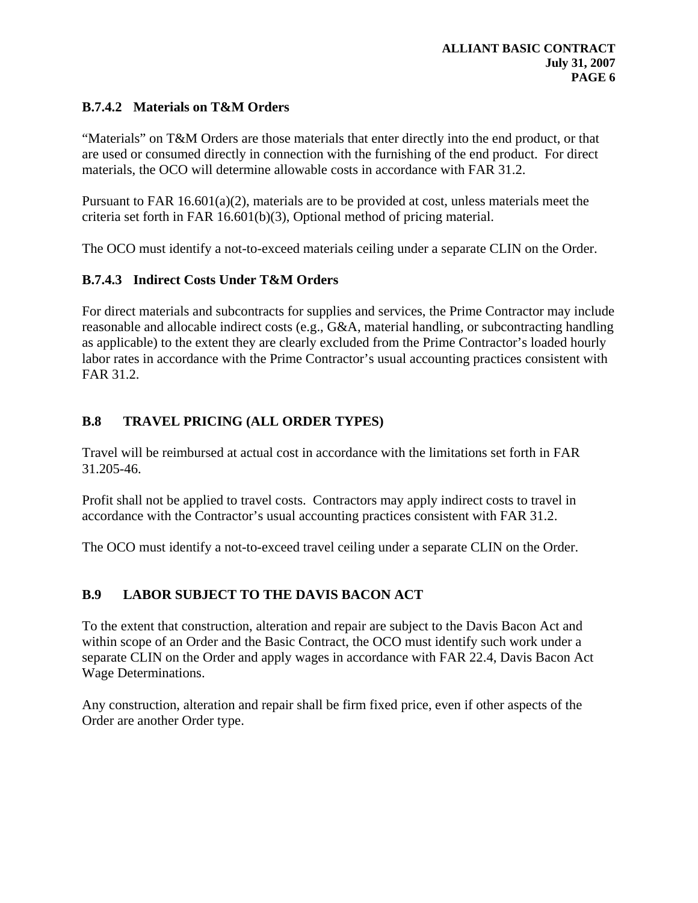# **B.7.4.2 Materials on T&M Orders**

"Materials" on T&M Orders are those materials that enter directly into the end product, or that are used or consumed directly in connection with the furnishing of the end product. For direct materials, the OCO will determine allowable costs in accordance with FAR 31.2.

Pursuant to FAR  $16.601(a)(2)$ , materials are to be provided at cost, unless materials meet the criteria set forth in FAR 16.601(b)(3), Optional method of pricing material.

The OCO must identify a not-to-exceed materials ceiling under a separate CLIN on the Order.

### **B.7.4.3 Indirect Costs Under T&M Orders**

For direct materials and subcontracts for supplies and services, the Prime Contractor may include reasonable and allocable indirect costs (e.g., G&A, material handling, or subcontracting handling as applicable) to the extent they are clearly excluded from the Prime Contractor's loaded hourly labor rates in accordance with the Prime Contractor's usual accounting practices consistent with FAR 31.2.

## **B.8 TRAVEL PRICING (ALL ORDER TYPES)**

Travel will be reimbursed at actual cost in accordance with the limitations set forth in FAR 31.205-46.

Profit shall not be applied to travel costs. Contractors may apply indirect costs to travel in accordance with the Contractor's usual accounting practices consistent with FAR 31.2.

The OCO must identify a not-to-exceed travel ceiling under a separate CLIN on the Order.

### **B.9 LABOR SUBJECT TO THE DAVIS BACON ACT**

To the extent that construction, alteration and repair are subject to the Davis Bacon Act and within scope of an Order and the Basic Contract, the OCO must identify such work under a separate CLIN on the Order and apply wages in accordance with FAR 22.4, Davis Bacon Act Wage Determinations.

Any construction, alteration and repair shall be firm fixed price, even if other aspects of the Order are another Order type.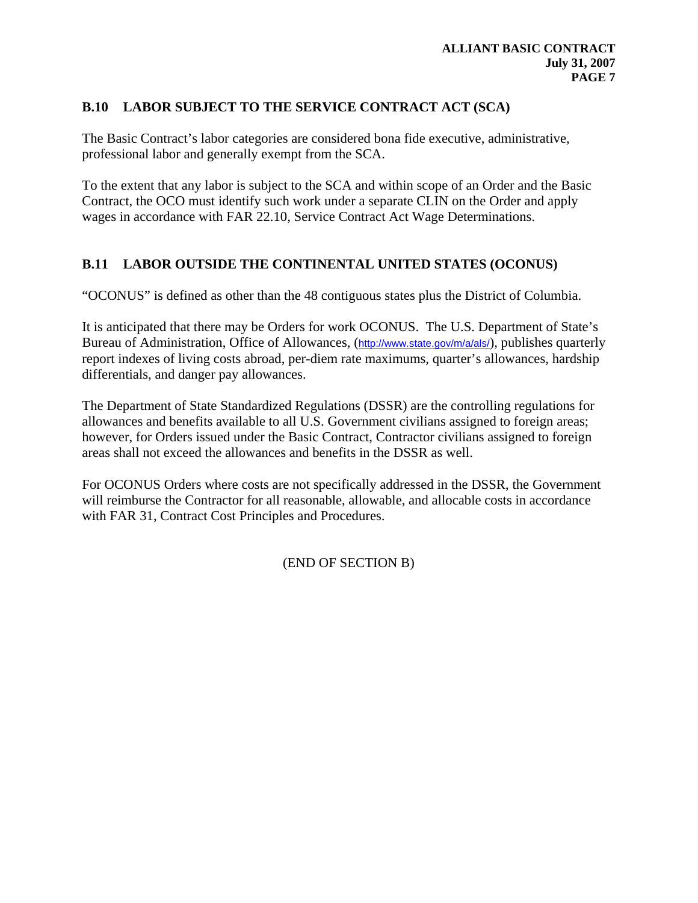## **B.10 LABOR SUBJECT TO THE SERVICE CONTRACT ACT (SCA)**

The Basic Contract's labor categories are considered bona fide executive, administrative, professional labor and generally exempt from the SCA.

To the extent that any labor is subject to the SCA and within scope of an Order and the Basic Contract, the OCO must identify such work under a separate CLIN on the Order and apply wages in accordance with FAR 22.10, Service Contract Act Wage Determinations.

# **B.11 LABOR OUTSIDE THE CONTINENTAL UNITED STATES (OCONUS)**

"OCONUS" is defined as other than the 48 contiguous states plus the District of Columbia.

It is anticipated that there may be Orders for work OCONUS. The U.S. Department of State's Bureau of Administration, Office of Allowances, (<http://www.state.gov/m/a/als/>), publishes quarterly report indexes of living costs abroad, per-diem rate maximums, quarter's allowances, hardship differentials, and danger pay allowances.

The Department of State Standardized Regulations (DSSR) are the controlling regulations for allowances and benefits available to all U.S. Government civilians assigned to foreign areas; however, for Orders issued under the Basic Contract, Contractor civilians assigned to foreign areas shall not exceed the allowances and benefits in the DSSR as well.

For OCONUS Orders where costs are not specifically addressed in the DSSR, the Government will reimburse the Contractor for all reasonable, allowable, and allocable costs in accordance with FAR 31, Contract Cost Principles and Procedures.

(END OF SECTION B)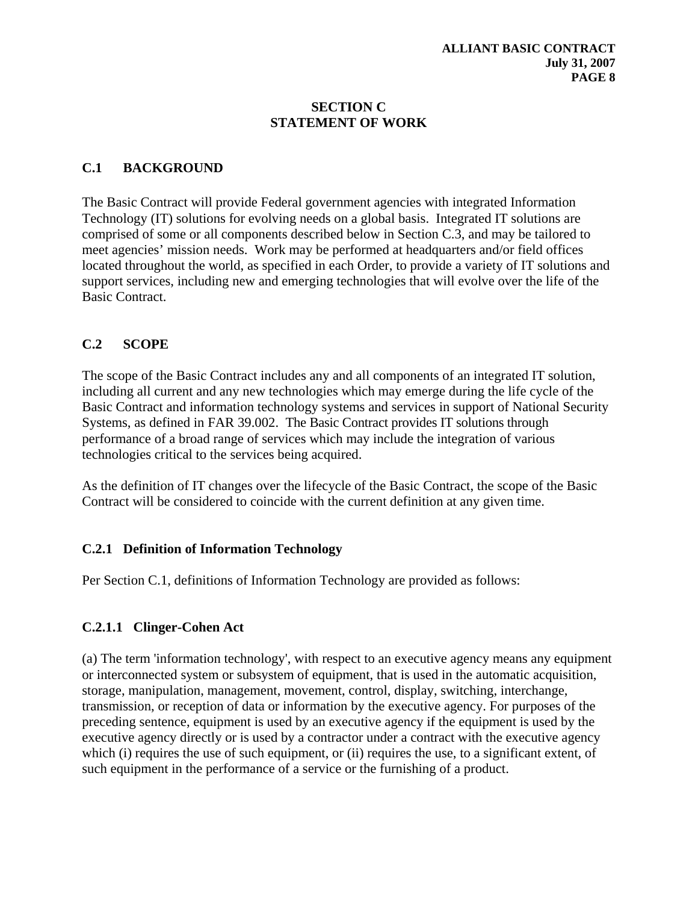#### **SECTION C STATEMENT OF WORK**

### **C.1 BACKGROUND**

The Basic Contract will provide Federal government agencies with integrated Information Technology (IT) solutions for evolving needs on a global basis. Integrated IT solutions are comprised of some or all components described below in Section C.3, and may be tailored to meet agencies' mission needs. Work may be performed at headquarters and/or field offices located throughout the world, as specified in each Order, to provide a variety of IT solutions and support services, including new and emerging technologies that will evolve over the life of the Basic Contract.

## **C.2 SCOPE**

The scope of the Basic Contract includes any and all components of an integrated IT solution, including all current and any new technologies which may emerge during the life cycle of the Basic Contract and information technology systems and services in support of National Security Systems, as defined in FAR 39.002. The Basic Contract provides IT solutions through performance of a broad range of services which may include the integration of various technologies critical to the services being acquired.

As the definition of IT changes over the lifecycle of the Basic Contract, the scope of the Basic Contract will be considered to coincide with the current definition at any given time.

### **C.2.1 Definition of Information Technology**

Per Section C.1, definitions of Information Technology are provided as follows:

### **C.2.1.1 Clinger-Cohen Act**

(a) The term 'information technology', with respect to an executive agency means any equipment or interconnected system or subsystem of equipment, that is used in the automatic acquisition, storage, manipulation, management, movement, control, display, switching, interchange, transmission, or reception of data or information by the executive agency. For purposes of the preceding sentence, equipment is used by an executive agency if the equipment is used by the executive agency directly or is used by a contractor under a contract with the executive agency which (i) requires the use of such equipment, or (ii) requires the use, to a significant extent, of such equipment in the performance of a service or the furnishing of a product.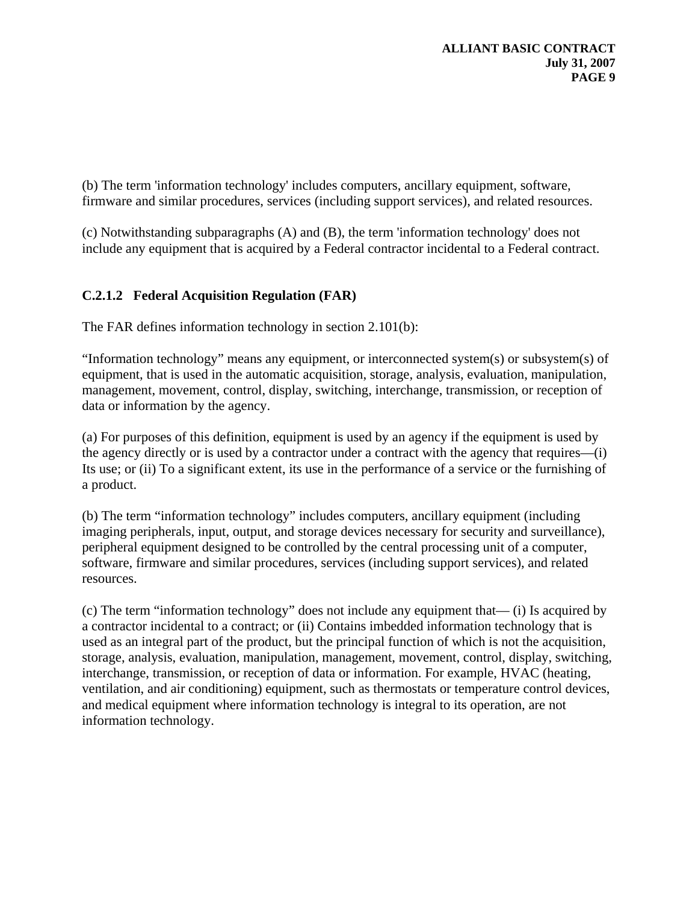(b) The term 'information technology' includes computers, ancillary equipment, software, firmware and similar procedures, services (including support services), and related resources.

(c) Notwithstanding subparagraphs (A) and (B), the term 'information technology' does not include any equipment that is acquired by a Federal contractor incidental to a Federal contract.

# **C.2.1.2 Federal Acquisition Regulation (FAR)**

The FAR defines information technology in section 2.101(b):

"Information technology" means any equipment, or interconnected system(s) or subsystem(s) of equipment, that is used in the automatic acquisition, storage, analysis, evaluation, manipulation, management, movement, control, display, switching, interchange, transmission, or reception of data or information by the agency.

(a) For purposes of this definition, equipment is used by an agency if the equipment is used by the agency directly or is used by a contractor under a contract with the agency that requires—(i) Its use; or (ii) To a significant extent, its use in the performance of a service or the furnishing of a product.

(b) The term "information technology" includes computers, ancillary equipment (including imaging peripherals, input, output, and storage devices necessary for security and surveillance), peripheral equipment designed to be controlled by the central processing unit of a computer, software, firmware and similar procedures, services (including support services), and related resources.

(c) The term "information technology" does not include any equipment that— (i) Is acquired by a contractor incidental to a contract; or (ii) Contains imbedded information technology that is used as an integral part of the product, but the principal function of which is not the acquisition, storage, analysis, evaluation, manipulation, management, movement, control, display, switching, interchange, transmission, or reception of data or information. For example, HVAC (heating, ventilation, and air conditioning) equipment, such as thermostats or temperature control devices, and medical equipment where information technology is integral to its operation, are not information technology.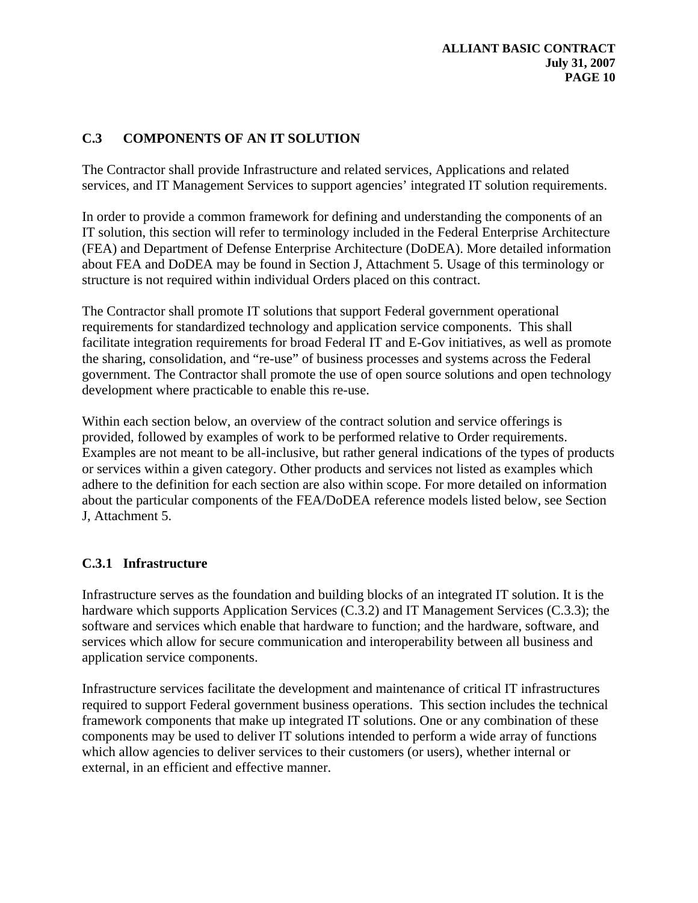# **C.3 COMPONENTS OF AN IT SOLUTION**

The Contractor shall provide Infrastructure and related services, Applications and related services, and IT Management Services to support agencies' integrated IT solution requirements.

In order to provide a common framework for defining and understanding the components of an IT solution, this section will refer to terminology included in the Federal Enterprise Architecture (FEA) and Department of Defense Enterprise Architecture (DoDEA). More detailed information about FEA and DoDEA may be found in Section J, Attachment 5. Usage of this terminology or structure is not required within individual Orders placed on this contract.

The Contractor shall promote IT solutions that support Federal government operational requirements for standardized technology and application service components. This shall facilitate integration requirements for broad Federal IT and E-Gov initiatives, as well as promote the sharing, consolidation, and "re-use" of business processes and systems across the Federal government. The Contractor shall promote the use of open source solutions and open technology development where practicable to enable this re-use.

Within each section below, an overview of the contract solution and service offerings is provided, followed by examples of work to be performed relative to Order requirements. Examples are not meant to be all-inclusive, but rather general indications of the types of products or services within a given category. Other products and services not listed as examples which adhere to the definition for each section are also within scope. For more detailed on information about the particular components of the FEA/DoDEA reference models listed below, see Section J, Attachment 5.

### **C.3.1 Infrastructure**

Infrastructure serves as the foundation and building blocks of an integrated IT solution. It is the hardware which supports Application Services (C.3.2) and IT Management Services (C.3.3); the software and services which enable that hardware to function; and the hardware, software, and services which allow for secure communication and interoperability between all business and application service components.

Infrastructure services facilitate the development and maintenance of critical IT infrastructures required to support Federal government business operations. This section includes the technical framework components that make up integrated IT solutions. One or any combination of these components may be used to deliver IT solutions intended to perform a wide array of functions which allow agencies to deliver services to their customers (or users), whether internal or external, in an efficient and effective manner.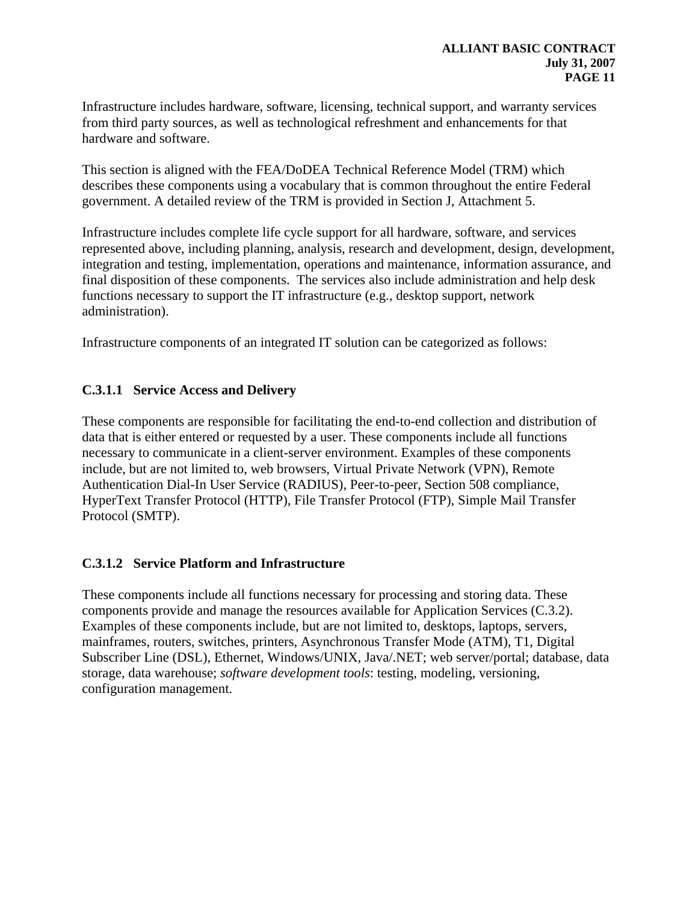Infrastructure includes hardware, software, licensing, technical support, and warranty services from third party sources, as well as technological refreshment and enhancements for that hardware and software.

This section is aligned with the FEA/DoDEA Technical Reference Model (TRM) which describes these components using a vocabulary that is common throughout the entire Federal government. A detailed review of the TRM is provided in Section J, Attachment 5.

Infrastructure includes complete life cycle support for all hardware, software, and services represented above, including planning, analysis, research and development, design, development, integration and testing, implementation, operations and maintenance, information assurance, and final disposition of these components. The services also include administration and help desk functions necessary to support the IT infrastructure (e.g., desktop support, network administration).

Infrastructure components of an integrated IT solution can be categorized as follows:

### **C.3.1.1 Service Access and Delivery**

These components are responsible for facilitating the end-to-end collection and distribution of data that is either entered or requested by a user. These components include all functions necessary to communicate in a client-server environment. Examples of these components include, but are not limited to, web browsers, Virtual Private Network (VPN), Remote Authentication Dial-In User Service (RADIUS), Peer-to-peer, Section 508 compliance, HyperText Transfer Protocol (HTTP), File Transfer Protocol (FTP), Simple Mail Transfer Protocol (SMTP).

### **C.3.1.2 Service Platform and Infrastructure**

These components include all functions necessary for processing and storing data. These components provide and manage the resources available for Application Services (C.3.2). Examples of these components include, but are not limited to, desktops, laptops, servers, mainframes, routers, switches, printers, Asynchronous Transfer Mode (ATM), T1, Digital Subscriber Line (DSL), Ethernet, Windows/UNIX, Java/.NET; web server/portal; database, data storage, data warehouse; *software development tools*: testing, modeling, versioning, configuration management.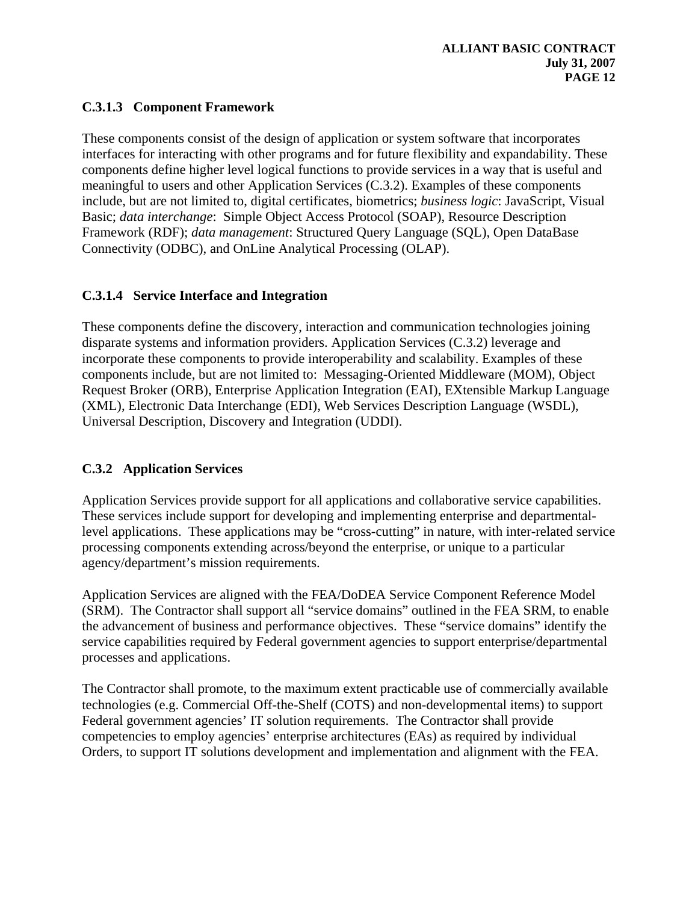## **C.3.1.3 Component Framework**

These components consist of the design of application or system software that incorporates interfaces for interacting with other programs and for future flexibility and expandability. These components define higher level logical functions to provide services in a way that is useful and meaningful to users and other Application Services (C.3.2). Examples of these components include, but are not limited to, digital certificates, biometrics; *business logic*: JavaScript, Visual Basic; *data interchange*: Simple Object Access Protocol (SOAP), Resource Description Framework (RDF); *data management*: Structured Query Language (SQL), Open DataBase Connectivity (ODBC), and OnLine Analytical Processing (OLAP).

## **C.3.1.4 Service Interface and Integration**

These components define the discovery, interaction and communication technologies joining disparate systems and information providers. Application Services (C.3.2) leverage and incorporate these components to provide interoperability and scalability. Examples of these components include, but are not limited to: Messaging-Oriented Middleware (MOM), Object Request Broker (ORB), Enterprise Application Integration (EAI), EXtensible Markup Language (XML), Electronic Data Interchange (EDI), Web Services Description Language (WSDL), Universal Description, Discovery and Integration (UDDI).

### **C.3.2 Application Services**

Application Services provide support for all applications and collaborative service capabilities. These services include support for developing and implementing enterprise and departmentallevel applications. These applications may be "cross-cutting" in nature, with inter-related service processing components extending across/beyond the enterprise, or unique to a particular agency/department's mission requirements.

Application Services are aligned with the FEA/DoDEA Service Component Reference Model (SRM). The Contractor shall support all "service domains" outlined in the FEA SRM, to enable the advancement of business and performance objectives. These "service domains" identify the service capabilities required by Federal government agencies to support enterprise/departmental processes and applications.

The Contractor shall promote, to the maximum extent practicable use of commercially available technologies (e.g. Commercial Off-the-Shelf (COTS) and non-developmental items) to support Federal government agencies' IT solution requirements. The Contractor shall provide competencies to employ agencies' enterprise architectures (EAs) as required by individual Orders, to support IT solutions development and implementation and alignment with the FEA.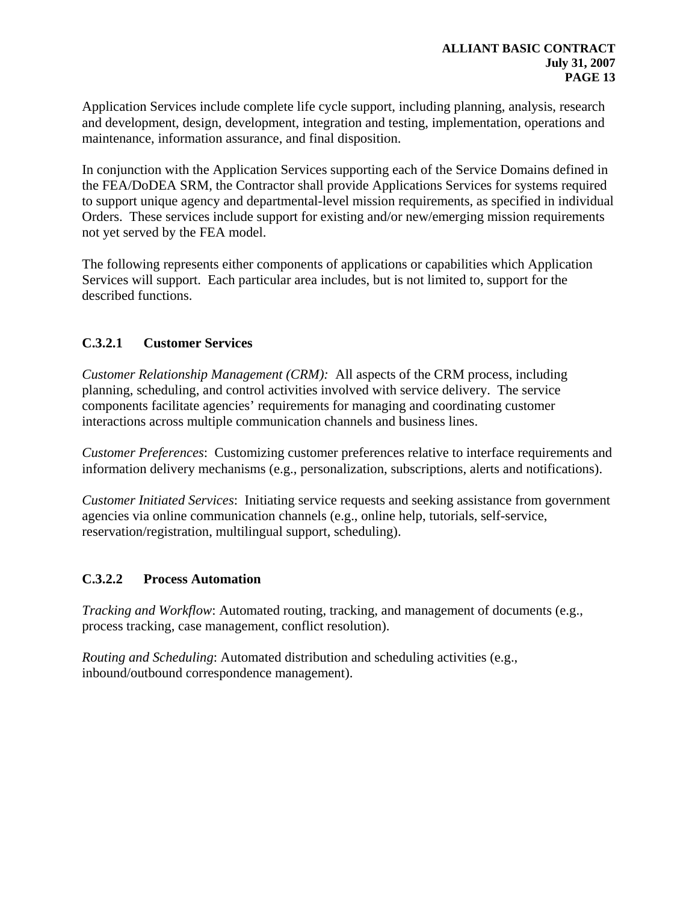Application Services include complete life cycle support, including planning, analysis, research and development, design, development, integration and testing, implementation, operations and maintenance, information assurance, and final disposition.

In conjunction with the Application Services supporting each of the Service Domains defined in the FEA/DoDEA SRM, the Contractor shall provide Applications Services for systems required to support unique agency and departmental-level mission requirements, as specified in individual Orders. These services include support for existing and/or new/emerging mission requirements not yet served by the FEA model.

The following represents either components of applications or capabilities which Application Services will support. Each particular area includes, but is not limited to, support for the described functions.

### **C.3.2.1 Customer Services**

*Customer Relationship Management (CRM):* All aspects of the CRM process, including planning, scheduling, and control activities involved with service delivery. The service components facilitate agencies' requirements for managing and coordinating customer interactions across multiple communication channels and business lines.

*Customer Preferences*: Customizing customer preferences relative to interface requirements and information delivery mechanisms (e.g., personalization, subscriptions, alerts and notifications).

*Customer Initiated Services*: Initiating service requests and seeking assistance from government agencies via online communication channels (e.g., online help, tutorials, self-service, reservation/registration, multilingual support, scheduling).

#### **C.3.2.2 Process Automation**

*Tracking and Workflow:* Automated routing, tracking, and management of documents (e.g., process tracking, case management, conflict resolution).

*Routing and Scheduling*: Automated distribution and scheduling activities (e.g., inbound/outbound correspondence management).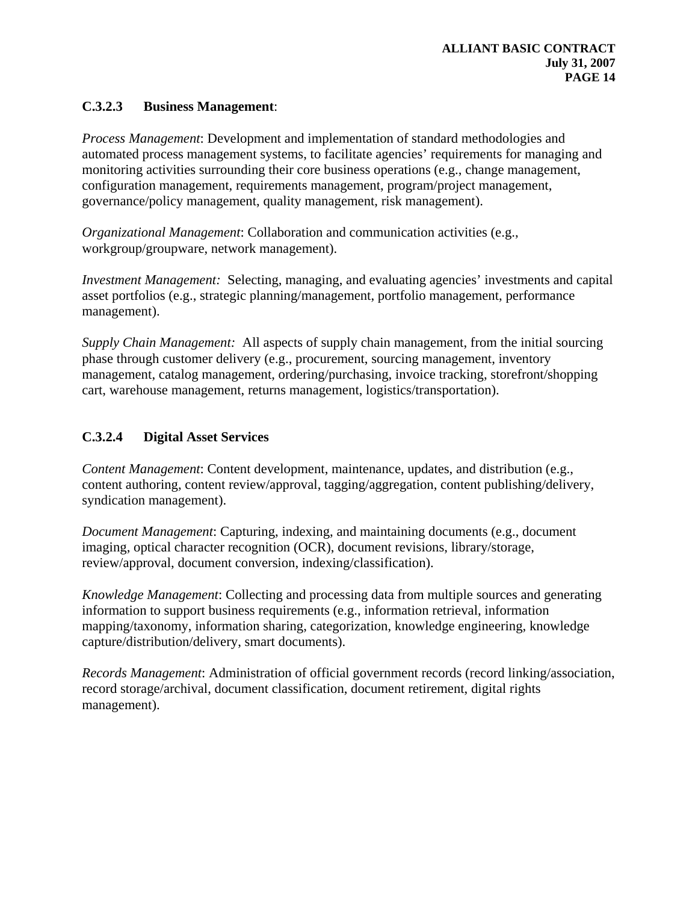### **C.3.2.3 Business Management**:

*Process Management*: Development and implementation of standard methodologies and automated process management systems, to facilitate agencies' requirements for managing and monitoring activities surrounding their core business operations (e.g., change management, configuration management, requirements management, program/project management, governance/policy management, quality management, risk management).

*Organizational Management*: Collaboration and communication activities (e.g., workgroup/groupware, network management).

*Investment Management:* Selecting, managing, and evaluating agencies' investments and capital asset portfolios (e.g., strategic planning/management, portfolio management, performance management).

*Supply Chain Management:* All aspects of supply chain management, from the initial sourcing phase through customer delivery (e.g., procurement, sourcing management, inventory management, catalog management, ordering/purchasing, invoice tracking, storefront/shopping cart, warehouse management, returns management, logistics/transportation).

# **C.3.2.4 Digital Asset Services**

*Content Management*: Content development, maintenance, updates, and distribution (e.g., content authoring, content review/approval, tagging/aggregation, content publishing/delivery, syndication management).

*Document Management*: Capturing, indexing, and maintaining documents (e.g., document imaging, optical character recognition (OCR), document revisions, library/storage, review/approval, document conversion, indexing/classification).

*Knowledge Management*: Collecting and processing data from multiple sources and generating information to support business requirements (e.g., information retrieval, information mapping/taxonomy, information sharing, categorization, knowledge engineering, knowledge capture/distribution/delivery, smart documents).

*Records Management*: Administration of official government records (record linking/association, record storage/archival, document classification, document retirement, digital rights management).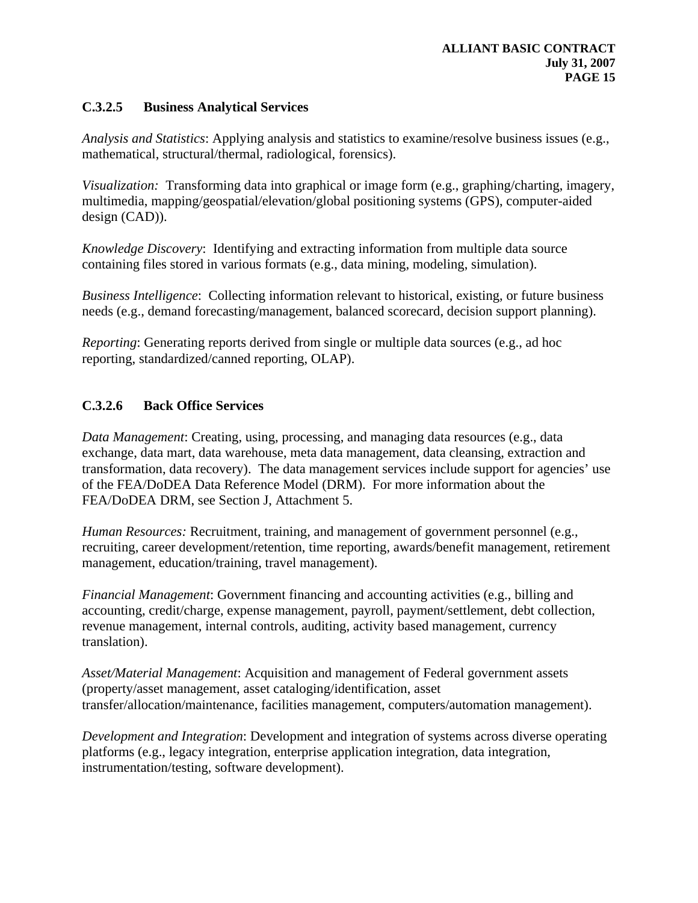#### **C.3.2.5 Business Analytical Services**

*Analysis and Statistics*: Applying analysis and statistics to examine/resolve business issues (e.g., mathematical, structural/thermal, radiological, forensics).

*Visualization:* Transforming data into graphical or image form (e.g., graphing/charting, imagery, multimedia, mapping/geospatial/elevation/global positioning systems (GPS), computer-aided design (CAD)).

*Knowledge Discovery*: Identifying and extracting information from multiple data source containing files stored in various formats (e.g., data mining, modeling, simulation).

*Business Intelligence*: Collecting information relevant to historical, existing, or future business needs (e.g., demand forecasting/management, balanced scorecard, decision support planning).

*Reporting*: Generating reports derived from single or multiple data sources (e.g., ad hoc reporting, standardized/canned reporting, OLAP).

#### **C.3.2.6 Back Office Services**

*Data Management*: Creating, using, processing, and managing data resources (e.g., data exchange, data mart, data warehouse, meta data management, data cleansing, extraction and transformation, data recovery). The data management services include support for agencies' use of the FEA/DoDEA Data Reference Model (DRM). For more information about the FEA/DoDEA DRM, see Section J, Attachment 5.

*Human Resources: Recruitment, training, and management of government personnel (e.g.,* recruiting, career development/retention, time reporting, awards/benefit management, retirement management, education/training, travel management).

*Financial Management*: Government financing and accounting activities (e.g., billing and accounting, credit/charge, expense management, payroll, payment/settlement, debt collection, revenue management, internal controls, auditing, activity based management, currency translation).

*Asset/Material Management*: Acquisition and management of Federal government assets (property/asset management, asset cataloging/identification, asset transfer/allocation/maintenance, facilities management, computers/automation management).

*Development and Integration*: Development and integration of systems across diverse operating platforms (e.g., legacy integration, enterprise application integration, data integration, instrumentation/testing, software development).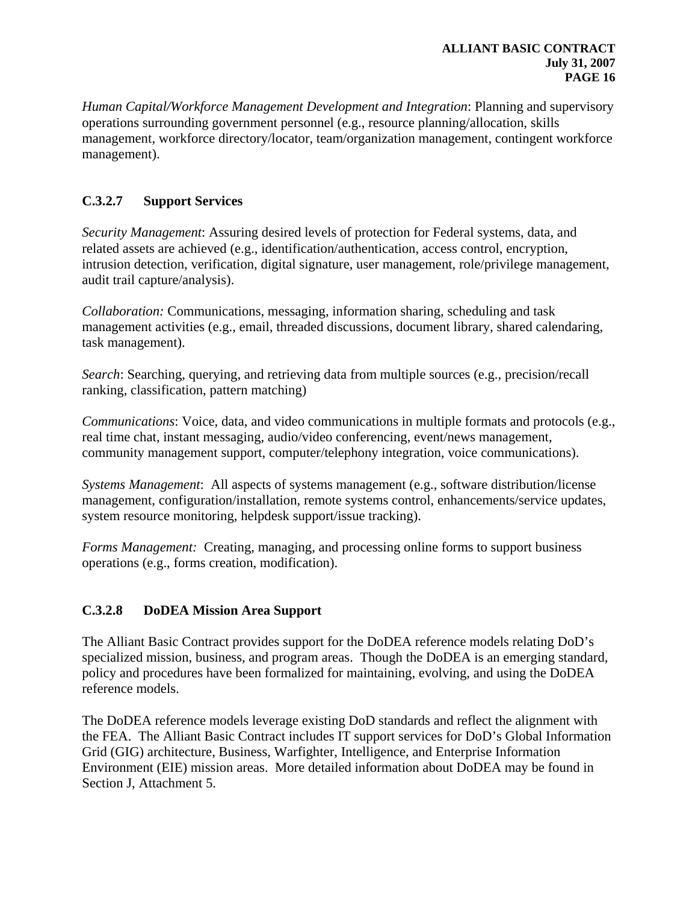*Human Capital/Workforce Management Development and Integration*: Planning and supervisory operations surrounding government personnel (e.g., resource planning/allocation, skills management, workforce directory/locator, team/organization management, contingent workforce management).

## **C.3.2.7 Support Services**

*Security Management*: Assuring desired levels of protection for Federal systems, data, and related assets are achieved (e.g., identification/authentication, access control, encryption, intrusion detection, verification, digital signature, user management, role/privilege management, audit trail capture/analysis).

*Collaboration:* Communications, messaging, information sharing, scheduling and task management activities (e.g., email, threaded discussions, document library, shared calendaring, task management).

*Search*: Searching, querying, and retrieving data from multiple sources (e.g., precision/recall ranking, classification, pattern matching)

*Communications*: Voice, data, and video communications in multiple formats and protocols (e.g., real time chat, instant messaging, audio/video conferencing, event/news management, community management support, computer/telephony integration, voice communications).

*Systems Management*: All aspects of systems management (e.g., software distribution/license management, configuration/installation, remote systems control, enhancements/service updates, system resource monitoring, helpdesk support/issue tracking).

*Forms Management:* Creating, managing, and processing online forms to support business operations (e.g., forms creation, modification).

# **C.3.2.8 DoDEA Mission Area Support**

The Alliant Basic Contract provides support for the DoDEA reference models relating DoD's specialized mission, business, and program areas. Though the DoDEA is an emerging standard, policy and procedures have been formalized for maintaining, evolving, and using the DoDEA reference models.

The DoDEA reference models leverage existing DoD standards and reflect the alignment with the FEA. The Alliant Basic Contract includes IT support services for DoD's Global Information Grid (GIG) architecture, Business, Warfighter, Intelligence, and Enterprise Information Environment (EIE) mission areas. More detailed information about DoDEA may be found in Section J, Attachment 5.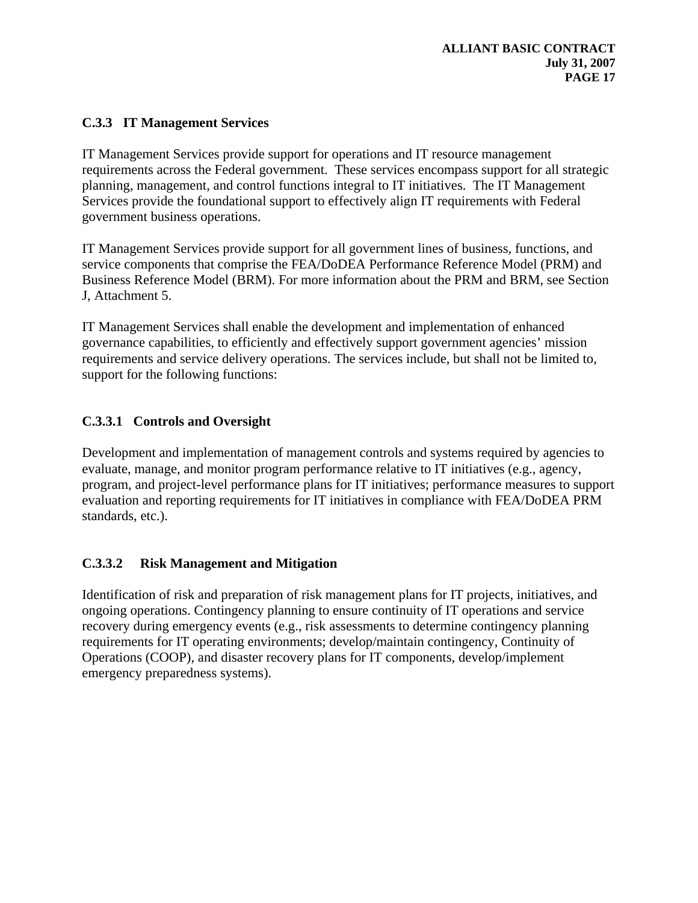### **C.3.3 IT Management Services**

IT Management Services provide support for operations and IT resource management requirements across the Federal government. These services encompass support for all strategic planning, management, and control functions integral to IT initiatives. The IT Management Services provide the foundational support to effectively align IT requirements with Federal government business operations.

IT Management Services provide support for all government lines of business, functions, and service components that comprise the FEA/DoDEA Performance Reference Model (PRM) and Business Reference Model (BRM). For more information about the PRM and BRM, see Section J, Attachment 5.

IT Management Services shall enable the development and implementation of enhanced governance capabilities, to efficiently and effectively support government agencies' mission requirements and service delivery operations. The services include, but shall not be limited to, support for the following functions:

### **C.3.3.1 Controls and Oversight**

Development and implementation of management controls and systems required by agencies to evaluate, manage, and monitor program performance relative to IT initiatives (e.g., agency, program, and project-level performance plans for IT initiatives; performance measures to support evaluation and reporting requirements for IT initiatives in compliance with FEA/DoDEA PRM standards, etc.).

### **C.3.3.2 Risk Management and Mitigation**

Identification of risk and preparation of risk management plans for IT projects, initiatives, and ongoing operations. Contingency planning to ensure continuity of IT operations and service recovery during emergency events (e.g., risk assessments to determine contingency planning requirements for IT operating environments; develop/maintain contingency, Continuity of Operations (COOP), and disaster recovery plans for IT components, develop/implement emergency preparedness systems).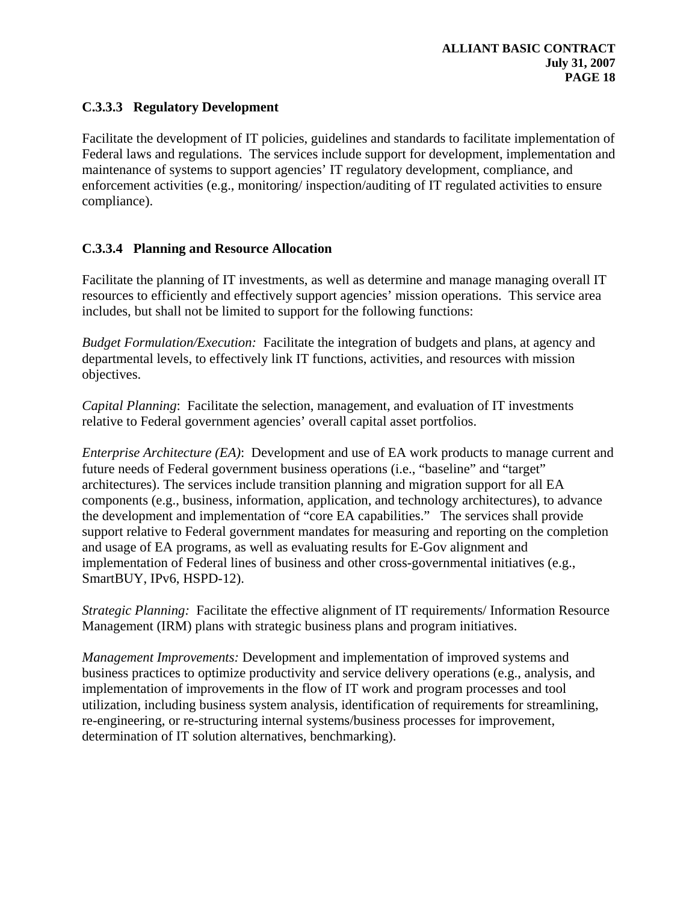#### **C.3.3.3 Regulatory Development**

Facilitate the development of IT policies, guidelines and standards to facilitate implementation of Federal laws and regulations. The services include support for development, implementation and maintenance of systems to support agencies' IT regulatory development, compliance, and enforcement activities (e.g., monitoring/ inspection/auditing of IT regulated activities to ensure compliance).

#### **C.3.3.4 Planning and Resource Allocation**

Facilitate the planning of IT investments, as well as determine and manage managing overall IT resources to efficiently and effectively support agencies' mission operations. This service area includes, but shall not be limited to support for the following functions:

*Budget Formulation/Execution:* Facilitate the integration of budgets and plans, at agency and departmental levels, to effectively link IT functions, activities, and resources with mission objectives.

*Capital Planning*: Facilitate the selection, management, and evaluation of IT investments relative to Federal government agencies' overall capital asset portfolios.

*Enterprise Architecture (EA)*: Development and use of EA work products to manage current and future needs of Federal government business operations (i.e., "baseline" and "target" architectures). The services include transition planning and migration support for all EA components (e.g., business, information, application, and technology architectures), to advance the development and implementation of "core EA capabilities." The services shall provide support relative to Federal government mandates for measuring and reporting on the completion and usage of EA programs, as well as evaluating results for E-Gov alignment and implementation of Federal lines of business and other cross-governmental initiatives (e.g., SmartBUY, IPv6, HSPD-12).

*Strategic Planning:* Facilitate the effective alignment of IT requirements/ Information Resource Management (IRM) plans with strategic business plans and program initiatives.

*Management Improvements:* Development and implementation of improved systems and business practices to optimize productivity and service delivery operations (e.g., analysis, and implementation of improvements in the flow of IT work and program processes and tool utilization, including business system analysis, identification of requirements for streamlining, re-engineering, or re-structuring internal systems/business processes for improvement, determination of IT solution alternatives, benchmarking).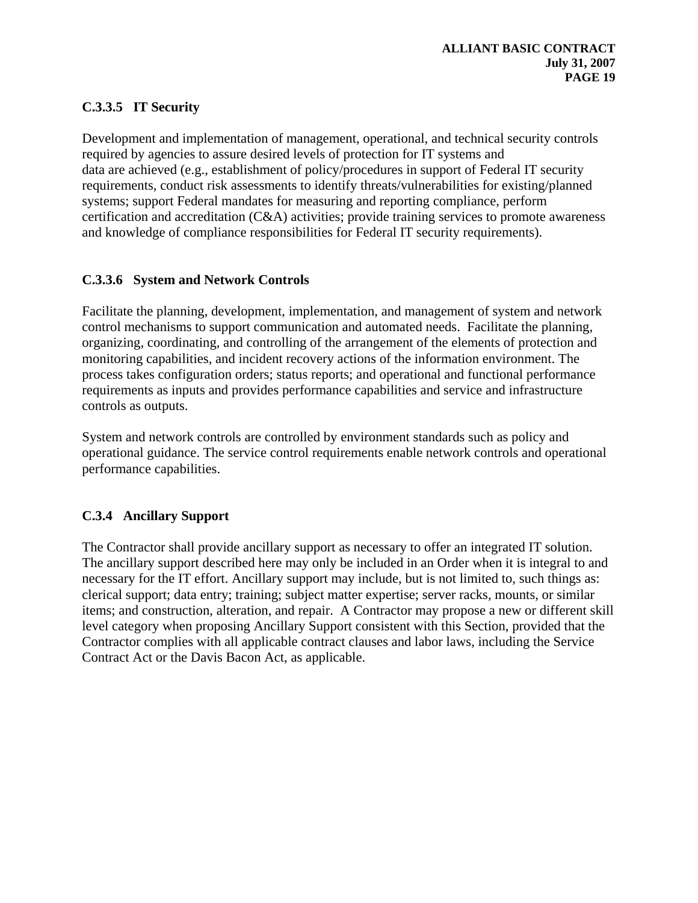## **C.3.3.5 IT Security**

Development and implementation of management, operational, and technical security controls required by agencies to assure desired levels of protection for IT systems and data are achieved (e.g., establishment of policy/procedures in support of Federal IT security requirements, conduct risk assessments to identify threats/vulnerabilities for existing/planned systems; support Federal mandates for measuring and reporting compliance, perform certification and accreditation (C&A) activities; provide training services to promote awareness and knowledge of compliance responsibilities for Federal IT security requirements).

## **C.3.3.6 System and Network Controls**

Facilitate the planning, development, implementation, and management of system and network control mechanisms to support communication and automated needs. Facilitate the planning, organizing, coordinating, and controlling of the arrangement of the elements of protection and monitoring capabilities, and incident recovery actions of the information environment. The process takes configuration orders; status reports; and operational and functional performance requirements as inputs and provides performance capabilities and service and infrastructure controls as outputs.

System and network controls are controlled by environment standards such as policy and operational guidance. The service control requirements enable network controls and operational performance capabilities.

# **C.3.4 Ancillary Support**

The Contractor shall provide ancillary support as necessary to offer an integrated IT solution. The ancillary support described here may only be included in an Order when it is integral to and necessary for the IT effort. Ancillary support may include, but is not limited to, such things as: clerical support; data entry; training; subject matter expertise; server racks, mounts, or similar items; and construction, alteration, and repair. A Contractor may propose a new or different skill level category when proposing Ancillary Support consistent with this Section, provided that the Contractor complies with all applicable contract clauses and labor laws, including the Service Contract Act or the Davis Bacon Act, as applicable.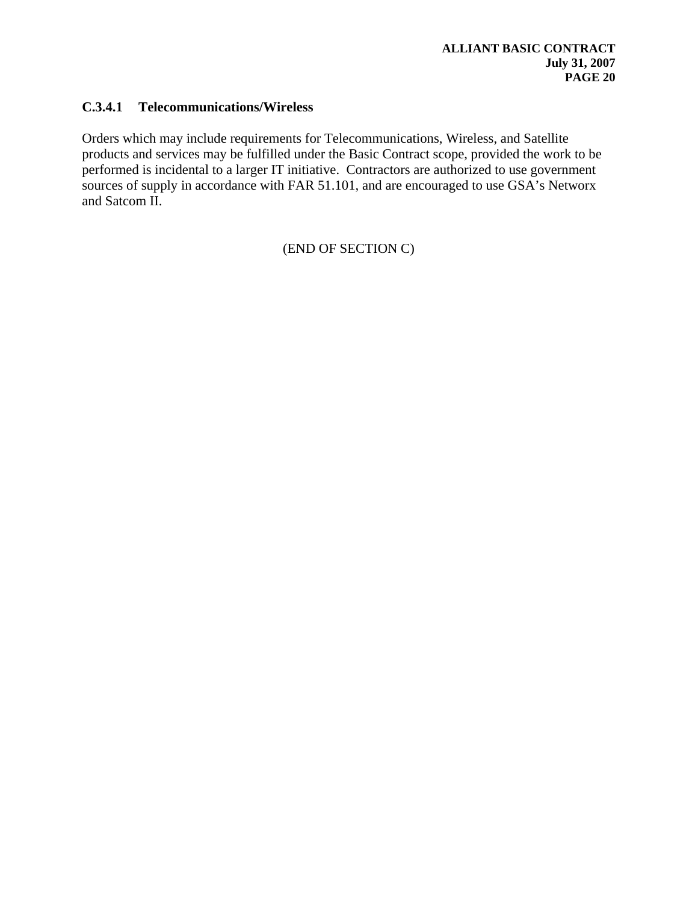#### **C.3.4.1 Telecommunications/Wireless**

Orders which may include requirements for Telecommunications, Wireless, and Satellite products and services may be fulfilled under the Basic Contract scope, provided the work to be performed is incidental to a larger IT initiative. Contractors are authorized to use government sources of supply in accordance with FAR 51.101, and are encouraged to use GSA's Networx and Satcom II.

(END OF SECTION C)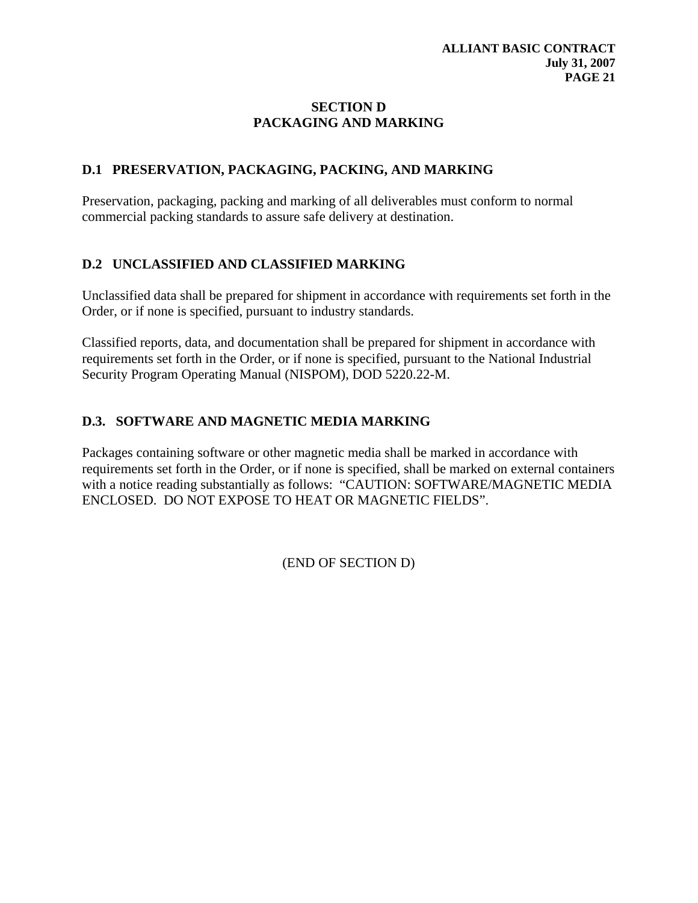### **SECTION D PACKAGING AND MARKING**

### **D.1 PRESERVATION, PACKAGING, PACKING, AND MARKING**

Preservation, packaging, packing and marking of all deliverables must conform to normal commercial packing standards to assure safe delivery at destination.

## **D.2 UNCLASSIFIED AND CLASSIFIED MARKING**

Unclassified data shall be prepared for shipment in accordance with requirements set forth in the Order, or if none is specified, pursuant to industry standards.

Classified reports, data, and documentation shall be prepared for shipment in accordance with requirements set forth in the Order, or if none is specified, pursuant to the National Industrial Security Program Operating Manual (NISPOM), DOD 5220.22-M.

### **D.3. SOFTWARE AND MAGNETIC MEDIA MARKING**

Packages containing software or other magnetic media shall be marked in accordance with requirements set forth in the Order, or if none is specified, shall be marked on external containers with a notice reading substantially as follows: "CAUTION: SOFTWARE/MAGNETIC MEDIA ENCLOSED. DO NOT EXPOSE TO HEAT OR MAGNETIC FIELDS".

(END OF SECTION D)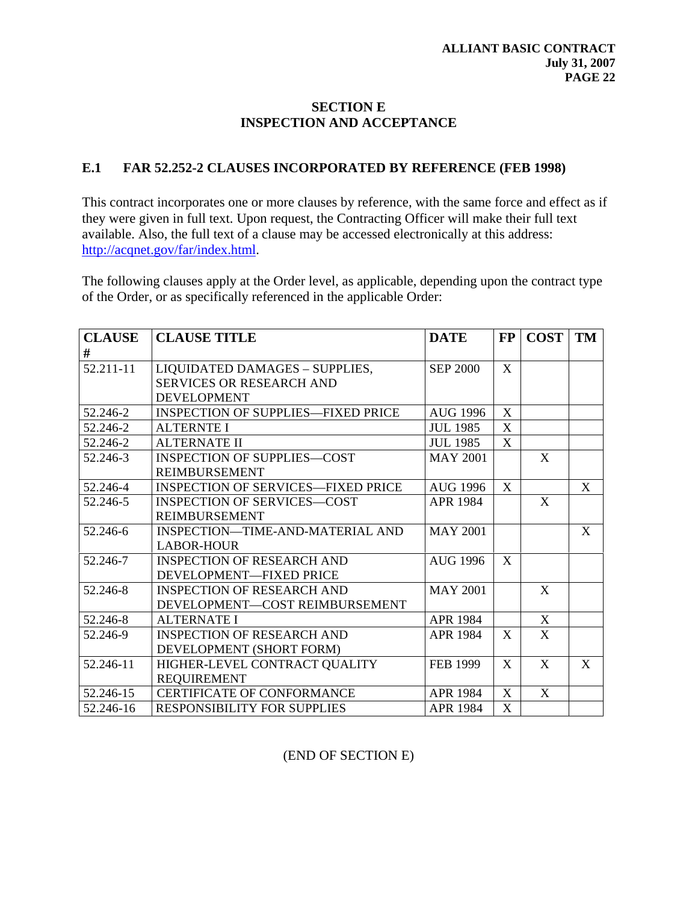### **SECTION E INSPECTION AND ACCEPTANCE**

#### **E.1 FAR 52.252-2 CLAUSES INCORPORATED BY REFERENCE (FEB 1998)**

This contract incorporates one or more clauses by reference, with the same force and effect as if they were given in full text. Upon request, the Contracting Officer will make their full text available. Also, the full text of a clause may be accessed electronically at this address: [http://acqnet.gov/far/index.html.](http://acqnet.gov/far/index.html)

The following clauses apply at the Order level, as applicable, depending upon the contract type of the Order, or as specifically referenced in the applicable Order:

| <b>CLAUSE</b> | <b>CLAUSE TITLE</b>                       | <b>DATE</b>     | $\bf FP$    | <b>COST</b>  | <b>TM</b> |
|---------------|-------------------------------------------|-----------------|-------------|--------------|-----------|
| #             |                                           |                 |             |              |           |
| 52.211-11     | LIQUIDATED DAMAGES - SUPPLIES,            | <b>SEP 2000</b> | X           |              |           |
|               | <b>SERVICES OR RESEARCH AND</b>           |                 |             |              |           |
|               | <b>DEVELOPMENT</b>                        |                 |             |              |           |
| 52.246-2      | <b>INSPECTION OF SUPPLIES—FIXED PRICE</b> | AUG 1996        | X           |              |           |
| 52.246-2      | <b>ALTERNTE I</b>                         | <b>JUL 1985</b> | X           |              |           |
| 52.246-2      | <b>ALTERNATE II</b>                       | <b>JUL 1985</b> | $\mathbf X$ |              |           |
| 52.246-3      | <b>INSPECTION OF SUPPLIES-COST</b>        | <b>MAY 2001</b> |             | X            |           |
|               | <b>REIMBURSEMENT</b>                      |                 |             |              |           |
| 52.246-4      | <b>INSPECTION OF SERVICES—FIXED PRICE</b> | <b>AUG 1996</b> | X           |              | X         |
| 52.246-5      | <b>INSPECTION OF SERVICES-COST</b>        | <b>APR 1984</b> |             | X            |           |
|               | <b>REIMBURSEMENT</b>                      |                 |             |              |           |
| 52.246-6      | INSPECTION—TIME-AND-MATERIAL AND          | <b>MAY 2001</b> |             |              | X         |
|               | <b>LABOR-HOUR</b>                         |                 |             |              |           |
| 52.246-7      | <b>INSPECTION OF RESEARCH AND</b>         | <b>AUG 1996</b> | X           |              |           |
|               | DEVELOPMENT-FIXED PRICE                   |                 |             |              |           |
| 52.246-8      | <b>INSPECTION OF RESEARCH AND</b>         | <b>MAY 2001</b> |             | X            |           |
|               | DEVELOPMENT-COST REIMBURSEMENT            |                 |             |              |           |
| 52.246-8      | <b>ALTERNATE I</b>                        | <b>APR 1984</b> |             | $\mathbf X$  |           |
| 52.246-9      | <b>INSPECTION OF RESEARCH AND</b>         | <b>APR 1984</b> | X           | $\mathbf{X}$ |           |
|               | DEVELOPMENT (SHORT FORM)                  |                 |             |              |           |
| 52.246-11     | HIGHER-LEVEL CONTRACT QUALITY             | <b>FEB 1999</b> | X           | X            | X         |
|               | <b>REQUIREMENT</b>                        |                 |             |              |           |
| 52.246-15     | <b>CERTIFICATE OF CONFORMANCE</b>         | <b>APR 1984</b> | X           | X            |           |
| 52.246-16     | RESPONSIBILITY FOR SUPPLIES               | <b>APR 1984</b> | $\mathbf X$ |              |           |

(END OF SECTION E)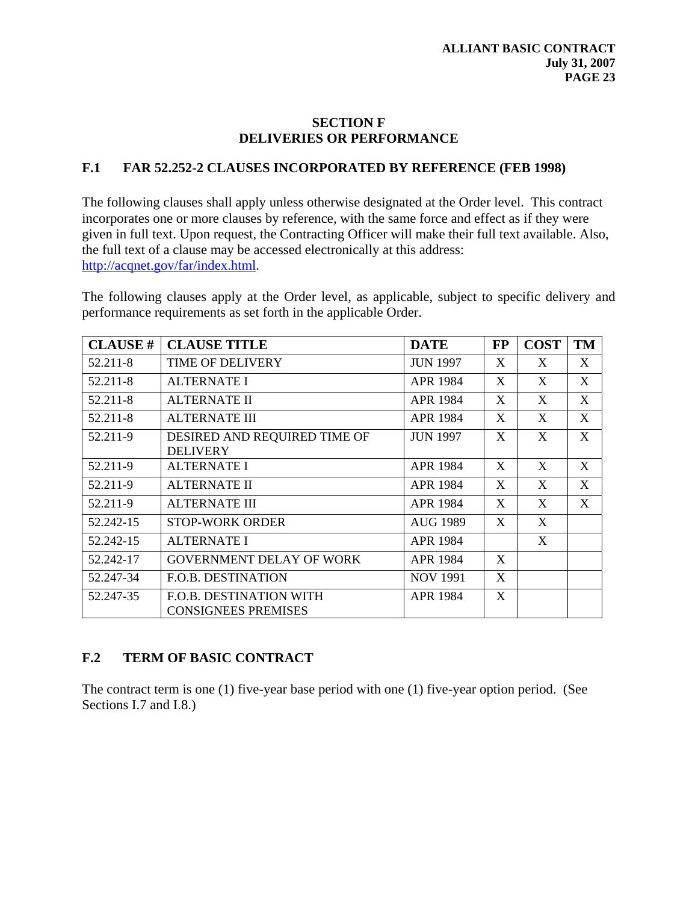#### **SECTION F DELIVERIES OR PERFORMANCE**

#### **F.1 FAR 52.252-2 CLAUSES INCORPORATED BY REFERENCE (FEB 1998)**

The following clauses shall apply unless otherwise designated at the Order level. This contract incorporates one or more clauses by reference, with the same force and effect as if they were given in full text. Upon request, the Contracting Officer will make their full text available. Also, the full text of a clause may be accessed electronically at this address: [http://acqnet.gov/far/index.html.](http://acqnet.gov/far/index.html)

The following clauses apply at the Order level, as applicable, subject to specific delivery and performance requirements as set forth in the applicable Order.

| <b>CLAUSE #</b> | <b>CLAUSE TITLE</b>                                          | <b>DATE</b>     | <b>FP</b> | <b>COST</b> | <b>TM</b> |
|-----------------|--------------------------------------------------------------|-----------------|-----------|-------------|-----------|
| 52.211-8        | <b>TIME OF DELIVERY</b>                                      | <b>JUN 1997</b> | X         | X           | X         |
| 52.211-8        | <b>ALTERNATE I</b>                                           | APR 1984        | X         | X           | X         |
| 52.211-8        | <b>ALTERNATE II</b>                                          | APR 1984        | X         | X           | X         |
| 52.211-8        | <b>ALTERNATE III</b>                                         | APR 1984        | X         | X           | X         |
| 52.211-9        | DESIRED AND REQUIRED TIME OF<br><b>DELIVERY</b>              | <b>JUN 1997</b> | X         | X           | X         |
| 52.211-9        | <b>ALTERNATE I</b>                                           | <b>APR 1984</b> | X         | X           | X         |
| 52.211-9        | <b>ALTERNATE II</b>                                          | APR 1984        | X         | X           | X         |
| 52.211-9        | <b>ALTERNATE III</b>                                         | <b>APR 1984</b> | X         | X           | X         |
| 52.242-15       | <b>STOP-WORK ORDER</b>                                       | <b>AUG 1989</b> | X         | X           |           |
| 52.242-15       | <b>ALTERNATE I</b>                                           | APR 1984        |           | X           |           |
| 52.242-17       | <b>GOVERNMENT DELAY OF WORK</b>                              | APR 1984        | X         |             |           |
| 52.247-34       | <b>F.O.B. DESTINATION</b>                                    | <b>NOV 1991</b> | X         |             |           |
| 52.247-35       | <b>F.O.B. DESTINATION WITH</b><br><b>CONSIGNEES PREMISES</b> | APR 1984        | X         |             |           |

### **F.2 TERM OF BASIC CONTRACT**

The contract term is one (1) five-year base period with one (1) five-year option period. (See Sections I.7 and I.8.)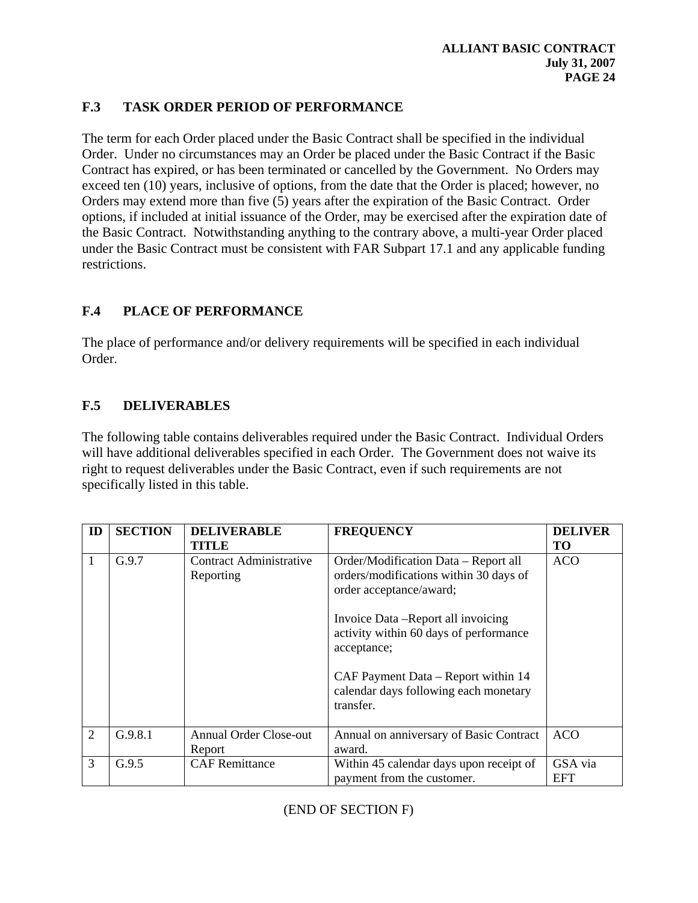## **F.3 TASK ORDER PERIOD OF PERFORMANCE**

The term for each Order placed under the Basic Contract shall be specified in the individual Order. Under no circumstances may an Order be placed under the Basic Contract if the Basic Contract has expired, or has been terminated or cancelled by the Government. No Orders may exceed ten (10) years, inclusive of options, from the date that the Order is placed; however, no Orders may extend more than five (5) years after the expiration of the Basic Contract. Order options, if included at initial issuance of the Order, may be exercised after the expiration date of the Basic Contract. Notwithstanding anything to the contrary above, a multi-year Order placed under the Basic Contract must be consistent with FAR Subpart 17.1 and any applicable funding restrictions.

## **F.4 PLACE OF PERFORMANCE**

The place of performance and/or delivery requirements will be specified in each individual Order.

## **F.5 DELIVERABLES**

The following table contains deliverables required under the Basic Contract. Individual Orders will have additional deliverables specified in each Order. The Government does not waive its right to request deliverables under the Basic Contract, even if such requirements are not specifically listed in this table.

| ID | <b>SECTION</b> | <b>DELIVERABLE</b><br><b>TITLE</b>      | <b>FREQUENCY</b>                                                                                                                                                                                                                                | <b>DELIVER</b><br>TO  |
|----|----------------|-----------------------------------------|-------------------------------------------------------------------------------------------------------------------------------------------------------------------------------------------------------------------------------------------------|-----------------------|
|    | G.9.7          | Contract Administrative<br>Reporting    | Order/Modification Data – Report all<br>orders/modifications within 30 days of<br>order acceptance/award;<br>Invoice Data -Report all invoicing<br>activity within 60 days of performance<br>acceptance;<br>CAF Payment Data – Report within 14 | <b>ACO</b>            |
|    |                |                                         | calendar days following each monetary<br>transfer.                                                                                                                                                                                              |                       |
| 2  | G.9.8.1        | <b>Annual Order Close-out</b><br>Report | Annual on anniversary of Basic Contract<br>award.                                                                                                                                                                                               | <b>ACO</b>            |
| 3  | G.9.5          | <b>CAF</b> Remittance                   | Within 45 calendar days upon receipt of<br>payment from the customer.                                                                                                                                                                           | GSA via<br><b>EFT</b> |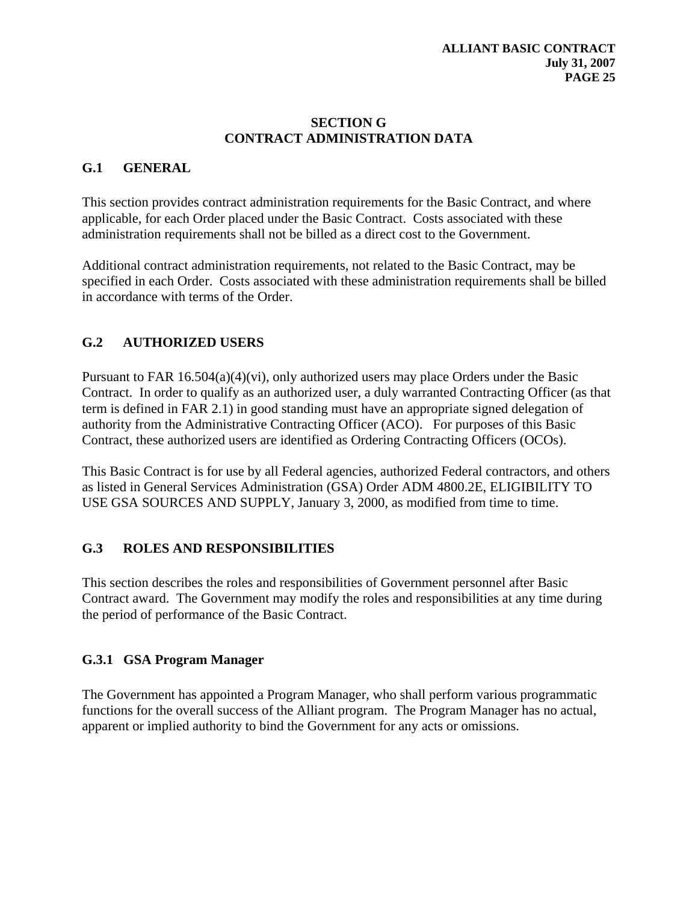#### **SECTION G CONTRACT ADMINISTRATION DATA**

### **G.1 GENERAL**

This section provides contract administration requirements for the Basic Contract, and where applicable, for each Order placed under the Basic Contract. Costs associated with these administration requirements shall not be billed as a direct cost to the Government.

Additional contract administration requirements, not related to the Basic Contract, may be specified in each Order. Costs associated with these administration requirements shall be billed in accordance with terms of the Order.

## **G.2 AUTHORIZED USERS**

Pursuant to FAR  $16.504(a)(4)(vi)$ , only authorized users may place Orders under the Basic Contract. In order to qualify as an authorized user, a duly warranted Contracting Officer (as that term is defined in FAR 2.1) in good standing must have an appropriate signed delegation of authority from the Administrative Contracting Officer (ACO). For purposes of this Basic Contract, these authorized users are identified as Ordering Contracting Officers (OCOs).

This Basic Contract is for use by all Federal agencies, authorized Federal contractors, and others as listed in General Services Administration (GSA) Order ADM 4800.2E, ELIGIBILITY TO USE GSA SOURCES AND SUPPLY, January 3, 2000, as modified from time to time.

### **G.3 ROLES AND RESPONSIBILITIES**

This section describes the roles and responsibilities of Government personnel after Basic Contract award. The Government may modify the roles and responsibilities at any time during the period of performance of the Basic Contract.

### **G.3.1 GSA Program Manager**

The Government has appointed a Program Manager, who shall perform various programmatic functions for the overall success of the Alliant program. The Program Manager has no actual, apparent or implied authority to bind the Government for any acts or omissions.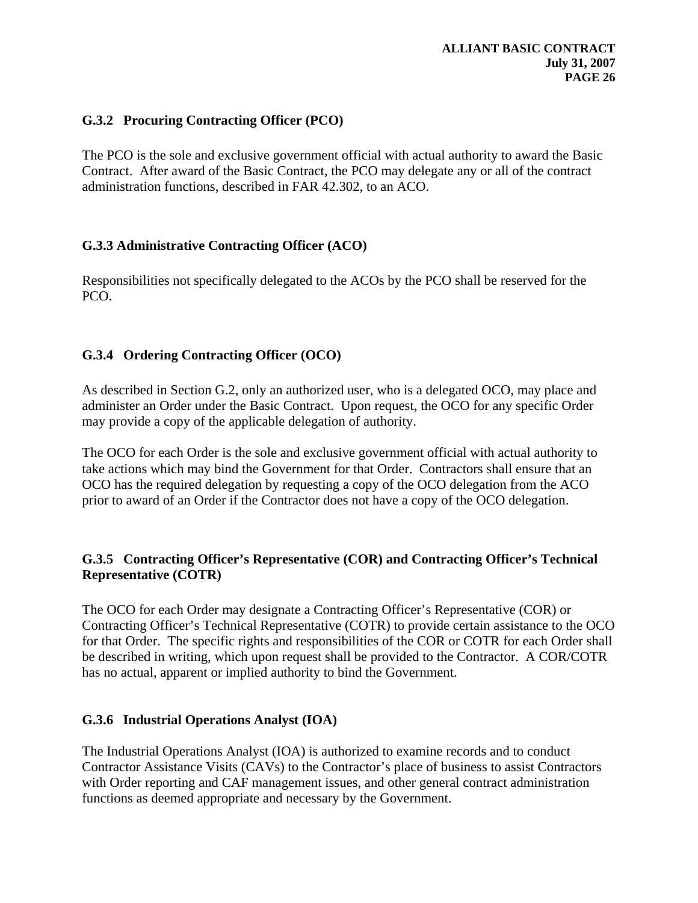#### **G.3.2 Procuring Contracting Officer (PCO)**

The PCO is the sole and exclusive government official with actual authority to award the Basic Contract. After award of the Basic Contract, the PCO may delegate any or all of the contract administration functions, described in FAR 42.302, to an ACO.

#### **G.3.3 Administrative Contracting Officer (ACO)**

Responsibilities not specifically delegated to the ACOs by the PCO shall be reserved for the PCO.

#### **G.3.4 Ordering Contracting Officer (OCO)**

As described in Section G.2, only an authorized user, who is a delegated OCO, may place and administer an Order under the Basic Contract. Upon request, the OCO for any specific Order may provide a copy of the applicable delegation of authority.

The OCO for each Order is the sole and exclusive government official with actual authority to take actions which may bind the Government for that Order. Contractors shall ensure that an OCO has the required delegation by requesting a copy of the OCO delegation from the ACO prior to award of an Order if the Contractor does not have a copy of the OCO delegation.

### **G.3.5 Contracting Officer's Representative (COR) and Contracting Officer's Technical Representative (COTR)**

The OCO for each Order may designate a Contracting Officer's Representative (COR) or Contracting Officer's Technical Representative (COTR) to provide certain assistance to the OCO for that Order. The specific rights and responsibilities of the COR or COTR for each Order shall be described in writing, which upon request shall be provided to the Contractor. A COR/COTR has no actual, apparent or implied authority to bind the Government.

#### **G.3.6 Industrial Operations Analyst (IOA)**

The Industrial Operations Analyst (IOA) is authorized to examine records and to conduct Contractor Assistance Visits (CAVs) to the Contractor's place of business to assist Contractors with Order reporting and CAF management issues, and other general contract administration functions as deemed appropriate and necessary by the Government.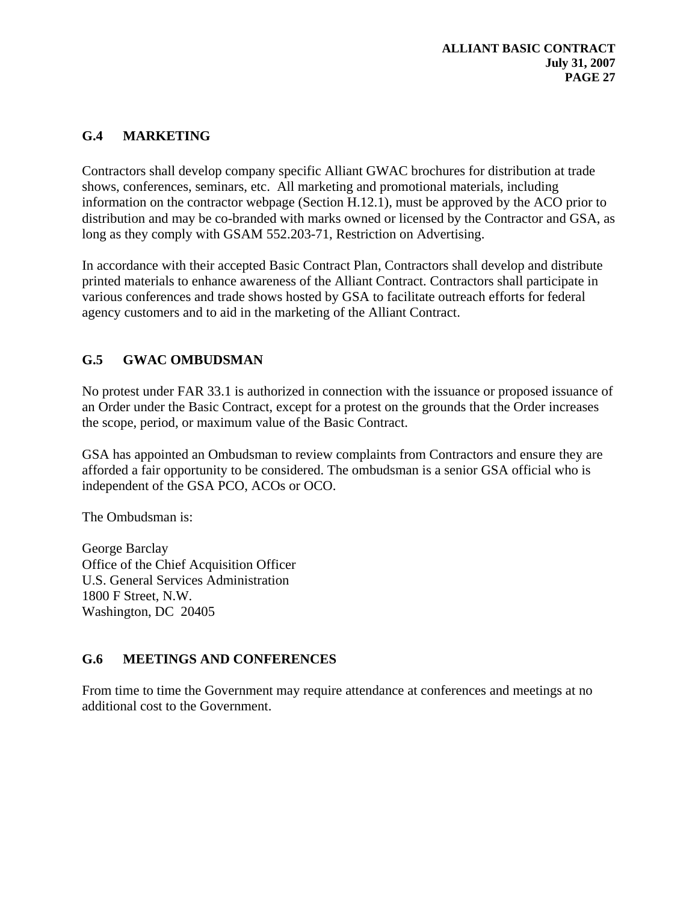# **G.4 MARKETING**

Contractors shall develop company specific Alliant GWAC brochures for distribution at trade shows, conferences, seminars, etc. All marketing and promotional materials, including information on the contractor webpage (Section H.12.1), must be approved by the ACO prior to distribution and may be co-branded with marks owned or licensed by the Contractor and GSA, as long as they comply with GSAM 552.203-71, Restriction on Advertising.

In accordance with their accepted Basic Contract Plan, Contractors shall develop and distribute printed materials to enhance awareness of the Alliant Contract. Contractors shall participate in various conferences and trade shows hosted by GSA to facilitate outreach efforts for federal agency customers and to aid in the marketing of the Alliant Contract.

## **G.5 GWAC OMBUDSMAN**

No protest under FAR 33.1 is authorized in connection with the issuance or proposed issuance of an Order under the Basic Contract, except for a protest on the grounds that the Order increases the scope, period, or maximum value of the Basic Contract.

GSA has appointed an Ombudsman to review complaints from Contractors and ensure they are afforded a fair opportunity to be considered. The ombudsman is a senior GSA official who is independent of the GSA PCO, ACOs or OCO.

The Ombudsman is:

George Barclay Office of the Chief Acquisition Officer U.S. General Services Administration 1800 F Street, N.W. Washington, DC 20405

### **G.6 MEETINGS AND CONFERENCES**

From time to time the Government may require attendance at conferences and meetings at no additional cost to the Government.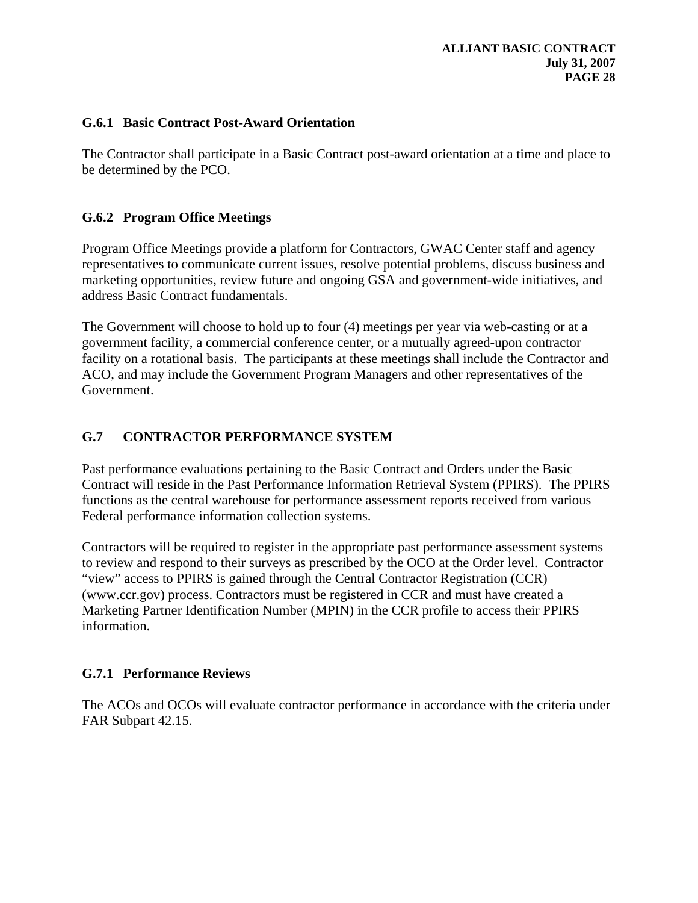#### **G.6.1 Basic Contract Post-Award Orientation**

The Contractor shall participate in a Basic Contract post-award orientation at a time and place to be determined by the PCO.

#### **G.6.2 Program Office Meetings**

Program Office Meetings provide a platform for Contractors, GWAC Center staff and agency representatives to communicate current issues, resolve potential problems, discuss business and marketing opportunities, review future and ongoing GSA and government-wide initiatives, and address Basic Contract fundamentals.

The Government will choose to hold up to four (4) meetings per year via web-casting or at a government facility, a commercial conference center, or a mutually agreed-upon contractor facility on a rotational basis. The participants at these meetings shall include the Contractor and ACO, and may include the Government Program Managers and other representatives of the Government.

### **G.7 CONTRACTOR PERFORMANCE SYSTEM**

Past performance evaluations pertaining to the Basic Contract and Orders under the Basic Contract will reside in the Past Performance Information Retrieval System (PPIRS). The PPIRS functions as the central warehouse for performance assessment reports received from various Federal performance information collection systems.

Contractors will be required to register in the appropriate past performance assessment systems to review and respond to their surveys as prescribed by the OCO at the Order level. Contractor "view" access to PPIRS is gained through the Central Contractor Registration (CCR) (www.ccr.gov) process. Contractors must be registered in CCR and must have created a Marketing Partner Identification Number (MPIN) in the CCR profile to access their PPIRS information.

### **G.7.1 Performance Reviews**

The ACOs and OCOs will evaluate contractor performance in accordance with the criteria under FAR Subpart 42.15.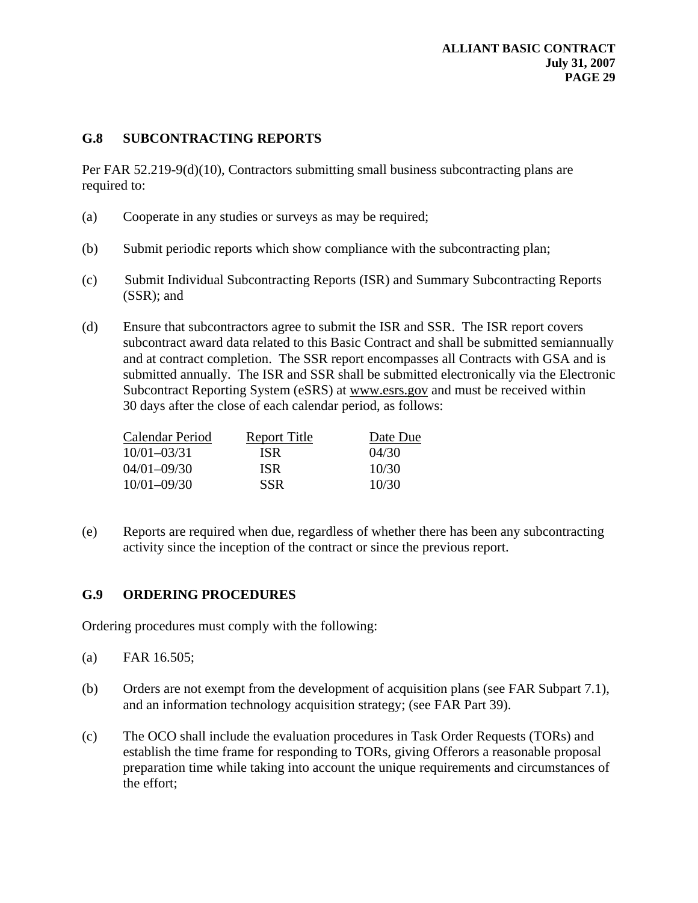#### **G.8 SUBCONTRACTING REPORTS**

Per FAR 52.219-9(d)(10), Contractors submitting small business subcontracting plans are required to:

- (a) Cooperate in any studies or surveys as may be required;
- (b) Submit periodic reports which show compliance with the subcontracting plan;
- (c) Submit Individual Subcontracting Reports (ISR) and Summary Subcontracting Reports (SSR); and
- (d) Ensure that subcontractors agree to submit the ISR and SSR. The ISR report covers subcontract award data related to this Basic Contract and shall be submitted semiannually and at contract completion. The SSR report encompasses all Contracts with GSA and is submitted annually. The ISR and SSR shall be submitted electronically via the Electronic Subcontract Reporting System (eSRS) at www.esrs.gov and must be received within 30 days after the close of each calendar period, as follows:

| Calendar Period | <b>Report Title</b> | Date Due |
|-----------------|---------------------|----------|
| $10/01 - 03/31$ | ISR.                | 04/30    |
| 04/01-09/30     | ISR.                | 10/30    |
| $10/01 - 09/30$ | <b>SSR</b>          | 10/30    |

(e) Reports are required when due, regardless of whether there has been any subcontracting activity since the inception of the contract or since the previous report.

#### **G.9 ORDERING PROCEDURES**

Ordering procedures must comply with the following:

- (a) FAR 16.505;
- (b) Orders are not exempt from the development of acquisition plans (see FAR Subpart 7.1), and an information technology acquisition strategy; (see FAR Part 39).
- (c) The OCO shall include the evaluation procedures in Task Order Requests (TORs) and establish the time frame for responding to TORs, giving Offerors a reasonable proposal preparation time while taking into account the unique requirements and circumstances of the effort;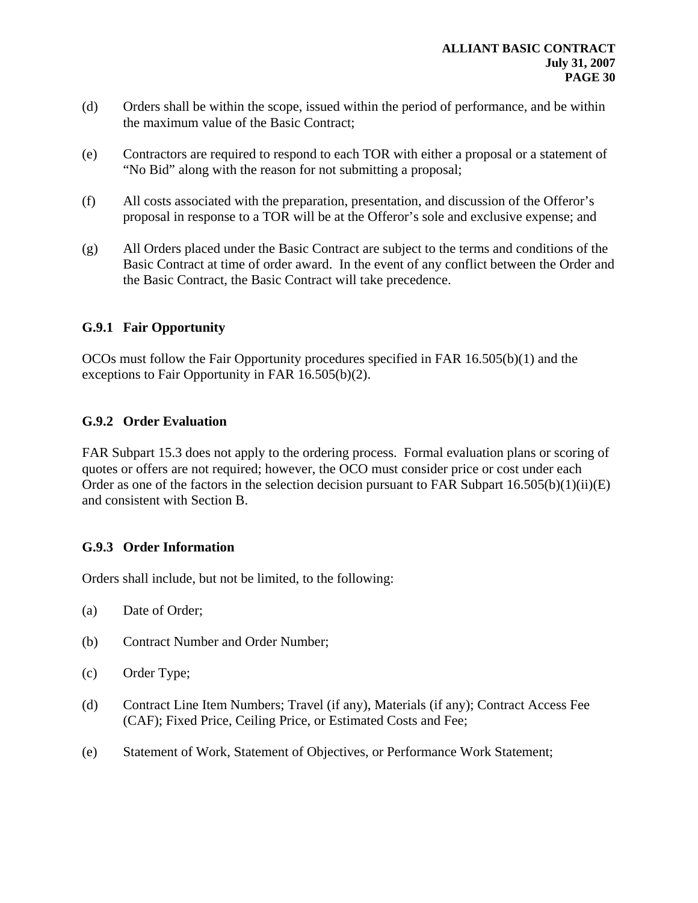- (d) Orders shall be within the scope, issued within the period of performance, and be within the maximum value of the Basic Contract;
- (e) Contractors are required to respond to each TOR with either a proposal or a statement of "No Bid" along with the reason for not submitting a proposal;
- (f) All costs associated with the preparation, presentation, and discussion of the Offeror's proposal in response to a TOR will be at the Offeror's sole and exclusive expense; and
- (g) All Orders placed under the Basic Contract are subject to the terms and conditions of the Basic Contract at time of order award. In the event of any conflict between the Order and the Basic Contract, the Basic Contract will take precedence.

#### **G.9.1 Fair Opportunity**

OCOs must follow the Fair Opportunity procedures specified in FAR 16.505(b)(1) and the exceptions to Fair Opportunity in FAR 16.505(b)(2).

#### **G.9.2 Order Evaluation**

FAR Subpart 15.3 does not apply to the ordering process. Formal evaluation plans or scoring of quotes or offers are not required; however, the OCO must consider price or cost under each Order as one of the factors in the selection decision pursuant to FAR Subpart  $16.505(b)(1)(ii)(E)$ and consistent with Section B.

### **G.9.3 Order Information**

Orders shall include, but not be limited, to the following:

- (a) Date of Order;
- (b) Contract Number and Order Number;
- (c) Order Type;
- (d) Contract Line Item Numbers; Travel (if any), Materials (if any); Contract Access Fee (CAF); Fixed Price, Ceiling Price, or Estimated Costs and Fee;
- (e) Statement of Work, Statement of Objectives, or Performance Work Statement;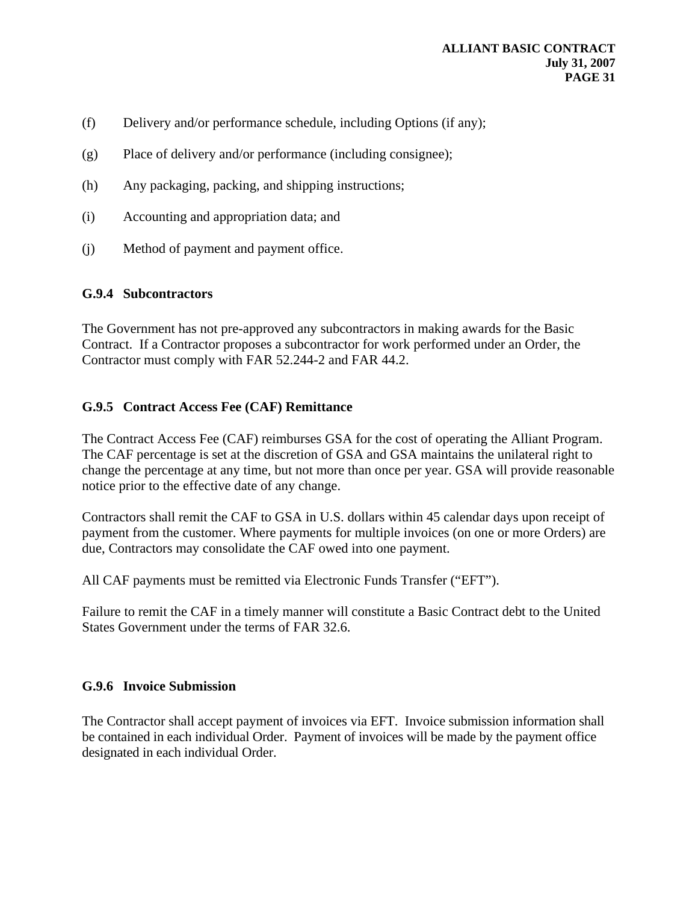- (f) Delivery and/or performance schedule, including Options (if any);
- (g) Place of delivery and/or performance (including consignee);
- (h) Any packaging, packing, and shipping instructions;
- (i) Accounting and appropriation data; and
- (j) Method of payment and payment office.

#### **G.9.4 Subcontractors**

The Government has not pre-approved any subcontractors in making awards for the Basic Contract. If a Contractor proposes a subcontractor for work performed under an Order, the Contractor must comply with FAR 52.244-2 and FAR 44.2.

#### **G.9.5 Contract Access Fee (CAF) Remittance**

The Contract Access Fee (CAF) reimburses GSA for the cost of operating the Alliant Program. The CAF percentage is set at the discretion of GSA and GSA maintains the unilateral right to change the percentage at any time, but not more than once per year. GSA will provide reasonable notice prior to the effective date of any change.

Contractors shall remit the CAF to GSA in U.S. dollars within 45 calendar days upon receipt of payment from the customer. Where payments for multiple invoices (on one or more Orders) are due, Contractors may consolidate the CAF owed into one payment.

All CAF payments must be remitted via Electronic Funds Transfer ("EFT").

Failure to remit the CAF in a timely manner will constitute a Basic Contract debt to the United States Government under the terms of FAR 32.6.

#### **G.9.6 Invoice Submission**

The Contractor shall accept payment of invoices via EFT. Invoice submission information shall be contained in each individual Order. Payment of invoices will be made by the payment office designated in each individual Order.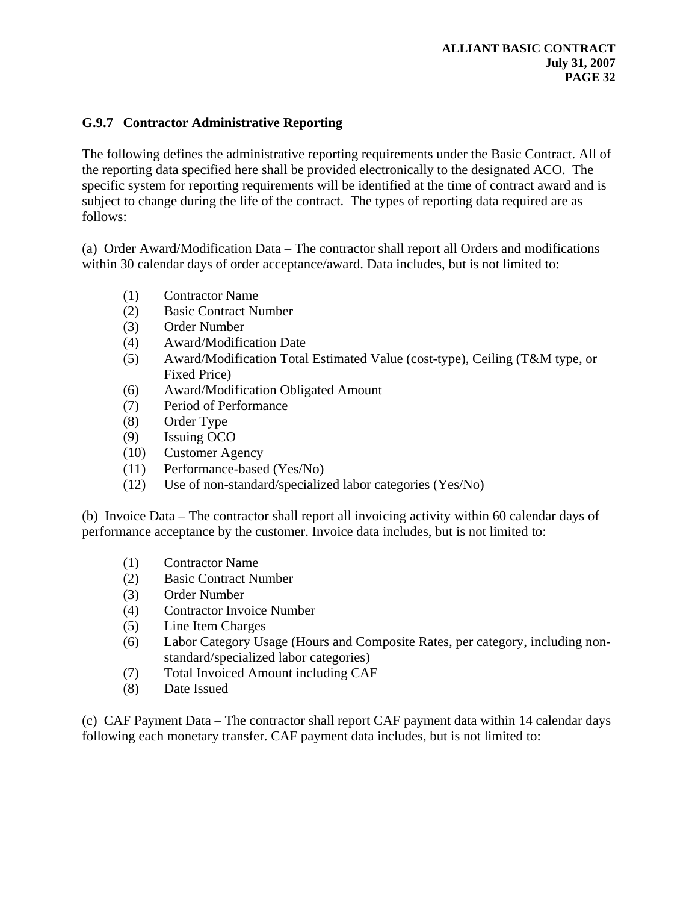### **G.9.7 Contractor Administrative Reporting**

The following defines the administrative reporting requirements under the Basic Contract. All of the reporting data specified here shall be provided electronically to the designated ACO. The specific system for reporting requirements will be identified at the time of contract award and is subject to change during the life of the contract. The types of reporting data required are as follows:

(a) Order Award/Modification Data – The contractor shall report all Orders and modifications within 30 calendar days of order acceptance/award. Data includes, but is not limited to:

- (1) Contractor Name
- (2) Basic Contract Number
- (3) Order Number
- (4) Award/Modification Date
- (5) Award/Modification Total Estimated Value (cost-type), Ceiling (T&M type, or Fixed Price)
- (6) Award/Modification Obligated Amount
- (7) Period of Performance
- (8) Order Type
- (9) Issuing OCO
- (10) Customer Agency
- (11) Performance-based (Yes/No)
- (12) Use of non-standard/specialized labor categories (Yes/No)

(b) Invoice Data – The contractor shall report all invoicing activity within 60 calendar days of performance acceptance by the customer. Invoice data includes, but is not limited to:

- (1) Contractor Name
- (2) Basic Contract Number
- (3) Order Number
- (4) Contractor Invoice Number
- (5) Line Item Charges
- (6) Labor Category Usage (Hours and Composite Rates, per category, including nonstandard/specialized labor categories)
- (7) Total Invoiced Amount including CAF
- (8) Date Issued

(c) CAF Payment Data – The contractor shall report CAF payment data within 14 calendar days following each monetary transfer. CAF payment data includes, but is not limited to: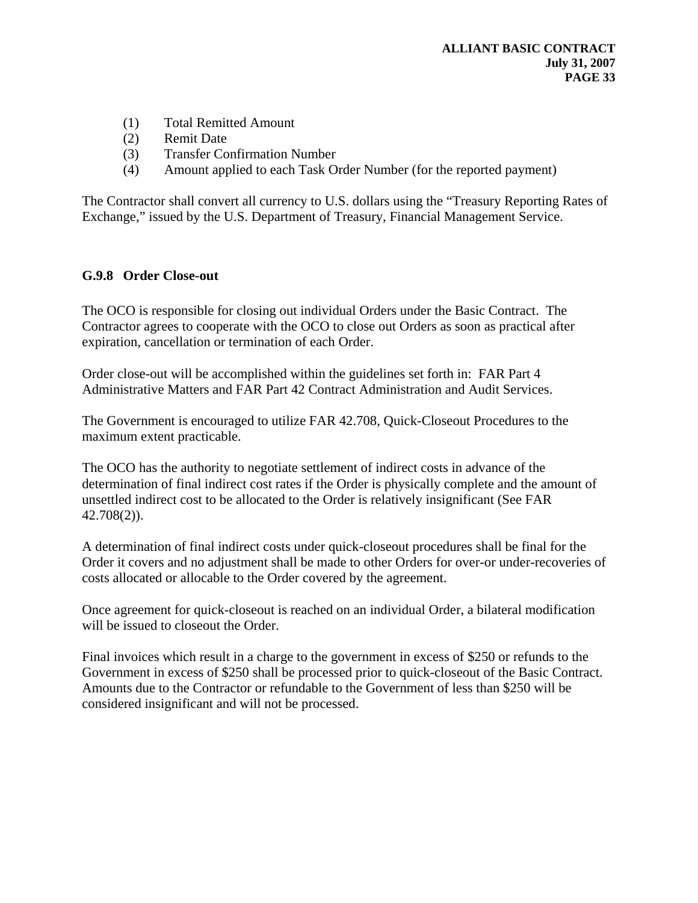- (1) Total Remitted Amount
- (2) Remit Date
- (3) Transfer Confirmation Number
- (4) Amount applied to each Task Order Number (for the reported payment)

The Contractor shall convert all currency to U.S. dollars using the "Treasury Reporting Rates of Exchange," issued by the U.S. Department of Treasury, Financial Management Service.

#### **G.9.8 Order Close-out**

The OCO is responsible for closing out individual Orders under the Basic Contract. The Contractor agrees to cooperate with the OCO to close out Orders as soon as practical after expiration, cancellation or termination of each Order.

Order close-out will be accomplished within the guidelines set forth in: FAR Part 4 Administrative Matters and FAR Part 42 Contract Administration and Audit Services.

The Government is encouraged to utilize FAR 42.708, Quick-Closeout Procedures to the maximum extent practicable.

The OCO has the authority to negotiate settlement of indirect costs in advance of the determination of final indirect cost rates if the Order is physically complete and the amount of unsettled indirect cost to be allocated to the Order is relatively insignificant (See FAR 42.708(2)).

A determination of final indirect costs under quick-closeout procedures shall be final for the Order it covers and no adjustment shall be made to other Orders for over-or under-recoveries of costs allocated or allocable to the Order covered by the agreement.

Once agreement for quick-closeout is reached on an individual Order, a bilateral modification will be issued to closeout the Order.

Final invoices which result in a charge to the government in excess of \$250 or refunds to the Government in excess of \$250 shall be processed prior to quick-closeout of the Basic Contract. Amounts due to the Contractor or refundable to the Government of less than \$250 will be considered insignificant and will not be processed.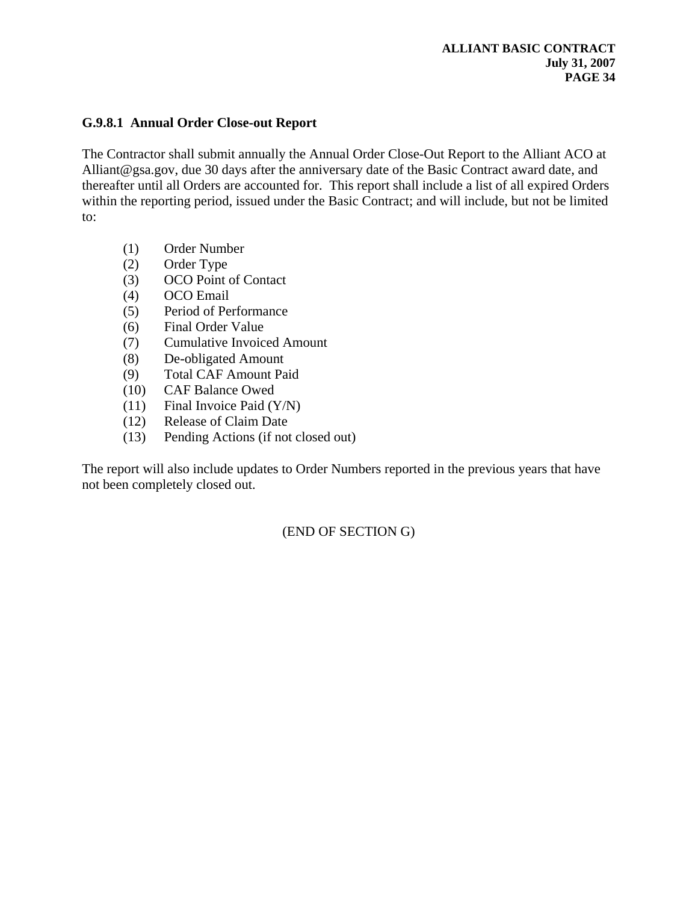#### **G.9.8.1 Annual Order Close-out Report**

The Contractor shall submit annually the Annual Order Close-Out Report to the Alliant ACO at Alliant@gsa.gov, due 30 days after the anniversary date of the Basic Contract award date, and thereafter until all Orders are accounted for. This report shall include a list of all expired Orders within the reporting period, issued under the Basic Contract; and will include, but not be limited to:

- (1) Order Number
- (2) Order Type
- (3) OCO Point of Contact
- (4) OCO Email
- (5) Period of Performance
- (6) Final Order Value
- (7) Cumulative Invoiced Amount
- (8) De-obligated Amount
- (9) Total CAF Amount Paid
- (10) CAF Balance Owed
- (11) Final Invoice Paid (Y/N)
- (12) Release of Claim Date
- (13) Pending Actions (if not closed out)

The report will also include updates to Order Numbers reported in the previous years that have not been completely closed out.

(END OF SECTION G)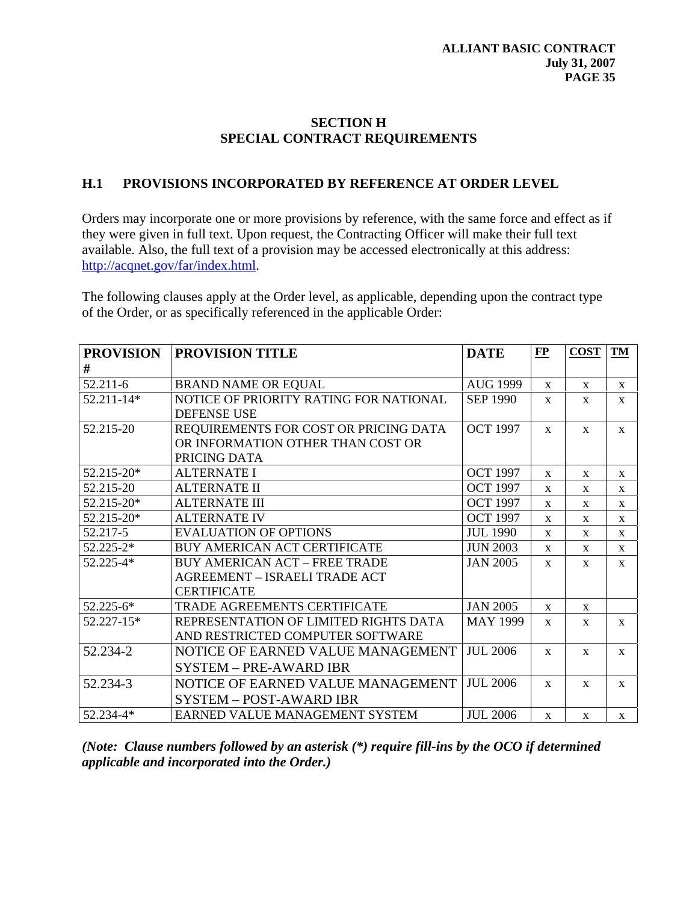#### **SECTION H SPECIAL CONTRACT REQUIREMENTS**

#### **H.1 PROVISIONS INCORPORATED BY REFERENCE AT ORDER LEVEL**

Orders may incorporate one or more provisions by reference, with the same force and effect as if they were given in full text. Upon request, the Contracting Officer will make their full text available. Also, the full text of a provision may be accessed electronically at this address: [http://acqnet.gov/far/index.html.](http://acqnet.gov/far/index.html)

The following clauses apply at the Order level, as applicable, depending upon the contract type of the Order, or as specifically referenced in the applicable Order:

| <b>PROVISION</b> | <b>PROVISION TITLE</b>                 | <b>DATE</b>     | E            | <b>COST</b>  | <b>TM</b>    |
|------------------|----------------------------------------|-----------------|--------------|--------------|--------------|
| #                |                                        |                 |              |              |              |
| 52.211-6         | <b>BRAND NAME OR EQUAL</b>             | <b>AUG 1999</b> | $\mathbf{X}$ | $\mathbf{x}$ | X            |
| 52.211-14*       | NOTICE OF PRIORITY RATING FOR NATIONAL | <b>SEP 1990</b> | $\mathbf{X}$ | $\mathbf{X}$ | $\mathbf{X}$ |
|                  | <b>DEFENSE USE</b>                     |                 |              |              |              |
| 52.215-20        | REQUIREMENTS FOR COST OR PRICING DATA  | <b>OCT 1997</b> | $\mathbf{x}$ | $\mathbf{x}$ | $\mathbf{x}$ |
|                  | OR INFORMATION OTHER THAN COST OR      |                 |              |              |              |
|                  | PRICING DATA                           |                 |              |              |              |
| 52.215-20*       | <b>ALTERNATE I</b>                     | <b>OCT 1997</b> | $\mathbf{x}$ | $\mathbf{x}$ | $\mathbf{x}$ |
| 52.215-20        | <b>ALTERNATE II</b>                    | <b>OCT 1997</b> | $\mathbf{X}$ | X            | X            |
| 52.215-20*       | <b>ALTERNATE III</b>                   | <b>OCT 1997</b> | $\mathbf{x}$ | $\mathbf{X}$ | $\mathbf X$  |
| $52.215 - 20*$   | <b>ALTERNATE IV</b>                    | <b>OCT 1997</b> | $\mathbf{x}$ | X            | X            |
| 52.217-5         | <b>EVALUATION OF OPTIONS</b>           | <b>JUL 1990</b> | $\mathbf{x}$ | $\mathbf{x}$ | $\mathbf{x}$ |
| $52.225 - 2*$    | BUY AMERICAN ACT CERTIFICATE           | <b>JUN 2003</b> | $\mathbf{x}$ | $\mathbf X$  | $\mathbf{X}$ |
| 52.225-4*        | <b>BUY AMERICAN ACT - FREE TRADE</b>   | <b>JAN 2005</b> | $\mathbf{x}$ | $\mathbf{x}$ | $\mathbf{x}$ |
|                  | AGREEMENT - ISRAELI TRADE ACT          |                 |              |              |              |
|                  | <b>CERTIFICATE</b>                     |                 |              |              |              |
| $52.225 - 6*$    | <b>TRADE AGREEMENTS CERTIFICATE</b>    | <b>JAN 2005</b> | $\mathbf{x}$ | $\mathbf{x}$ |              |
| 52.227-15*       | REPRESENTATION OF LIMITED RIGHTS DATA  | <b>MAY 1999</b> | $\mathbf{X}$ | $\mathbf X$  | $\mathbf{X}$ |
|                  | AND RESTRICTED COMPUTER SOFTWARE       |                 |              |              |              |
| 52.234-2         | NOTICE OF EARNED VALUE MANAGEMENT      | <b>JUL 2006</b> | $\mathbf{x}$ | $\mathbf X$  | $\mathbf X$  |
|                  | <b>SYSTEM - PRE-AWARD IBR</b>          |                 |              |              |              |
| 52.234-3         | NOTICE OF EARNED VALUE MANAGEMENT      | <b>JUL 2006</b> | $\mathbf{x}$ | $\mathbf{x}$ | $\mathbf{x}$ |
|                  | <b>SYSTEM - POST-AWARD IBR</b>         |                 |              |              |              |
| 52.234-4*        | EARNED VALUE MANAGEMENT SYSTEM         | <b>JUL 2006</b> | $\mathbf{X}$ | $\mathbf{X}$ | $\mathbf{X}$ |

*(Note: Clause numbers followed by an asterisk (\*) require fill-ins by the OCO if determined applicable and incorporated into the Order.)*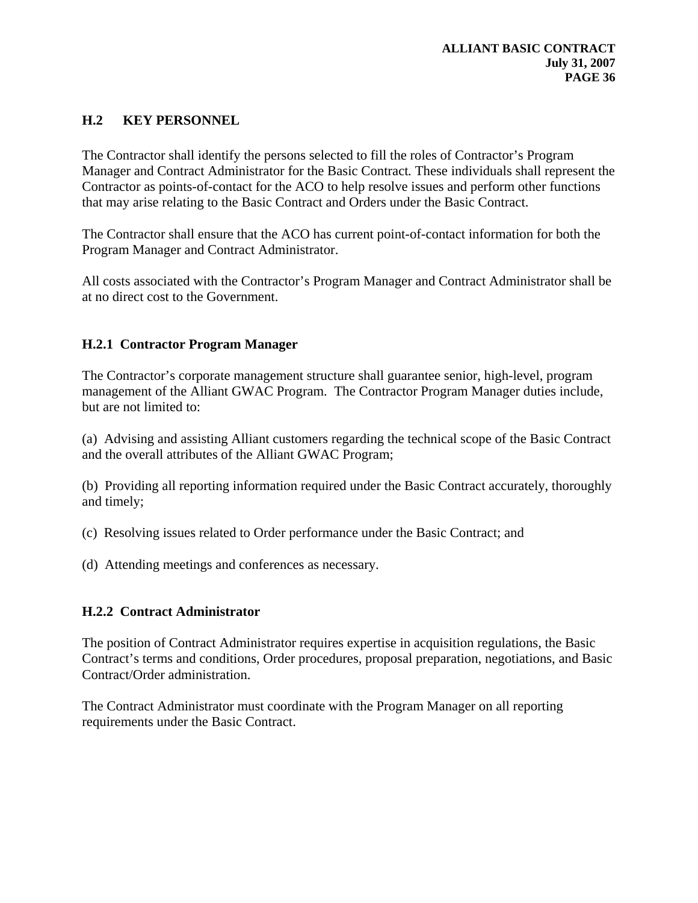### **H.2 KEY PERSONNEL**

The Contractor shall identify the persons selected to fill the roles of Contractor's Program Manager and Contract Administrator for the Basic Contract*.* These individuals shall represent the Contractor as points-of-contact for the ACO to help resolve issues and perform other functions that may arise relating to the Basic Contract and Orders under the Basic Contract.

The Contractor shall ensure that the ACO has current point-of-contact information for both the Program Manager and Contract Administrator.

All costs associated with the Contractor's Program Manager and Contract Administrator shall be at no direct cost to the Government.

### **H.2.1 Contractor Program Manager**

The Contractor's corporate management structure shall guarantee senior, high-level, program management of the Alliant GWAC Program. The Contractor Program Manager duties include, but are not limited to:

(a) Advising and assisting Alliant customers regarding the technical scope of the Basic Contract and the overall attributes of the Alliant GWAC Program;

(b) Providing all reporting information required under the Basic Contract accurately, thoroughly and timely;

(c) Resolving issues related to Order performance under the Basic Contract; and

(d) Attending meetings and conferences as necessary.

### **H.2.2 Contract Administrator**

The position of Contract Administrator requires expertise in acquisition regulations, the Basic Contract's terms and conditions, Order procedures, proposal preparation, negotiations, and Basic Contract/Order administration.

The Contract Administrator must coordinate with the Program Manager on all reporting requirements under the Basic Contract.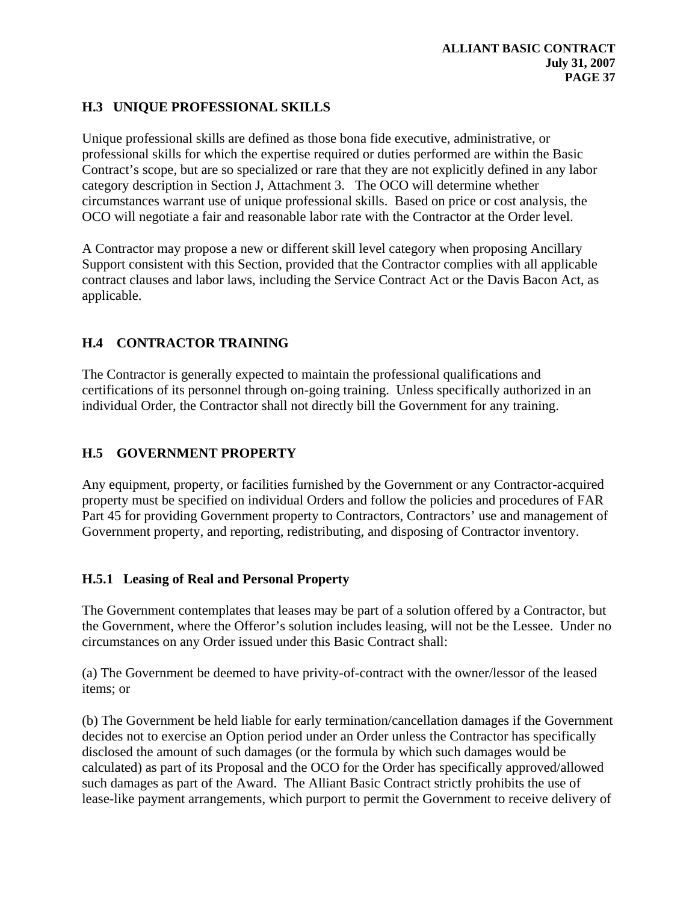# **H.3 UNIQUE PROFESSIONAL SKILLS**

Unique professional skills are defined as those bona fide executive, administrative, or professional skills for which the expertise required or duties performed are within the Basic Contract's scope, but are so specialized or rare that they are not explicitly defined in any labor category description in Section J, Attachment 3. The OCO will determine whether circumstances warrant use of unique professional skills. Based on price or cost analysis, the OCO will negotiate a fair and reasonable labor rate with the Contractor at the Order level.

A Contractor may propose a new or different skill level category when proposing Ancillary Support consistent with this Section, provided that the Contractor complies with all applicable contract clauses and labor laws, including the Service Contract Act or the Davis Bacon Act, as applicable.

# **H.4 CONTRACTOR TRAINING**

The Contractor is generally expected to maintain the professional qualifications and certifications of its personnel through on-going training. Unless specifically authorized in an individual Order, the Contractor shall not directly bill the Government for any training.

# **H.5 GOVERNMENT PROPERTY**

Any equipment, property, or facilities furnished by the Government or any Contractor-acquired property must be specified on individual Orders and follow the policies and procedures of FAR Part 45 for providing Government property to Contractors, Contractors' use and management of Government property, and reporting, redistributing, and disposing of Contractor inventory.

# **H.5.1 Leasing of Real and Personal Property**

The Government contemplates that leases may be part of a solution offered by a Contractor, but the Government, where the Offeror's solution includes leasing, will not be the Lessee. Under no circumstances on any Order issued under this Basic Contract shall:

(a) The Government be deemed to have privity-of-contract with the owner/lessor of the leased items; or

(b) The Government be held liable for early termination/cancellation damages if the Government decides not to exercise an Option period under an Order unless the Contractor has specifically disclosed the amount of such damages (or the formula by which such damages would be calculated) as part of its Proposal and the OCO for the Order has specifically approved/allowed such damages as part of the Award. The Alliant Basic Contract strictly prohibits the use of lease-like payment arrangements, which purport to permit the Government to receive delivery of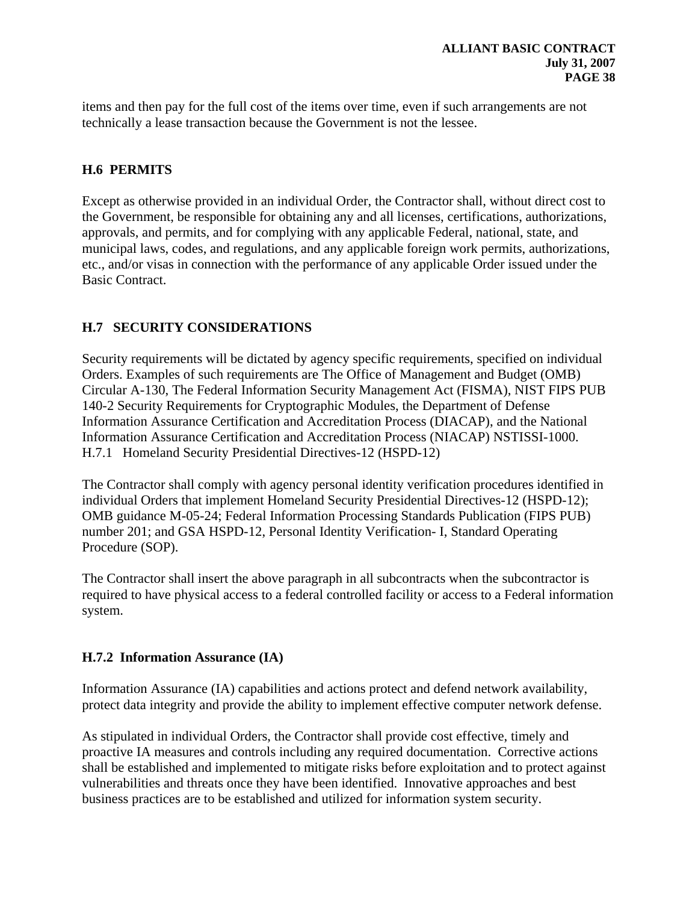items and then pay for the full cost of the items over time, even if such arrangements are not technically a lease transaction because the Government is not the lessee.

# **H.6 PERMITS**

Except as otherwise provided in an individual Order, the Contractor shall, without direct cost to the Government, be responsible for obtaining any and all licenses, certifications, authorizations, approvals, and permits, and for complying with any applicable Federal, national, state, and municipal laws, codes, and regulations, and any applicable foreign work permits, authorizations, etc., and/or visas in connection with the performance of any applicable Order issued under the Basic Contract.

# **H.7 SECURITY CONSIDERATIONS**

Security requirements will be dictated by agency specific requirements, specified on individual Orders. Examples of such requirements are The Office of Management and Budget (OMB) Circular A-130, The Federal Information Security Management Act (FISMA), NIST FIPS PUB 140-2 Security Requirements for Cryptographic Modules, the Department of Defense Information Assurance Certification and Accreditation Process (DIACAP), and the National Information Assurance Certification and Accreditation Process (NIACAP) NSTISSI-1000. H.7.1 Homeland Security Presidential Directives-12 (HSPD-12)

The Contractor shall comply with agency personal identity verification procedures identified in individual Orders that implement Homeland Security Presidential Directives-12 (HSPD-12); OMB guidance M-05-24; Federal Information Processing Standards Publication (FIPS PUB) number 201; and GSA HSPD-12, Personal Identity Verification- I, Standard Operating Procedure (SOP).

The Contractor shall insert the above paragraph in all subcontracts when the subcontractor is required to have physical access to a federal controlled facility or access to a Federal information system.

# **H.7.2 Information Assurance (IA)**

Information Assurance (IA) capabilities and actions protect and defend network availability, protect data integrity and provide the ability to implement effective computer network defense.

As stipulated in individual Orders, the Contractor shall provide cost effective, timely and proactive IA measures and controls including any required documentation. Corrective actions shall be established and implemented to mitigate risks before exploitation and to protect against vulnerabilities and threats once they have been identified. Innovative approaches and best business practices are to be established and utilized for information system security.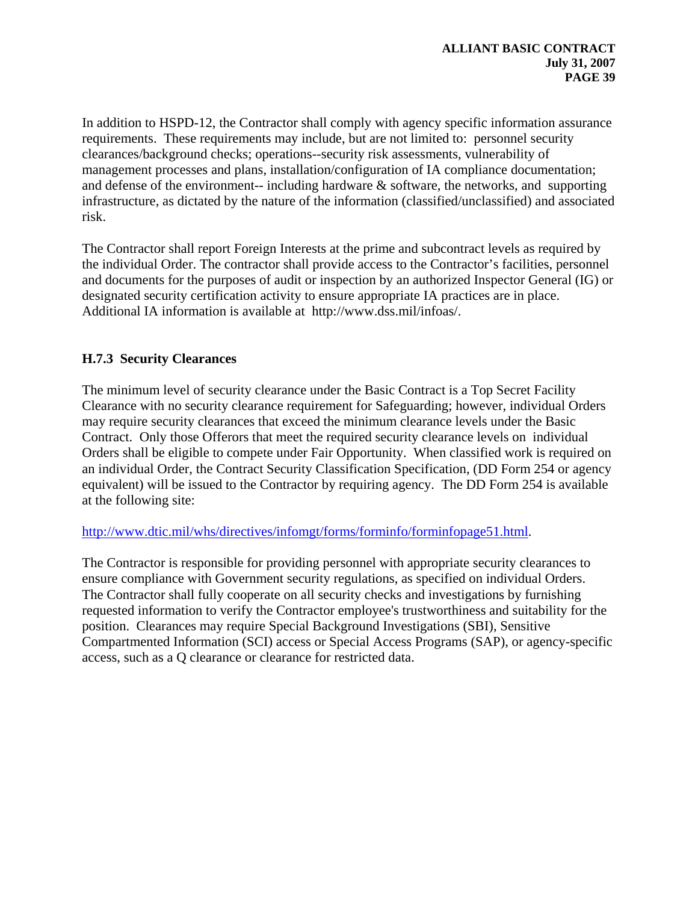In addition to HSPD-12, the Contractor shall comply with agency specific information assurance requirements. These requirements may include, but are not limited to: personnel security clearances/background checks; operations--security risk assessments, vulnerability of management processes and plans, installation/configuration of IA compliance documentation; and defense of the environment-- including hardware  $\&$  software, the networks, and supporting infrastructure, as dictated by the nature of the information (classified/unclassified) and associated risk.

The Contractor shall report Foreign Interests at the prime and subcontract levels as required by the individual Order. The contractor shall provide access to the Contractor's facilities, personnel and documents for the purposes of audit or inspection by an authorized Inspector General (IG) or designated security certification activity to ensure appropriate IA practices are in place. Additional IA information is available at http://www.dss.mil/infoas/.

# **H.7.3 Security Clearances**

The minimum level of security clearance under the Basic Contract is a Top Secret Facility Clearance with no security clearance requirement for Safeguarding; however, individual Orders may require security clearances that exceed the minimum clearance levels under the Basic Contract. Only those Offerors that meet the required security clearance levels on individual Orders shall be eligible to compete under Fair Opportunity. When classified work is required on an individual Order, the Contract Security Classification Specification, (DD Form 254 or agency equivalent) will be issued to the Contractor by requiring agency. The DD Form 254 is available at the following site:

# [http://www.dtic.mil/whs/directives/infomgt/forms/forminfo/forminfopage51.html.](http://www.dtic.mil/whs/directives/infomgt/forms/forminfo/forminfopage51.html)

The Contractor is responsible for providing personnel with appropriate security clearances to ensure compliance with Government security regulations, as specified on individual Orders. The Contractor shall fully cooperate on all security checks and investigations by furnishing requested information to verify the Contractor employee's trustworthiness and suitability for the position. Clearances may require Special Background Investigations (SBI), Sensitive Compartmented Information (SCI) access or Special Access Programs (SAP), or agency-specific access, such as a Q clearance or clearance for restricted data.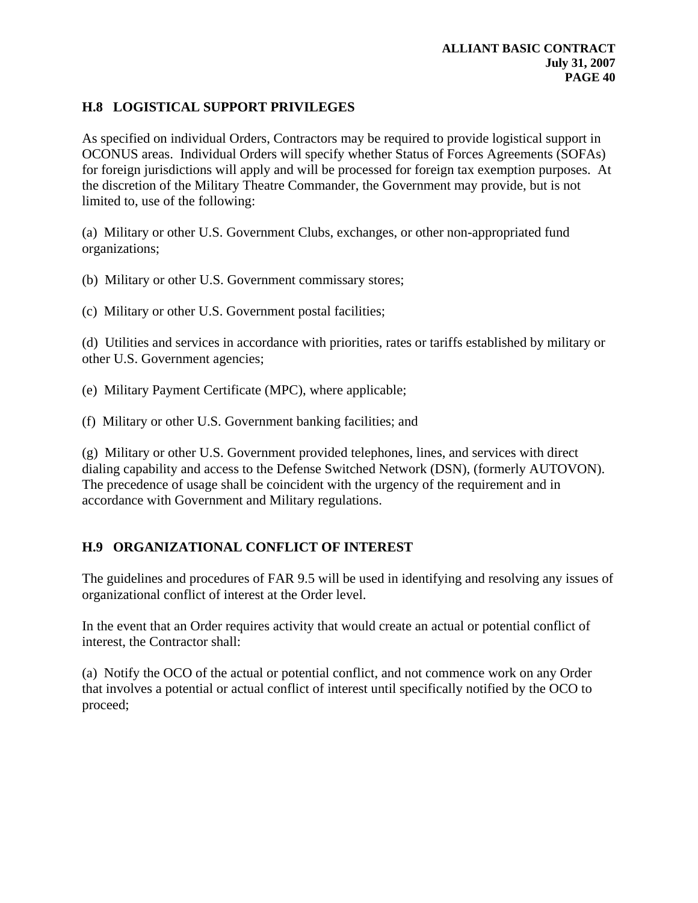# **H.8 LOGISTICAL SUPPORT PRIVILEGES**

As specified on individual Orders, Contractors may be required to provide logistical support in OCONUS areas. Individual Orders will specify whether Status of Forces Agreements (SOFAs) for foreign jurisdictions will apply and will be processed for foreign tax exemption purposes. At the discretion of the Military Theatre Commander, the Government may provide, but is not limited to, use of the following:

(a) Military or other U.S. Government Clubs, exchanges, or other non-appropriated fund organizations;

(b) Military or other U.S. Government commissary stores;

(c) Military or other U.S. Government postal facilities;

(d) Utilities and services in accordance with priorities, rates or tariffs established by military or other U.S. Government agencies;

(e) Military Payment Certificate (MPC), where applicable;

(f) Military or other U.S. Government banking facilities; and

(g) Military or other U.S. Government provided telephones, lines, and services with direct dialing capability and access to the Defense Switched Network (DSN), (formerly AUTOVON). The precedence of usage shall be coincident with the urgency of the requirement and in accordance with Government and Military regulations.

# **H.9 ORGANIZATIONAL CONFLICT OF INTEREST**

The guidelines and procedures of FAR 9.5 will be used in identifying and resolving any issues of organizational conflict of interest at the Order level.

In the event that an Order requires activity that would create an actual or potential conflict of interest, the Contractor shall:

(a) Notify the OCO of the actual or potential conflict, and not commence work on any Order that involves a potential or actual conflict of interest until specifically notified by the OCO to proceed;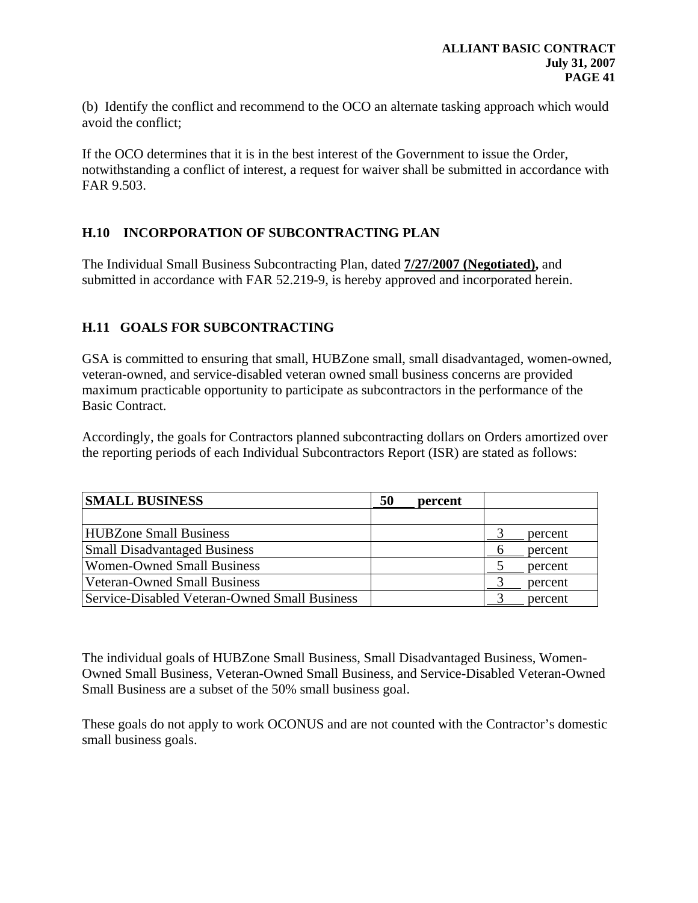(b) Identify the conflict and recommend to the OCO an alternate tasking approach which would avoid the conflict;

If the OCO determines that it is in the best interest of the Government to issue the Order, notwithstanding a conflict of interest, a request for waiver shall be submitted in accordance with FAR 9.503.

# **H.10 INCORPORATION OF SUBCONTRACTING PLAN**

The Individual Small Business Subcontracting Plan, dated **7/27/2007 (Negotiated),** and submitted in accordance with FAR 52.219-9, is hereby approved and incorporated herein.

# **H.11 GOALS FOR SUBCONTRACTING**

GSA is committed to ensuring that small, HUBZone small, small disadvantaged, women-owned, veteran-owned, and service-disabled veteran owned small business concerns are provided maximum practicable opportunity to participate as subcontractors in the performance of the Basic Contract.

Accordingly, the goals for Contractors planned subcontracting dollars on Orders amortized over the reporting periods of each Individual Subcontractors Report (ISR) are stated as follows:

| <b>SMALL BUSINESS</b>                         | 50 | percent |         |
|-----------------------------------------------|----|---------|---------|
|                                               |    |         |         |
| <b>HUBZone Small Business</b>                 |    |         | percent |
| <b>Small Disadvantaged Business</b>           |    |         | percent |
| <b>Women-Owned Small Business</b>             |    |         | percent |
| <b>Veteran-Owned Small Business</b>           |    |         | percent |
| Service-Disabled Veteran-Owned Small Business |    |         | percent |

The individual goals of HUBZone Small Business, Small Disadvantaged Business, Women-Owned Small Business, Veteran-Owned Small Business, and Service-Disabled Veteran-Owned Small Business are a subset of the 50% small business goal.

These goals do not apply to work OCONUS and are not counted with the Contractor's domestic small business goals.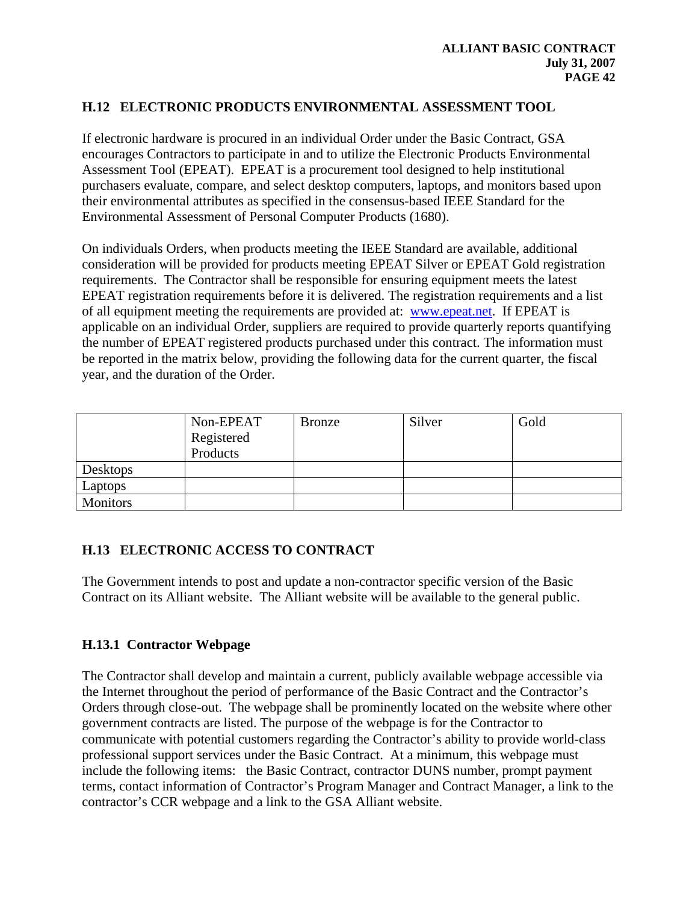## **H.12 ELECTRONIC PRODUCTS ENVIRONMENTAL ASSESSMENT TOOL**

If electronic hardware is procured in an individual Order under the Basic Contract, GSA encourages Contractors to participate in and to utilize the Electronic Products Environmental Assessment Tool (EPEAT). EPEAT is a procurement tool designed to help institutional purchasers evaluate, compare, and select desktop computers, laptops, and monitors based upon their environmental attributes as specified in the consensus-based IEEE Standard for the Environmental Assessment of Personal Computer Products (1680).

On individuals Orders, when products meeting the IEEE Standard are available, additional consideration will be provided for products meeting EPEAT Silver or EPEAT Gold registration requirements. The Contractor shall be responsible for ensuring equipment meets the latest EPEAT registration requirements before it is delivered. The registration requirements and a list of all equipment meeting the requirements are provided at: [www.epeat.net.](http://www.epeat.net/) If EPEAT is applicable on an individual Order, suppliers are required to provide quarterly reports quantifying the number of EPEAT registered products purchased under this contract. The information must be reported in the matrix below, providing the following data for the current quarter, the fiscal year, and the duration of the Order.

|                 | Non-EPEAT<br>Registered<br>Products | <b>Bronze</b> | Silver | Gold |
|-----------------|-------------------------------------|---------------|--------|------|
| <b>Desktops</b> |                                     |               |        |      |
| Laptops         |                                     |               |        |      |
| Monitors        |                                     |               |        |      |

#### **H.13 ELECTRONIC ACCESS TO CONTRACT**

The Government intends to post and update a non-contractor specific version of the Basic Contract on its Alliant website. The Alliant website will be available to the general public.

#### **H.13.1 Contractor Webpage**

The Contractor shall develop and maintain a current, publicly available webpage accessible via the Internet throughout the period of performance of the Basic Contract and the Contractor's Orders through close-out. The webpage shall be prominently located on the website where other government contracts are listed. The purpose of the webpage is for the Contractor to communicate with potential customers regarding the Contractor's ability to provide world-class professional support services under the Basic Contract. At a minimum, this webpage must include the following items: the Basic Contract, contractor DUNS number, prompt payment terms, contact information of Contractor's Program Manager and Contract Manager, a link to the contractor's CCR webpage and a link to the GSA Alliant website.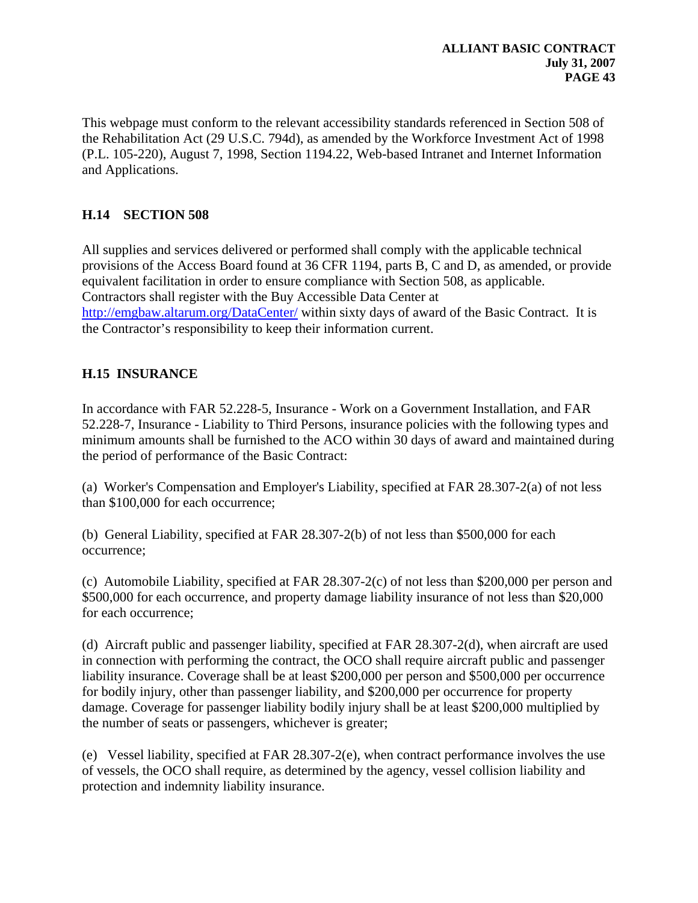This webpage must conform to the relevant accessibility standards referenced in Section 508 of the Rehabilitation Act (29 U.S.C. 794d), as amended by the Workforce Investment Act of 1998 (P.L. 105-220), August 7, 1998, Section 1194.22, Web-based Intranet and Internet Information and Applications.

# **H.14 SECTION 508**

All supplies and services delivered or performed shall comply with the applicable technical provisions of the Access Board found at 36 CFR 1194, parts B, C and D, as amended, or provide equivalent facilitation in order to ensure compliance with Section 508, as applicable. Contractors shall register with the Buy Accessible Data Center at <http://emgbaw.altarum.org/DataCenter/> within sixty days of award of the Basic Contract. It is the Contractor's responsibility to keep their information current.

# **H.15 INSURANCE**

In accordance with FAR 52.228-5, Insurance - Work on a Government Installation, and FAR 52.228-7, Insurance - Liability to Third Persons, insurance policies with the following types and minimum amounts shall be furnished to the ACO within 30 days of award and maintained during the period of performance of the Basic Contract:

(a) Worker's Compensation and Employer's Liability, specified at FAR 28.307-2(a) of not less than \$100,000 for each occurrence;

(b) General Liability, specified at FAR 28.307-2(b) of not less than \$500,000 for each occurrence;

(c) Automobile Liability, specified at FAR 28.307-2(c) of not less than \$200,000 per person and \$500,000 for each occurrence, and property damage liability insurance of not less than \$20,000 for each occurrence;

(d) Aircraft public and passenger liability, specified at FAR 28.307-2(d), when aircraft are used in connection with performing the contract, the OCO shall require aircraft public and passenger liability insurance. Coverage shall be at least \$200,000 per person and \$500,000 per occurrence for bodily injury, other than passenger liability, and \$200,000 per occurrence for property damage. Coverage for passenger liability bodily injury shall be at least \$200,000 multiplied by the number of seats or passengers, whichever is greater;

(e) Vessel liability, specified at FAR 28.307-2(e), when contract performance involves the use of vessels, the OCO shall require, as determined by the agency, vessel collision liability and protection and indemnity liability insurance.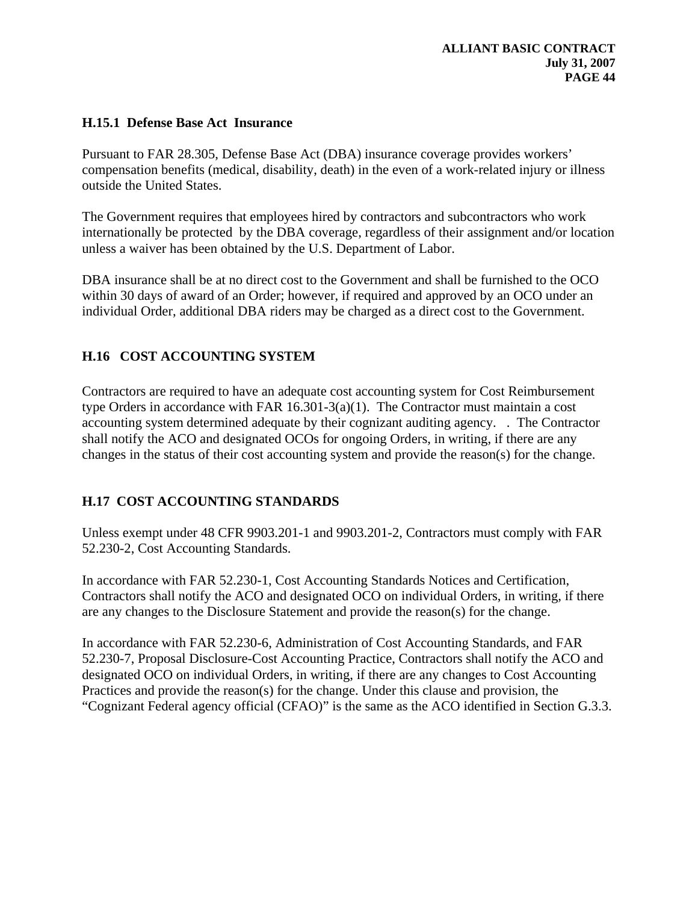### **H.15.1 Defense Base Act Insurance**

Pursuant to FAR 28.305, Defense Base Act (DBA) insurance coverage provides workers' compensation benefits (medical, disability, death) in the even of a work-related injury or illness outside the United States.

The Government requires that employees hired by contractors and subcontractors who work internationally be protected by the DBA coverage, regardless of their assignment and/or location unless a waiver has been obtained by the U.S. Department of Labor.

DBA insurance shall be at no direct cost to the Government and shall be furnished to the OCO within 30 days of award of an Order; however, if required and approved by an OCO under an individual Order, additional DBA riders may be charged as a direct cost to the Government.

# **H.16 COST ACCOUNTING SYSTEM**

Contractors are required to have an adequate cost accounting system for Cost Reimbursement type Orders in accordance with FAR 16.301-3(a)(1). The Contractor must maintain a cost accounting system determined adequate by their cognizant auditing agency. . The Contractor shall notify the ACO and designated OCOs for ongoing Orders, in writing, if there are any changes in the status of their cost accounting system and provide the reason(s) for the change.

# **H.17 COST ACCOUNTING STANDARDS**

Unless exempt under 48 CFR 9903.201-1 and 9903.201-2, Contractors must comply with FAR 52.230-2, Cost Accounting Standards.

In accordance with FAR 52.230-1, Cost Accounting Standards Notices and Certification, Contractors shall notify the ACO and designated OCO on individual Orders, in writing, if there are any changes to the Disclosure Statement and provide the reason(s) for the change.

In accordance with FAR 52.230-6, Administration of Cost Accounting Standards, and FAR 52.230-7, Proposal Disclosure-Cost Accounting Practice, Contractors shall notify the ACO and designated OCO on individual Orders, in writing, if there are any changes to Cost Accounting Practices and provide the reason(s) for the change. Under this clause and provision, the "Cognizant Federal agency official (CFAO)" is the same as the ACO identified in Section G.3.3.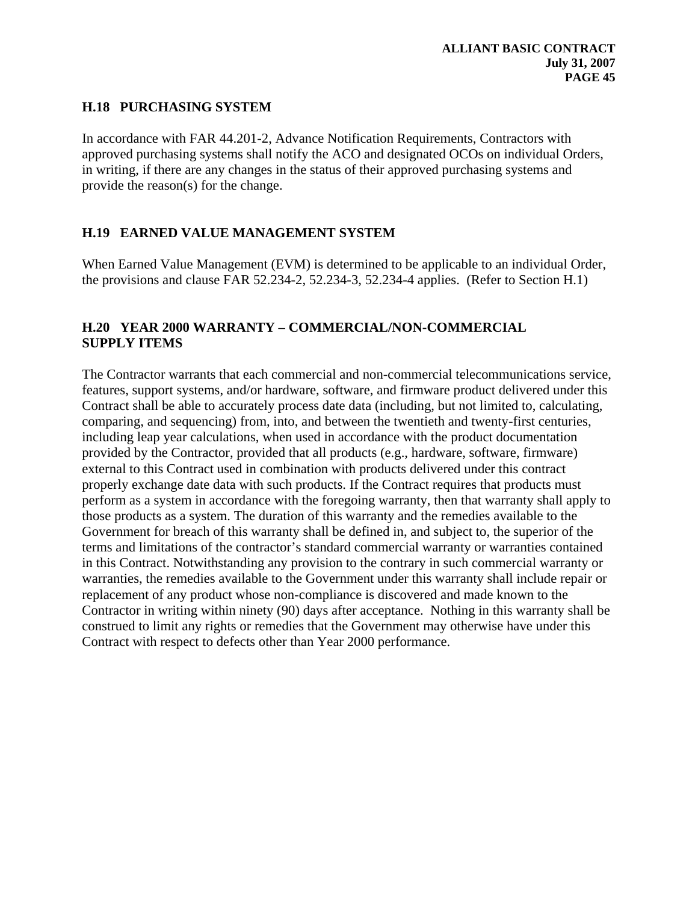## **H.18 PURCHASING SYSTEM**

In accordance with FAR 44.201-2, Advance Notification Requirements, Contractors with approved purchasing systems shall notify the ACO and designated OCOs on individual Orders, in writing, if there are any changes in the status of their approved purchasing systems and provide the reason(s) for the change.

## **H.19 EARNED VALUE MANAGEMENT SYSTEM**

When Earned Value Management (EVM) is determined to be applicable to an individual Order, the provisions and clause FAR 52.234-2, 52.234-3, 52.234-4 applies. (Refer to Section H.1)

### **H.20 YEAR 2000 WARRANTY – COMMERCIAL/NON-COMMERCIAL SUPPLY ITEMS**

The Contractor warrants that each commercial and non-commercial telecommunications service, features, support systems, and/or hardware, software, and firmware product delivered under this Contract shall be able to accurately process date data (including, but not limited to, calculating, comparing, and sequencing) from, into, and between the twentieth and twenty-first centuries, including leap year calculations, when used in accordance with the product documentation provided by the Contractor, provided that all products (e.g., hardware, software, firmware) external to this Contract used in combination with products delivered under this contract properly exchange date data with such products. If the Contract requires that products must perform as a system in accordance with the foregoing warranty, then that warranty shall apply to those products as a system. The duration of this warranty and the remedies available to the Government for breach of this warranty shall be defined in, and subject to, the superior of the terms and limitations of the contractor's standard commercial warranty or warranties contained in this Contract. Notwithstanding any provision to the contrary in such commercial warranty or warranties, the remedies available to the Government under this warranty shall include repair or replacement of any product whose non-compliance is discovered and made known to the Contractor in writing within ninety (90) days after acceptance. Nothing in this warranty shall be construed to limit any rights or remedies that the Government may otherwise have under this Contract with respect to defects other than Year 2000 performance.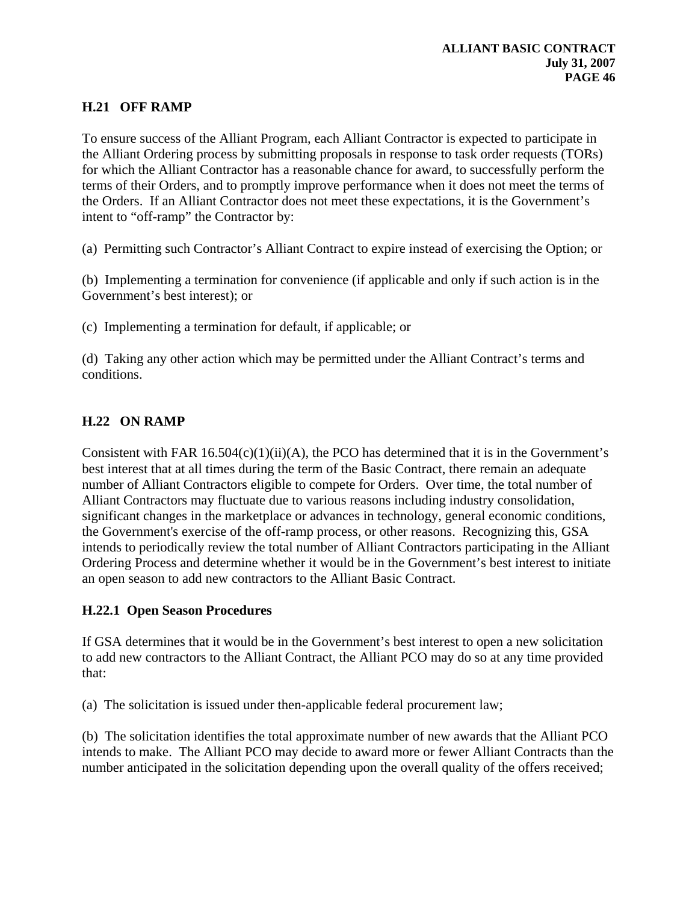# **H.21 OFF RAMP**

To ensure success of the Alliant Program, each Alliant Contractor is expected to participate in the Alliant Ordering process by submitting proposals in response to task order requests (TORs) for which the Alliant Contractor has a reasonable chance for award, to successfully perform the terms of their Orders, and to promptly improve performance when it does not meet the terms of the Orders. If an Alliant Contractor does not meet these expectations, it is the Government's intent to "off-ramp" the Contractor by:

(a) Permitting such Contractor's Alliant Contract to expire instead of exercising the Option; or

(b) Implementing a termination for convenience (if applicable and only if such action is in the Government's best interest); or

(c) Implementing a termination for default, if applicable; or

(d) Taking any other action which may be permitted under the Alliant Contract's terms and conditions.

# **H.22 ON RAMP**

Consistent with FAR  $16.504(c)(1)(ii)(A)$ , the PCO has determined that it is in the Government's best interest that at all times during the term of the Basic Contract, there remain an adequate number of Alliant Contractors eligible to compete for Orders. Over time, the total number of Alliant Contractors may fluctuate due to various reasons including industry consolidation, significant changes in the marketplace or advances in technology, general economic conditions, the Government's exercise of the off-ramp process, or other reasons. Recognizing this, GSA intends to periodically review the total number of Alliant Contractors participating in the Alliant Ordering Process and determine whether it would be in the Government's best interest to initiate an open season to add new contractors to the Alliant Basic Contract.

#### **H.22.1 Open Season Procedures**

If GSA determines that it would be in the Government's best interest to open a new solicitation to add new contractors to the Alliant Contract, the Alliant PCO may do so at any time provided that:

(a) The solicitation is issued under then-applicable federal procurement law;

(b) The solicitation identifies the total approximate number of new awards that the Alliant PCO intends to make. The Alliant PCO may decide to award more or fewer Alliant Contracts than the number anticipated in the solicitation depending upon the overall quality of the offers received;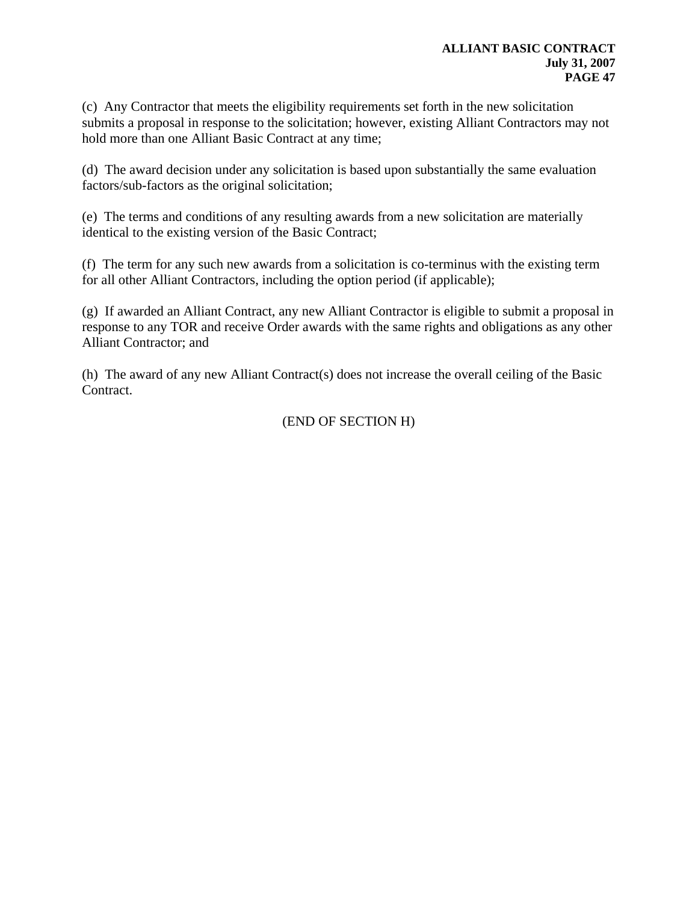(c) Any Contractor that meets the eligibility requirements set forth in the new solicitation submits a proposal in response to the solicitation; however, existing Alliant Contractors may not hold more than one Alliant Basic Contract at any time;

(d) The award decision under any solicitation is based upon substantially the same evaluation factors/sub-factors as the original solicitation;

(e) The terms and conditions of any resulting awards from a new solicitation are materially identical to the existing version of the Basic Contract;

(f) The term for any such new awards from a solicitation is co-terminus with the existing term for all other Alliant Contractors, including the option period (if applicable);

(g) If awarded an Alliant Contract, any new Alliant Contractor is eligible to submit a proposal in response to any TOR and receive Order awards with the same rights and obligations as any other Alliant Contractor; and

(h) The award of any new Alliant Contract(s) does not increase the overall ceiling of the Basic Contract.

(END OF SECTION H)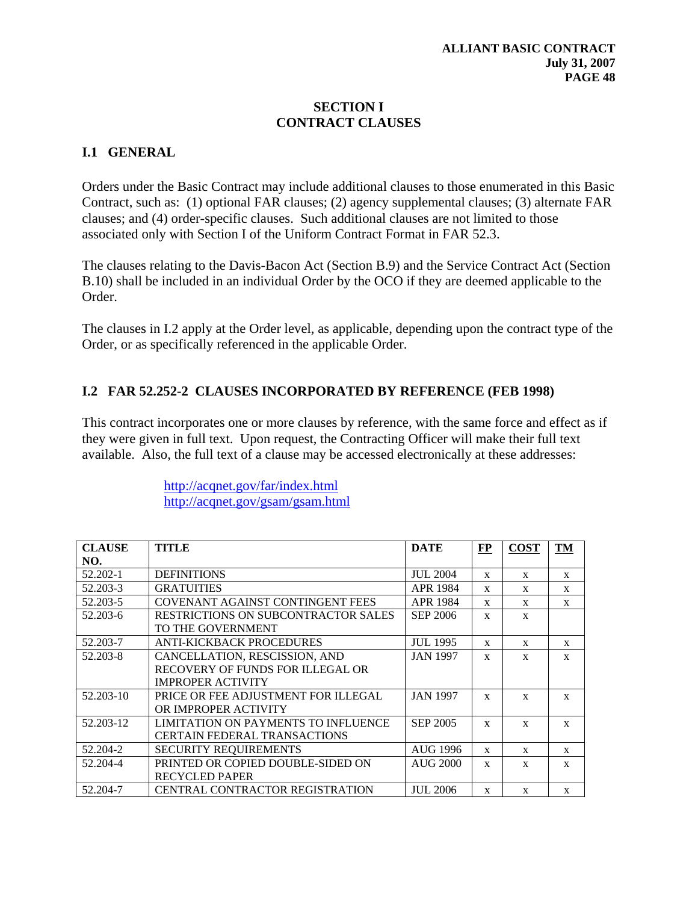# **SECTION I CONTRACT CLAUSES**

# **I.1 GENERAL**

Orders under the Basic Contract may include additional clauses to those enumerated in this Basic Contract, such as: (1) optional FAR clauses; (2) agency supplemental clauses; (3) alternate FAR clauses; and (4) order-specific clauses. Such additional clauses are not limited to those associated only with Section I of the Uniform Contract Format in FAR 52.3.

The clauses relating to the Davis-Bacon Act (Section B.9) and the Service Contract Act (Section B.10) shall be included in an individual Order by the OCO if they are deemed applicable to the Order.

The clauses in I.2 apply at the Order level, as applicable, depending upon the contract type of the Order, or as specifically referenced in the applicable Order.

# **I.2 FAR 52.252-2 CLAUSES INCORPORATED BY REFERENCE (FEB 1998)**

This contract incorporates one or more clauses by reference, with the same force and effect as if they were given in full text. Upon request, the Contracting Officer will make their full text available. Also, the full text of a clause may be accessed electronically at these addresses:

> <http://acqnet.gov/far/index.html> <http://acqnet.gov/gsam/gsam.html>

| <b>CLAUSE</b> | <b>TITLE</b>                               | <b>DATE</b>     | <b>FP</b>    | <b>COST</b>  | TM           |
|---------------|--------------------------------------------|-----------------|--------------|--------------|--------------|
| NO.           |                                            |                 |              |              |              |
| 52.202-1      | <b>DEFINITIONS</b>                         | <b>JUL 2004</b> | $\mathbf{x}$ | $\mathbf{x}$ | $\mathbf{x}$ |
| 52.203-3      | <b>GRATUITIES</b>                          | <b>APR 1984</b> | $\mathbf{x}$ | $\mathbf{x}$ | $\mathbf{x}$ |
| 52.203-5      | <b>COVENANT AGAINST CONTINGENT FEES</b>    | <b>APR 1984</b> | X            | $\mathbf{x}$ | $\mathbf{x}$ |
| 52.203-6      | <b>RESTRICTIONS ON SUBCONTRACTOR SALES</b> | <b>SEP 2006</b> | X            | X            |              |
|               | TO THE GOVERNMENT                          |                 |              |              |              |
| 52.203-7      | <b>ANTI-KICKBACK PROCEDURES</b>            | <b>JUL 1995</b> | X            | $\mathbf{x}$ | $\mathbf{x}$ |
| 52.203-8      | CANCELLATION, RESCISSION, AND              | <b>JAN 1997</b> | $\mathbf{x}$ | $\mathbf{x}$ | $\mathbf{x}$ |
|               | RECOVERY OF FUNDS FOR ILLEGAL OR           |                 |              |              |              |
|               | <b>IMPROPER ACTIVITY</b>                   |                 |              |              |              |
| 52.203-10     | PRICE OR FEE ADJUSTMENT FOR ILLEGAL        | <b>JAN 1997</b> | X            | $\mathbf{x}$ | $\mathbf{x}$ |
|               | OR IMPROPER ACTIVITY                       |                 |              |              |              |
| 52.203-12     | LIMITATION ON PAYMENTS TO INFLUENCE        | <b>SEP 2005</b> | X            | $\mathbf{x}$ | $\mathbf{x}$ |
|               | <b>CERTAIN FEDERAL TRANSACTIONS</b>        |                 |              |              |              |
| 52.204-2      | <b>SECURITY REQUIREMENTS</b>               | <b>AUG 1996</b> | X            | $\mathbf{x}$ | X            |
| 52.204-4      | PRINTED OR COPIED DOUBLE-SIDED ON          | <b>AUG 2000</b> | X            | $\mathbf{x}$ | $\mathbf{x}$ |
|               | <b>RECYCLED PAPER</b>                      |                 |              |              |              |
| 52.204-7      | <b>CENTRAL CONTRACTOR REGISTRATION</b>     | <b>JUL 2006</b> | X            | X            | $\mathbf{x}$ |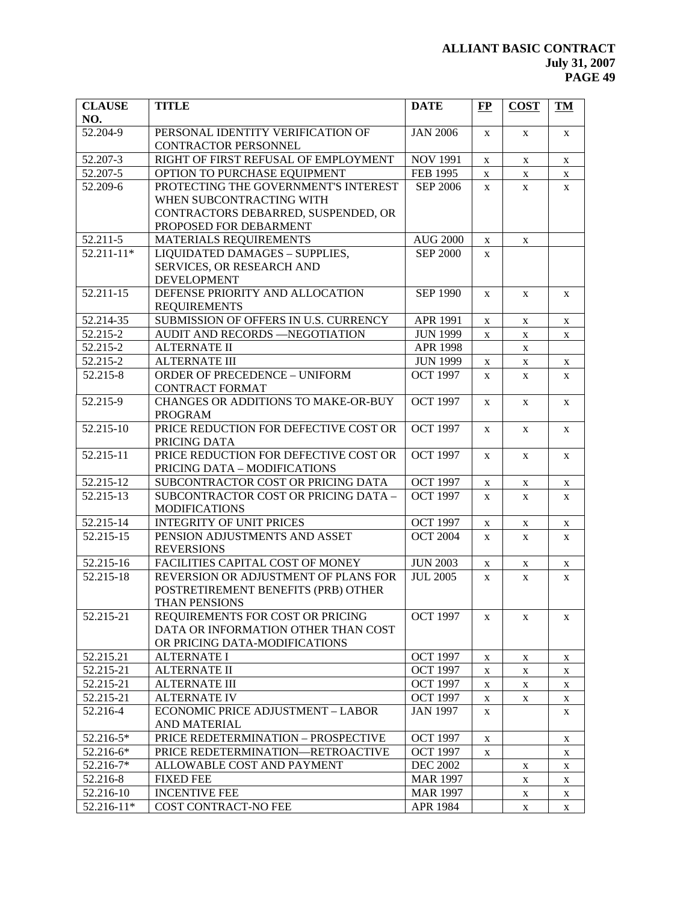| <b>CLAUSE</b><br>NO. | <b>TITLE</b>                             | <b>DATE</b>     | $\bf FP$     | <b>COST</b>  | <b>TM</b>    |
|----------------------|------------------------------------------|-----------------|--------------|--------------|--------------|
| 52.204-9             | PERSONAL IDENTITY VERIFICATION OF        | <b>JAN 2006</b> | X            | X            | X            |
|                      | CONTRACTOR PERSONNEL                     |                 |              |              |              |
| 52.207-3             | RIGHT OF FIRST REFUSAL OF EMPLOYMENT     | <b>NOV 1991</b> | X            | $\mathbf X$  | $\mathbf X$  |
| 52.207-5             | OPTION TO PURCHASE EQUIPMENT             | FEB 1995        | X            | X            | $\mathbf X$  |
| 52.209-6             | PROTECTING THE GOVERNMENT'S INTEREST     | <b>SEP 2006</b> | X            | $\mathbf X$  | $\mathbf X$  |
|                      | WHEN SUBCONTRACTING WITH                 |                 |              |              |              |
|                      | CONTRACTORS DEBARRED, SUSPENDED, OR      |                 |              |              |              |
|                      | PROPOSED FOR DEBARMENT                   |                 |              |              |              |
| 52.211-5             | MATERIALS REQUIREMENTS                   | <b>AUG 2000</b> | X            | $\mathbf X$  |              |
| $52.211 - 11*$       | LIQUIDATED DAMAGES - SUPPLIES,           | <b>SEP 2000</b> | X            |              |              |
|                      | SERVICES, OR RESEARCH AND                |                 |              |              |              |
|                      | <b>DEVELOPMENT</b>                       |                 |              |              |              |
| 52.211-15            | DEFENSE PRIORITY AND ALLOCATION          | <b>SEP 1990</b> | $\mathbf{X}$ | X            | X            |
|                      | <b>REQUIREMENTS</b>                      |                 |              |              |              |
| 52.214-35            | SUBMISSION OF OFFERS IN U.S. CURRENCY    | APR 1991        | $\mathbf X$  | $\mathbf X$  | X            |
| 52.215-2             | AUDIT AND RECORDS -NEGOTIATION           | <b>JUN 1999</b> | X            | $\mathbf X$  | $\mathbf X$  |
| 52.215-2             | <b>ALTERNATE II</b>                      | <b>APR 1998</b> |              | $\mathbf X$  |              |
| 52.215-2             | <b>ALTERNATE III</b>                     | <b>JUN 1999</b> | $\mathbf X$  | $\mathbf X$  | $\mathbf X$  |
| 52.215-8             | <b>ORDER OF PRECEDENCE - UNIFORM</b>     | <b>OCT 1997</b> | X            | $\mathbf X$  | X            |
|                      | <b>CONTRACT FORMAT</b>                   |                 |              |              |              |
| 52.215-9             | CHANGES OR ADDITIONS TO MAKE-OR-BUY      | <b>OCT 1997</b> | $\mathbf{X}$ | X            | $\mathbf{X}$ |
|                      | <b>PROGRAM</b>                           |                 |              |              |              |
| 52.215-10            | PRICE REDUCTION FOR DEFECTIVE COST OR    | <b>OCT 1997</b> | X            | X            | X            |
|                      | PRICING DATA                             |                 |              |              |              |
| 52.215-11            | PRICE REDUCTION FOR DEFECTIVE COST OR    | <b>OCT 1997</b> | X            | X            | X            |
|                      | PRICING DATA - MODIFICATIONS             |                 |              |              |              |
| 52.215-12            | SUBCONTRACTOR COST OR PRICING DATA       | <b>OCT 1997</b> | X            | $\mathbf X$  | $\mathbf X$  |
| 52.215-13            | SUBCONTRACTOR COST OR PRICING DATA -     | <b>OCT</b> 1997 | X            | $\mathbf{X}$ | X            |
|                      | <b>MODIFICATIONS</b>                     |                 |              |              |              |
| 52.215-14            | <b>INTEGRITY OF UNIT PRICES</b>          | <b>OCT 1997</b> | X            | X            | X            |
| 52.215-15            | PENSION ADJUSTMENTS AND ASSET            | <b>OCT 2004</b> | X            | X            | X            |
|                      | <b>REVERSIONS</b>                        |                 |              |              |              |
| 52.215-16            | FACILITIES CAPITAL COST OF MONEY         | <b>JUN 2003</b> | X            | $\mathbf X$  | X            |
| 52.215-18            | REVERSION OR ADJUSTMENT OF PLANS FOR     | <b>JUL 2005</b> | $\mathbf{X}$ | $\mathbf X$  | $\mathbf X$  |
|                      | POSTRETIREMENT BENEFITS (PRB) OTHER      |                 |              |              |              |
|                      | THAN PENSIONS                            |                 |              |              |              |
| 52.215-21            | REQUIREMENTS FOR COST OR PRICING         | <b>OCT 1997</b> | X            | X            | X            |
|                      | DATA OR INFORMATION OTHER THAN COST      |                 |              |              |              |
|                      | OR PRICING DATA-MODIFICATIONS            |                 |              |              |              |
| 52.215.21            | <b>ALTERNATE I</b>                       | <b>OCT 1997</b> | X            | X            | X            |
| 52.215-21            | <b>ALTERNATE II</b>                      | <b>OCT 1997</b> | X            | X            | X            |
| 52.215-21            | <b>ALTERNATE III</b>                     | <b>OCT 1997</b> | X            | X            | X            |
| 52.215-21            | <b>ALTERNATE IV</b>                      | <b>OCT 1997</b> | X            | X            | X            |
| 52.216-4             | <b>ECONOMIC PRICE ADJUSTMENT - LABOR</b> | <b>JAN 1997</b> | X            |              | X            |
|                      | AND MATERIAL                             |                 |              |              |              |
| 52.216-5*            | PRICE REDETERMINATION - PROSPECTIVE      | <b>OCT 1997</b> | X            |              | X            |
| 52.216-6*            | PRICE REDETERMINATION-RETROACTIVE        | <b>OCT 1997</b> | X            |              | X            |
| 52.216-7*            | ALLOWABLE COST AND PAYMENT               | <b>DEC 2002</b> |              | X            | X            |
| 52.216-8             | <b>FIXED FEE</b>                         | <b>MAR 1997</b> |              | X            | X            |
| 52.216-10            | <b>INCENTIVE FEE</b>                     | <b>MAR 1997</b> |              | X            | X            |
| 52.216-11*           | COST CONTRACT-NO FEE                     | APR 1984        |              | X            | X            |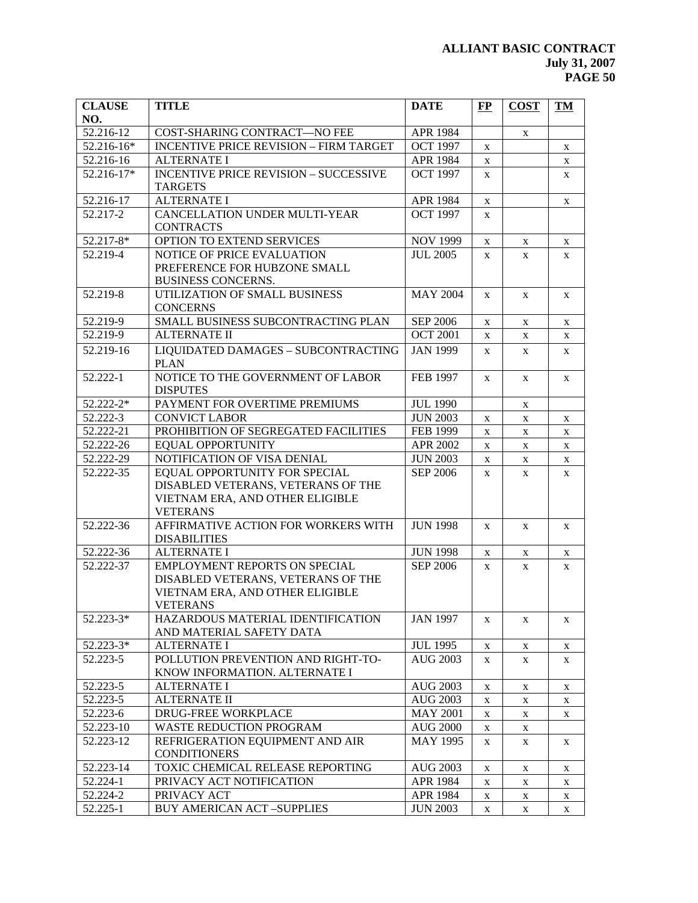| <b>CLAUSE</b> | <b>TITLE</b>                                  | <b>DATE</b>     | FP           | <b>COST</b>  | <b>TM</b>    |
|---------------|-----------------------------------------------|-----------------|--------------|--------------|--------------|
| NO.           |                                               |                 |              |              |              |
| 52.216-12     | COST-SHARING CONTRACT-NO FEE                  | APR 1984        |              | $\mathbf X$  |              |
| 52.216-16*    | <b>INCENTIVE PRICE REVISION - FIRM TARGET</b> | <b>OCT 1997</b> | X            |              | $\mathbf X$  |
| 52.216-16     | <b>ALTERNATE I</b>                            | APR 1984        | X            |              | X            |
| 52.216-17*    | <b>INCENTIVE PRICE REVISION - SUCCESSIVE</b>  | <b>OCT 1997</b> | $\mathbf X$  |              | $\mathbf X$  |
|               | <b>TARGETS</b>                                |                 |              |              |              |
| 52.216-17     | <b>ALTERNATE I</b>                            | APR 1984        | $\mathbf X$  |              | $\mathbf X$  |
| 52.217-2      | CANCELLATION UNDER MULTI-YEAR                 | <b>OCT 1997</b> | $\mathbf{X}$ |              |              |
|               | <b>CONTRACTS</b>                              |                 |              |              |              |
| 52.217-8*     | OPTION TO EXTEND SERVICES                     | <b>NOV 1999</b> | X            | X            | X            |
| 52.219-4      | NOTICE OF PRICE EVALUATION                    | <b>JUL 2005</b> | $\mathbf{X}$ | X            | X            |
|               | PREFERENCE FOR HUBZONE SMALL                  |                 |              |              |              |
|               | <b>BUSINESS CONCERNS.</b>                     |                 |              |              |              |
| 52.219-8      | UTILIZATION OF SMALL BUSINESS                 | <b>MAY 2004</b> | $\mathbf{X}$ | X            | X            |
|               | <b>CONCERNS</b>                               |                 |              |              |              |
| 52.219-9      | SMALL BUSINESS SUBCONTRACTING PLAN            | <b>SEP 2006</b> | X            | $\mathbf X$  | $\mathbf X$  |
| 52.219-9      | <b>ALTERNATE II</b>                           | <b>OCT 2001</b> | $\mathbf{X}$ | $\mathbf X$  | $\mathbf X$  |
| 52.219-16     | LIQUIDATED DAMAGES - SUBCONTRACTING           | <b>JAN 1999</b> | X            | X            | X            |
|               | <b>PLAN</b>                                   |                 |              |              |              |
| 52.222-1      | NOTICE TO THE GOVERNMENT OF LABOR             | <b>FEB 1997</b> | X            | X            | X            |
|               | <b>DISPUTES</b>                               |                 |              |              |              |
| 52.222-2*     | PAYMENT FOR OVERTIME PREMIUMS                 | <b>JUL 1990</b> |              | $\mathbf X$  |              |
| 52.222-3      | <b>CONVICT LABOR</b>                          | <b>JUN 2003</b> | X            | $\mathbf X$  | $\mathbf X$  |
| 52.222-21     | PROHIBITION OF SEGREGATED FACILITIES          | FEB 1999        | X            | $\mathbf X$  | $\mathbf X$  |
| $52.222 - 26$ | <b>EQUAL OPPORTUNITY</b>                      | APR 2002        | X            | $\mathbf X$  | $\mathbf X$  |
| $52.222 - 29$ | NOTIFICATION OF VISA DENIAL                   | <b>JUN 2003</b> | X            | $\mathbf X$  | $\mathbf X$  |
| 52.222-35     | EQUAL OPPORTUNITY FOR SPECIAL                 | <b>SEP 2006</b> | $\mathbf{X}$ | X            | X            |
|               | DISABLED VETERANS, VETERANS OF THE            |                 |              |              |              |
|               | VIETNAM ERA, AND OTHER ELIGIBLE               |                 |              |              |              |
|               | <b>VETERANS</b>                               |                 |              |              |              |
| 52.222-36     | AFFIRMATIVE ACTION FOR WORKERS WITH           | <b>JUN 1998</b> | $\mathbf{X}$ | X            | X            |
|               | <b>DISABILITIES</b>                           |                 |              |              |              |
| 52.222-36     | <b>ALTERNATE I</b>                            | <b>JUN 1998</b> | $\mathbf X$  | $\mathbf X$  | $\mathbf X$  |
| 52.222-37     | <b>EMPLOYMENT REPORTS ON SPECIAL</b>          | <b>SEP 2006</b> | $\mathbf{X}$ | $\mathbf{X}$ | $\mathbf{X}$ |
|               | DISABLED VETERANS, VETERANS OF THE            |                 |              |              |              |
|               | VIETNAM ERA, AND OTHER ELIGIBLE               |                 |              |              |              |
|               | <b>VETERANS</b>                               |                 |              |              |              |
| 52.223-3*     | HAZARDOUS MATERIAL IDENTIFICATION             | <b>JAN 1997</b> | X            | X            | X            |
|               | AND MATERIAL SAFETY DATA                      |                 |              |              |              |
| 52.223-3*     | <b>ALTERNATE I</b>                            | <b>JUL 1995</b> | X            | X            | X            |
| 52.223-5      | POLLUTION PREVENTION AND RIGHT-TO-            | <b>AUG 2003</b> | X            | X            | X            |
|               | KNOW INFORMATION. ALTERNATE I                 |                 |              |              |              |
| 52.223-5      | <b>ALTERNATE I</b>                            | <b>AUG 2003</b> | X            | $\mathbf X$  | X            |
| 52.223-5      | <b>ALTERNATE II</b>                           | <b>AUG 2003</b> | X            | X            | X            |
| 52.223-6      | DRUG-FREE WORKPLACE                           | <b>MAY 2001</b> | X            | X            | X            |
| 52.223-10     | WASTE REDUCTION PROGRAM                       | <b>AUG 2000</b> | X            | $\mathbf X$  |              |
| 52.223-12     | REFRIGERATION EQUIPMENT AND AIR               | <b>MAY 1995</b> | X            | X            | X            |
|               | <b>CONDITIONERS</b>                           |                 |              |              |              |
| 52.223-14     | TOXIC CHEMICAL RELEASE REPORTING              | <b>AUG 2003</b> | X            | X            | X            |
| 52.224-1      | PRIVACY ACT NOTIFICATION                      | APR 1984        | X            | X            | X            |
| 52.224-2      | PRIVACY ACT                                   | APR 1984        | X            | X            | X            |
| 52.225-1      | <b>BUY AMERICAN ACT-SUPPLIES</b>              | <b>JUN 2003</b> | X            | X            | X            |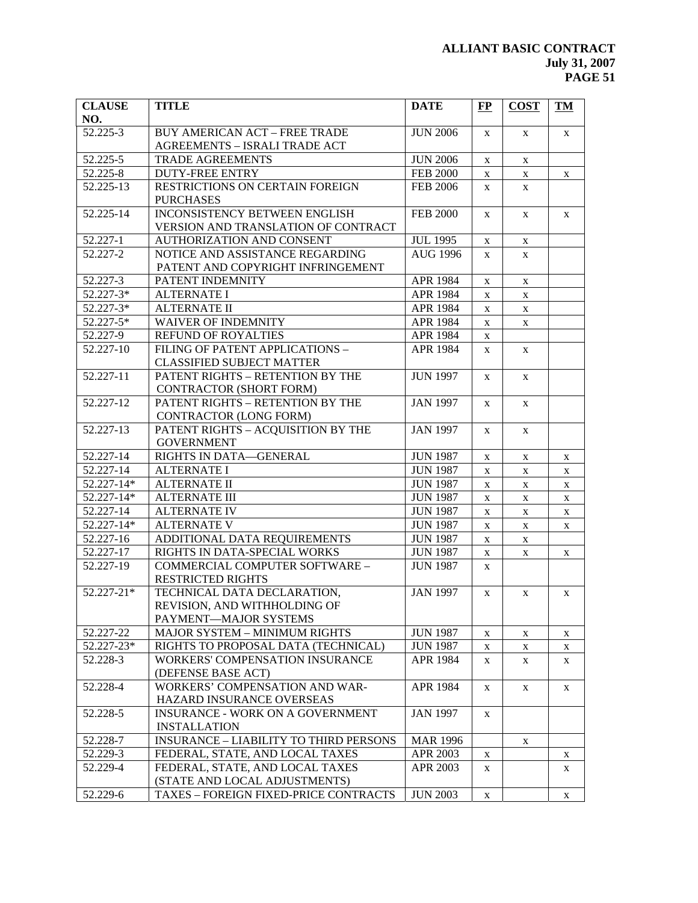| <b>CLAUSE</b> | <b>TITLE</b>                                  | <b>DATE</b>     | $\bf FP$     | <b>COST</b>  | TM          |
|---------------|-----------------------------------------------|-----------------|--------------|--------------|-------------|
| NO.           |                                               |                 |              |              |             |
| 52.225-3      | <b>BUY AMERICAN ACT - FREE TRADE</b>          | <b>JUN 2006</b> | X            | X            | X           |
|               | <b>AGREEMENTS - ISRALI TRADE ACT</b>          |                 |              |              |             |
| 52.225-5      | <b>TRADE AGREEMENTS</b>                       | <b>JUN 2006</b> | X            | $\mathbf X$  |             |
| 52.225-8      | <b>DUTY-FREE ENTRY</b>                        | <b>FEB 2000</b> | X            | $\mathbf X$  | X           |
| 52.225-13     | RESTRICTIONS ON CERTAIN FOREIGN               | <b>FEB 2006</b> | $\mathbf{X}$ | $\mathbf X$  |             |
|               | <b>PURCHASES</b>                              |                 |              |              |             |
| 52.225-14     | INCONSISTENCY BETWEEN ENGLISH                 | <b>FEB 2000</b> | X            | $\mathbf X$  | $\mathbf X$ |
|               | VERSION AND TRANSLATION OF CONTRACT           |                 |              |              |             |
| 52.227-1      | AUTHORIZATION AND CONSENT                     | <b>JUL 1995</b> | X            | $\mathbf X$  |             |
| 52.227-2      | NOTICE AND ASSISTANCE REGARDING               | <b>AUG 1996</b> | $\mathbf{X}$ | X            |             |
|               | PATENT AND COPYRIGHT INFRINGEMENT             |                 |              |              |             |
| 52.227-3      | PATENT INDEMNITY                              | APR 1984        | X            | $\mathbf X$  |             |
| 52.227-3*     | <b>ALTERNATE I</b>                            | APR 1984        | X            | $\mathbf X$  |             |
| 52.227-3*     | <b>ALTERNATE II</b>                           | APR 1984        | X            | $\mathbf X$  |             |
| 52.227-5*     | <b>WAIVER OF INDEMNITY</b>                    | APR 1984        | X            | $\mathbf X$  |             |
| 52.227-9      | REFUND OF ROYALTIES                           | APR 1984        | X            |              |             |
| 52.227-10     | FILING OF PATENT APPLICATIONS -               | APR 1984        | X            | $\mathbf X$  |             |
|               | <b>CLASSIFIED SUBJECT MATTER</b>              |                 |              |              |             |
| 52.227-11     | PATENT RIGHTS - RETENTION BY THE              | <b>JUN 1997</b> | X            | $\mathbf X$  |             |
|               | CONTRACTOR (SHORT FORM)                       |                 |              |              |             |
| 52.227-12     | PATENT RIGHTS - RETENTION BY THE              | <b>JAN 1997</b> | $\mathbf{X}$ | $\mathbf X$  |             |
|               | CONTRACTOR (LONG FORM)                        |                 |              |              |             |
| 52.227-13     | PATENT RIGHTS - ACQUISITION BY THE            | <b>JAN 1997</b> | $\mathbf{X}$ | $\mathbf{X}$ |             |
|               | <b>GOVERNMENT</b>                             |                 |              |              |             |
| 52.227-14     | RIGHTS IN DATA-GENERAL                        | <b>JUN 1987</b> | X            | $\mathbf X$  | X           |
| 52.227-14     | <b>ALTERNATE I</b>                            | <b>JUN 1987</b> | X            | $\mathbf X$  | $\mathbf X$ |
| 52.227-14*    | <b>ALTERNATE II</b>                           | <b>JUN 1987</b> | X            | $\mathbf X$  | $\mathbf X$ |
| 52.227-14*    | <b>ALTERNATE III</b>                          | <b>JUN 1987</b> | X            | $\mathbf X$  | $\mathbf X$ |
| 52.227-14     | <b>ALTERNATE IV</b>                           | <b>JUN 1987</b> | X            | $\mathbf X$  | $\mathbf X$ |
| 52.227-14*    | <b>ALTERNATE V</b>                            | <b>JUN 1987</b> | X            | $\mathbf X$  | $\mathbf X$ |
| 52.227-16     | ADDITIONAL DATA REQUIREMENTS                  | <b>JUN 1987</b> | X            | $\mathbf X$  |             |
| 52.227-17     | RIGHTS IN DATA-SPECIAL WORKS                  | <b>JUN 1987</b> | X            | $\mathbf X$  | $\mathbf X$ |
| 52.227-19     | COMMERCIAL COMPUTER SOFTWARE -                | <b>JUN 1987</b> | X            |              |             |
|               | <b>RESTRICTED RIGHTS</b>                      |                 |              |              |             |
| 52.227-21*    | TECHNICAL DATA DECLARATION,                   | <b>JAN 1997</b> | $\mathbf{X}$ | X            | X           |
|               | REVISION, AND WITHHOLDING OF                  |                 |              |              |             |
|               | PAYMENT-MAJOR SYSTEMS                         |                 |              |              |             |
| 52.227-22     | <b>MAJOR SYSTEM - MINIMUM RIGHTS</b>          | <b>JUN 1987</b> | X            | X            | X           |
| 52.227-23*    | RIGHTS TO PROPOSAL DATA (TECHNICAL)           | <b>JUN 1987</b> | X            | X            | X           |
| 52.228-3      | <b>WORKERS' COMPENSATION INSURANCE</b>        | APR 1984        | X            | X            | X           |
|               | (DEFENSE BASE ACT)                            |                 |              |              |             |
| 52.228-4      | WORKERS' COMPENSATION AND WAR-                | APR 1984        | X            | X            | X           |
|               | HAZARD INSURANCE OVERSEAS                     |                 |              |              |             |
| 52.228-5      | <b>INSURANCE - WORK ON A GOVERNMENT</b>       | <b>JAN 1997</b> | X            |              |             |
|               | <b>INSTALLATION</b>                           |                 |              |              |             |
| 52.228-7      | <b>INSURANCE - LIABILITY TO THIRD PERSONS</b> | <b>MAR 1996</b> |              | $\mathbf X$  |             |
| 52.229-3      | FEDERAL, STATE, AND LOCAL TAXES               | APR 2003        | X            |              | X           |
| 52.229-4      | FEDERAL, STATE, AND LOCAL TAXES               | APR 2003        | X            |              | X           |
|               | (STATE AND LOCAL ADJUSTMENTS)                 |                 |              |              |             |
| 52.229-6      | TAXES - FOREIGN FIXED-PRICE CONTRACTS         | <b>JUN 2003</b> | $\mathbf X$  |              | $\mathbf X$ |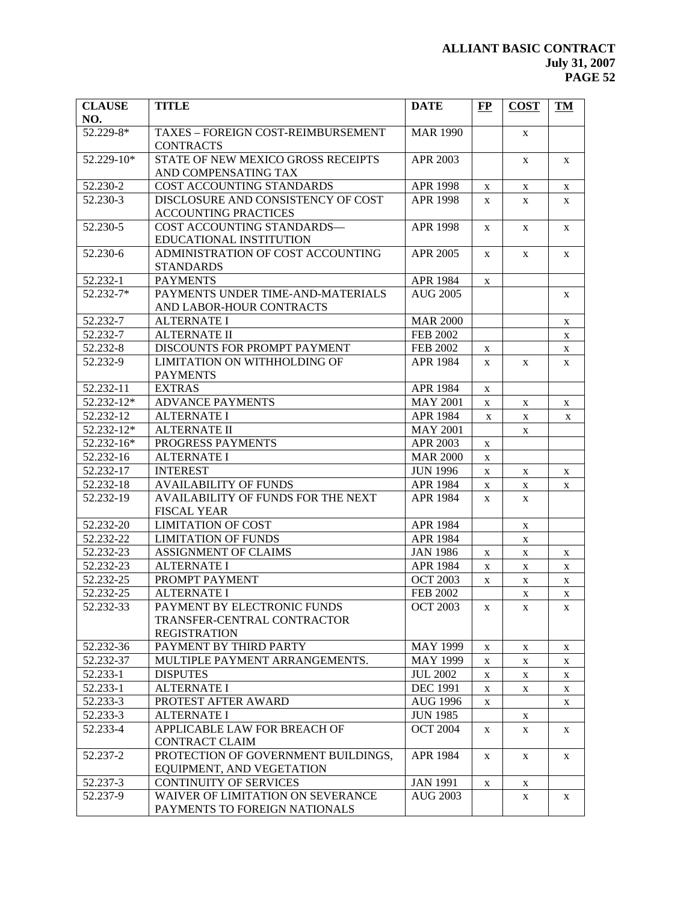| <b>CLAUSE</b>        | <b>TITLE</b>                                       | <b>DATE</b>                        | FP           | <b>COST</b> | <b>TM</b>   |
|----------------------|----------------------------------------------------|------------------------------------|--------------|-------------|-------------|
| NO.<br>52.229-8*     | TAXES - FOREIGN COST-REIMBURSEMENT                 | <b>MAR 1990</b>                    |              | X           |             |
|                      | <b>CONTRACTS</b>                                   |                                    |              |             |             |
| 52.229-10*           | STATE OF NEW MEXICO GROSS RECEIPTS                 | APR 2003                           |              | $\mathbf X$ | X           |
|                      | AND COMPENSATING TAX                               |                                    |              |             |             |
| 52.230-2             | COST ACCOUNTING STANDARDS                          | <b>APR 1998</b>                    | X            | X           | X           |
| 52.230-3             | DISCLOSURE AND CONSISTENCY OF COST                 | <b>APR 1998</b>                    | $\mathbf{X}$ | X           | X           |
|                      | <b>ACCOUNTING PRACTICES</b>                        |                                    |              |             |             |
| 52.230-5             | COST ACCOUNTING STANDARDS-                         | <b>APR 1998</b>                    | X            | X           | X           |
|                      | EDUCATIONAL INSTITUTION                            |                                    |              |             |             |
| 52.230-6             | ADMINISTRATION OF COST ACCOUNTING                  | <b>APR 2005</b>                    | $\mathbf{X}$ | X           | X           |
|                      | <b>STANDARDS</b>                                   |                                    |              |             |             |
| 52.232-1             | <b>PAYMENTS</b>                                    | APR 1984                           | $\mathbf{X}$ |             |             |
| 52.232-7*            | PAYMENTS UNDER TIME-AND-MATERIALS                  | <b>AUG 2005</b>                    |              |             | X           |
|                      | AND LABOR-HOUR CONTRACTS                           |                                    |              |             |             |
| 52.232-7<br>52.232-7 | <b>ALTERNATE I</b><br><b>ALTERNATE II</b>          | <b>MAR 2000</b>                    |              |             | $\mathbf X$ |
| 52.232-8             | DISCOUNTS FOR PROMPT PAYMENT                       | <b>FEB 2002</b><br><b>FEB 2002</b> |              |             | $\mathbf X$ |
| 52.232-9             | LIMITATION ON WITHHOLDING OF                       | APR 1984                           | X            |             | $\mathbf X$ |
|                      | <b>PAYMENTS</b>                                    |                                    | X            | X           | $\mathbf X$ |
| 52.232-11            | <b>EXTRAS</b>                                      | APR 1984                           | $\mathbf X$  |             |             |
| 52.232-12*           | <b>ADVANCE PAYMENTS</b>                            | <b>MAY 2001</b>                    | $\mathbf X$  | $\mathbf X$ | X           |
| 52.232-12            | <b>ALTERNATE I</b>                                 | APR 1984                           | X            | $\mathbf X$ | X           |
| 52.232-12*           | <b>ALTERNATE II</b>                                | <b>MAY 2001</b>                    |              | $\mathbf X$ |             |
| 52.232-16*           | PROGRESS PAYMENTS                                  | APR 2003                           | $\mathbf X$  |             |             |
| 52.232-16            | <b>ALTERNATE I</b>                                 | <b>MAR 2000</b>                    | $\mathbf X$  |             |             |
| 52.232-17            | <b>INTEREST</b>                                    | <b>JUN 1996</b>                    | $\mathbf X$  | X           | X           |
| 52.232-18            | <b>AVAILABILITY OF FUNDS</b>                       | <b>APR 1984</b>                    | X            | $\mathbf X$ | $\mathbf X$ |
| 52.232-19            | AVAILABILITY OF FUNDS FOR THE NEXT                 | APR 1984                           | X            | $\mathbf X$ |             |
|                      | <b>FISCAL YEAR</b>                                 |                                    |              |             |             |
| 52.232-20            | <b>LIMITATION OF COST</b>                          | APR 1984                           |              | $\mathbf X$ |             |
| 52.232-22            | <b>LIMITATION OF FUNDS</b>                         | APR 1984                           |              | $\mathbf X$ |             |
| 52.232-23            | <b>ASSIGNMENT OF CLAIMS</b>                        | <b>JAN 1986</b>                    | X            | $\mathbf X$ | X           |
| 52.232-23            | <b>ALTERNATE I</b>                                 | APR 1984                           | $\mathbf X$  | $\mathbf X$ | $\mathbf X$ |
| 52.232-25            | PROMPT PAYMENT                                     | <b>OCT 2003</b>                    | X            | $\mathbf X$ | X           |
| 52.232-25            | <b>ALTERNATE I</b>                                 | <b>FEB 2002</b>                    |              | $\mathbf X$ | X           |
| 52.232-33            | PAYMENT BY ELECTRONIC FUNDS                        | <b>OCT 2003</b>                    | $\mathbf X$  | $\mathbf X$ | $\mathbf X$ |
|                      | TRANSFER-CENTRAL CONTRACTOR                        |                                    |              |             |             |
|                      | <b>REGISTRATION</b>                                |                                    |              |             |             |
| 52.232-36            | PAYMENT BY THIRD PARTY                             | <b>MAY 1999</b>                    | X            | $\mathbf X$ | X           |
| 52.232-37            | MULTIPLE PAYMENT ARRANGEMENTS.                     | <b>MAY 1999</b>                    | X            | X           | X           |
| 52.233-1             | <b>DISPUTES</b>                                    | <b>JUL 2002</b>                    | $\mathbf X$  | $\mathbf X$ | X           |
| 52.233-1             | <b>ALTERNATE I</b>                                 | <b>DEC 1991</b>                    | X            | $\mathbf X$ | X           |
| 52.233-3             | PROTEST AFTER AWARD                                | <b>AUG 1996</b>                    | X            |             | X           |
| 52.233-3             | <b>ALTERNATE I</b><br>APPLICABLE LAW FOR BREACH OF | <b>JUN 1985</b><br><b>OCT 2004</b> |              | $\mathbf X$ |             |
| 52.233-4             | CONTRACT CLAIM                                     |                                    | X            | X           | X           |
| 52.237-2             | PROTECTION OF GOVERNMENT BUILDINGS,                | APR 1984                           | X            |             |             |
|                      | EQUIPMENT, AND VEGETATION                          |                                    |              | X           | X           |
| 52.237-3             | CONTINUITY OF SERVICES                             | <b>JAN 1991</b>                    | X            | $\mathbf X$ |             |
| 52.237-9             | WAIVER OF LIMITATION ON SEVERANCE                  | <b>AUG 2003</b>                    |              | X           | X           |
|                      | PAYMENTS TO FOREIGN NATIONALS                      |                                    |              |             |             |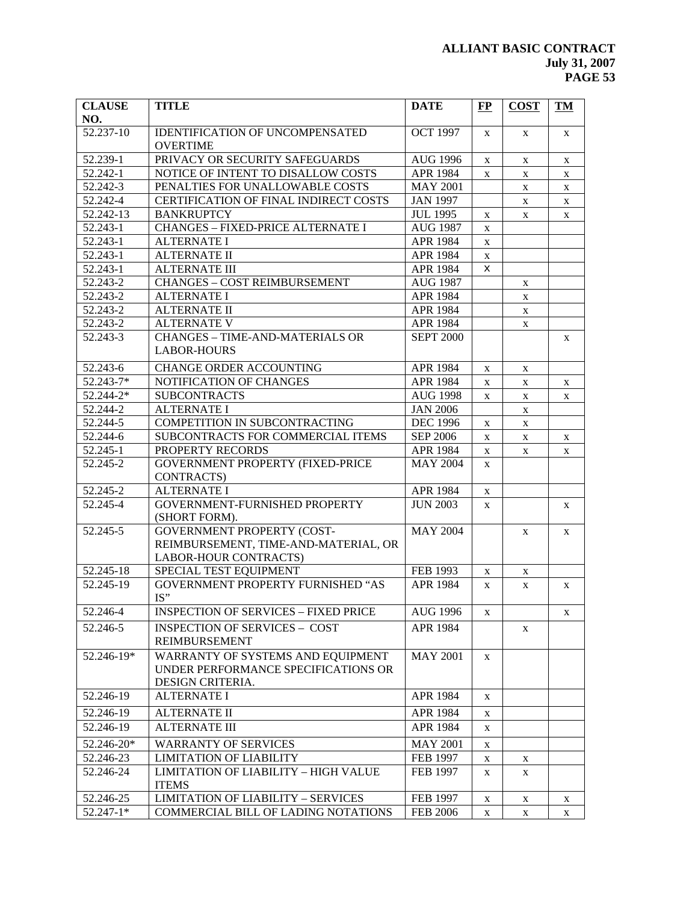| <b>CLAUSE</b><br>NO. | <b>TITLE</b>                                                                                       | <b>DATE</b>      | $\bf FP$     | <b>COST</b> | <b>TM</b>    |
|----------------------|----------------------------------------------------------------------------------------------------|------------------|--------------|-------------|--------------|
| 52.237-10            | <b>IDENTIFICATION OF UNCOMPENSATED</b><br><b>OVERTIME</b>                                          | <b>OCT 1997</b>  | $\mathbf{X}$ | X           | X            |
| 52.239-1             | PRIVACY OR SECURITY SAFEGUARDS                                                                     | <b>AUG 1996</b>  | X            | X           | $\mathbf X$  |
| 52.242-1             | NOTICE OF INTENT TO DISALLOW COSTS                                                                 | APR 1984         | X            | X           | X            |
| 52.242-3             | PENALTIES FOR UNALLOWABLE COSTS                                                                    | <b>MAY 2001</b>  |              | X           | X            |
| 52.242-4             | CERTIFICATION OF FINAL INDIRECT COSTS                                                              | <b>JAN 1997</b>  |              | X           | X            |
| 52.242-13            | <b>BANKRUPTCY</b>                                                                                  | <b>JUL 1995</b>  | X            | X           | X            |
| 52.243-1             | <b>CHANGES - FIXED-PRICE ALTERNATE I</b>                                                           | <b>AUG 1987</b>  | X            |             |              |
| 52.243-1             | <b>ALTERNATE I</b>                                                                                 | APR 1984         | X            |             |              |
| 52.243-1             | <b>ALTERNATE II</b>                                                                                | APR 1984         | X            |             |              |
| 52.243-1             | <b>ALTERNATE III</b>                                                                               | APR 1984         | x            |             |              |
| 52.243-2             | <b>CHANGES - COST REIMBURSEMENT</b>                                                                | <b>AUG 1987</b>  |              | X           |              |
| 52.243-2             | <b>ALTERNATE I</b>                                                                                 | APR 1984         |              | X           |              |
| 52.243-2             | <b>ALTERNATE II</b>                                                                                | APR 1984         |              | X           |              |
| 52.243-2             | <b>ALTERNATE V</b>                                                                                 | APR 1984         |              | X           |              |
| 52.243-3             | <b>CHANGES - TIME-AND-MATERIALS OR</b><br><b>LABOR-HOURS</b>                                       | <b>SEPT 2000</b> |              |             | X            |
| 52.243-6             | CHANGE ORDER ACCOUNTING                                                                            | APR 1984         | X            | X           |              |
| 52.243-7*            | NOTIFICATION OF CHANGES                                                                            | APR 1984         | X            | X           | X            |
| $52.244 - 2*$        | <b>SUBCONTRACTS</b>                                                                                | <b>AUG 1998</b>  | X            | $\mathbf X$ | X            |
| 52.244-2             | <b>ALTERNATE I</b>                                                                                 | <b>JAN 2006</b>  |              | $\mathbf X$ |              |
| 52.244-5             | COMPETITION IN SUBCONTRACTING                                                                      | <b>DEC 1996</b>  | X            | $\mathbf X$ |              |
| 52.244-6             | SUBCONTRACTS FOR COMMERCIAL ITEMS                                                                  | <b>SEP 2006</b>  | X            | $\mathbf X$ | X            |
| 52.245-1             | PROPERTY RECORDS                                                                                   | APR 1984         | X            | X           | X            |
| 52.245-2             | <b>GOVERNMENT PROPERTY (FIXED-PRICE</b><br><b>CONTRACTS</b> )                                      | <b>MAY 2004</b>  | X            |             |              |
| $52.245 - 2$         | <b>ALTERNATE I</b>                                                                                 | APR 1984         | $\mathbf X$  |             |              |
| 52.245-4             | GOVERNMENT-FURNISHED PROPERTY<br>(SHORT FORM).                                                     | <b>JUN 2003</b>  | $\mathbf X$  |             | X            |
| 52.245-5             | <b>GOVERNMENT PROPERTY (COST-</b><br>REIMBURSEMENT, TIME-AND-MATERIAL, OR<br>LABOR-HOUR CONTRACTS) | <b>MAY 2004</b>  |              | X           | $\mathbf{X}$ |
| 52.245-18            | SPECIAL TEST EQUIPMENT                                                                             | FEB 1993         | X            | X           |              |
| 52.245-19            | GOVERNMENT PROPERTY FURNISHED "AS<br>IS"                                                           | APR 1984         | X            | X           | X            |
| 52.246-4             | <b>INSPECTION OF SERVICES - FIXED PRICE</b>                                                        | <b>AUG 1996</b>  | X            |             | X            |
| 52.246-5             | <b>INSPECTION OF SERVICES - COST</b><br><b>REIMBURSEMENT</b>                                       | APR 1984         |              | X           |              |
| 52.246-19*           | WARRANTY OF SYSTEMS AND EQUIPMENT<br>UNDER PERFORMANCE SPECIFICATIONS OR<br>DESIGN CRITERIA.       | <b>MAY 2001</b>  | $\mathbf{X}$ |             |              |
| 52.246-19            | <b>ALTERNATE I</b>                                                                                 | APR 1984         | $\mathbf{X}$ |             |              |
| 52.246-19            | <b>ALTERNATE II</b>                                                                                | APR 1984         | X            |             |              |
| 52.246-19            | <b>ALTERNATE III</b>                                                                               | APR 1984         | X            |             |              |
| 52.246-20*           | <b>WARRANTY OF SERVICES</b>                                                                        | <b>MAY 2001</b>  | X            |             |              |
| 52.246-23            | <b>LIMITATION OF LIABILITY</b>                                                                     | <b>FEB 1997</b>  | X            | X           |              |
| 52.246-24            | LIMITATION OF LIABILITY - HIGH VALUE<br><b>ITEMS</b>                                               | <b>FEB 1997</b>  | X            | X           |              |
| 52.246-25            | <b>LIMITATION OF LIABILITY - SERVICES</b>                                                          | FEB 1997         | $\mathbf X$  | X           | X            |
| $52.247 - 1*$        | COMMERCIAL BILL OF LADING NOTATIONS                                                                | <b>FEB 2006</b>  | $\mathbf X$  | $\mathbf X$ | $\mathbf X$  |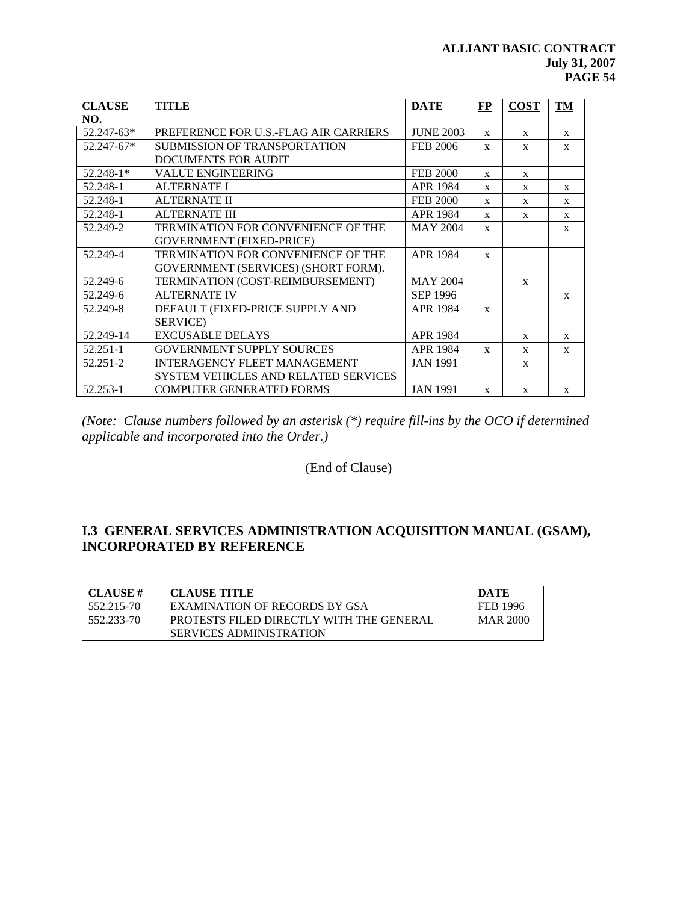| <b>CLAUSE</b>  | <b>TITLE</b>                                | <b>DATE</b>      | FP           | <b>COST</b>  | TM           |
|----------------|---------------------------------------------|------------------|--------------|--------------|--------------|
| NO.            |                                             |                  |              |              |              |
| $52.247 - 63*$ | PREFERENCE FOR U.S.-FLAG AIR CARRIERS       | <b>JUNE 2003</b> | $\mathbf{x}$ | $\mathbf{x}$ | $\mathbf{x}$ |
| $52.247 - 67*$ | SUBMISSION OF TRANSPORTATION                | <b>FEB 2006</b>  | $\mathbf{x}$ | $\mathbf{x}$ | $\mathbf{x}$ |
|                | DOCUMENTS FOR AUDIT                         |                  |              |              |              |
| $52.248 - 1*$  | <b>VALUE ENGINEERING</b>                    | <b>FEB 2000</b>  | $\mathbf{x}$ | $\mathbf{x}$ |              |
| 52.248-1       | <b>ALTERNATE I</b>                          | <b>APR 1984</b>  | $\mathbf{x}$ | $\mathbf{x}$ | $\mathbf{x}$ |
| 52.248-1       | <b>ALTERNATE II</b>                         | <b>FEB 2000</b>  | $\mathbf{x}$ | $\mathbf{x}$ | $\mathbf{x}$ |
| 52.248-1       | <b>ALTERNATE III</b>                        | <b>APR 1984</b>  | $\mathbf{x}$ | $\mathbf{x}$ | $\mathbf{x}$ |
| 52.249-2       | <b>TERMINATION FOR CONVENIENCE OF THE</b>   | <b>MAY 2004</b>  | $\mathbf{x}$ |              | $\mathbf{x}$ |
|                | <b>GOVERNMENT (FIXED-PRICE)</b>             |                  |              |              |              |
| 52.249-4       | TERMINATION FOR CONVENIENCE OF THE          | <b>APR 1984</b>  | $\mathbf{x}$ |              |              |
|                | GOVERNMENT (SERVICES) (SHORT FORM).         |                  |              |              |              |
| 52.249-6       | TERMINATION (COST-REIMBURSEMENT)            | <b>MAY 2004</b>  |              | $\mathbf{x}$ |              |
| 52.249-6       | <b>ALTERNATE IV</b>                         | <b>SEP 1996</b>  |              |              | $\mathbf{x}$ |
| 52.249-8       | DEFAULT (FIXED-PRICE SUPPLY AND             | APR 1984         | $\mathbf{x}$ |              |              |
|                | <b>SERVICE</b> )                            |                  |              |              |              |
| 52.249-14      | <b>EXCUSABLE DELAYS</b>                     | APR 1984         |              | $\mathbf{x}$ | $\mathbf{x}$ |
| $52.251 - 1$   | <b>GOVERNMENT SUPPLY SOURCES</b>            | APR 1984         | $\mathbf{x}$ | $\mathbf{x}$ | X            |
| 52.251-2       | <b>INTERAGENCY FLEET MANAGEMENT</b>         | <b>JAN 1991</b>  |              | $\mathbf{x}$ |              |
|                | <b>SYSTEM VEHICLES AND RELATED SERVICES</b> |                  |              |              |              |
| 52.253-1       | <b>COMPUTER GENERATED FORMS</b>             | <b>JAN 1991</b>  | X            | $\mathbf{x}$ | $\mathbf{x}$ |

*(Note: Clause numbers followed by an asterisk (\*) require fill-ins by the OCO if determined applicable and incorporated into the Order.)* 

(End of Clause)

# **I.3 GENERAL SERVICES ADMINISTRATION ACQUISITION MANUAL (GSAM), INCORPORATED BY REFERENCE**

| <b>CLAUSE</b> # | <b>CLAUSE TITLE</b>                      | DATE            |
|-----------------|------------------------------------------|-----------------|
| 552.215-70      | EXAMINATION OF RECORDS BY GSA            | FEB 1996        |
| 552.233-70      | PROTESTS FILED DIRECTLY WITH THE GENERAL | <b>MAR 2000</b> |
|                 | <b>SERVICES ADMINISTRATION</b>           |                 |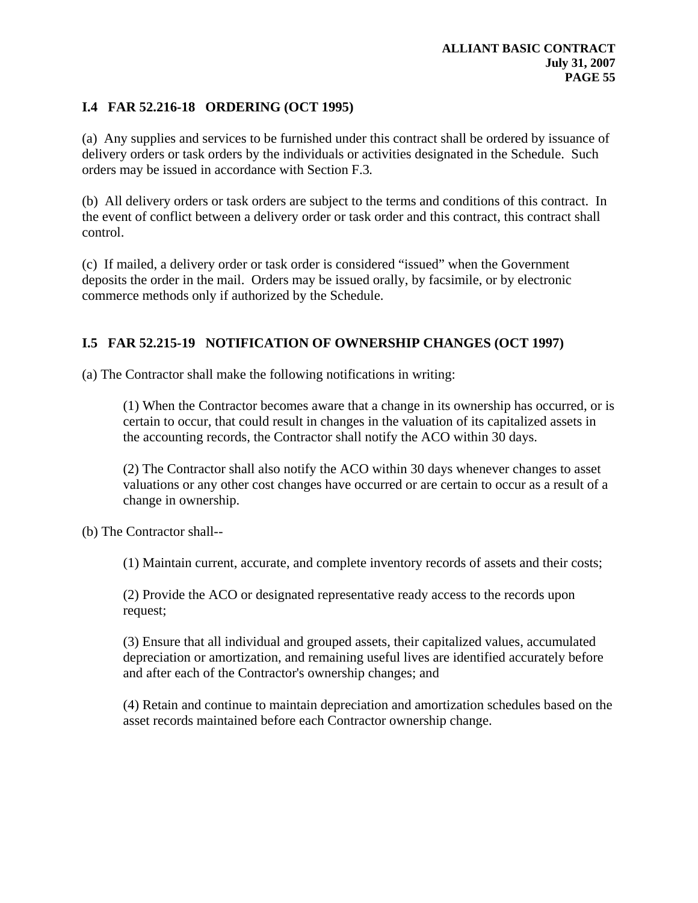# **I.4 FAR 52.216-18 ORDERING (OCT 1995)**

(a) Any supplies and services to be furnished under this contract shall be ordered by issuance of delivery orders or task orders by the individuals or activities designated in the Schedule. Such orders may be issued in accordance with Section F.3*.* 

(b) All delivery orders or task orders are subject to the terms and conditions of this contract. In the event of conflict between a delivery order or task order and this contract, this contract shall control.

(c) If mailed, a delivery order or task order is considered "issued" when the Government deposits the order in the mail. Orders may be issued orally, by facsimile, or by electronic commerce methods only if authorized by the Schedule.

# **I.5 FAR 52.215-19 NOTIFICATION OF OWNERSHIP CHANGES (OCT 1997)**

(a) The Contractor shall make the following notifications in writing:

(1) When the Contractor becomes aware that a change in its ownership has occurred, or is certain to occur, that could result in changes in the valuation of its capitalized assets in the accounting records, the Contractor shall notify the ACO within 30 days.

(2) The Contractor shall also notify the ACO within 30 days whenever changes to asset valuations or any other cost changes have occurred or are certain to occur as a result of a change in ownership.

(b) The Contractor shall--

(1) Maintain current, accurate, and complete inventory records of assets and their costs;

(2) Provide the ACO or designated representative ready access to the records upon request;

(3) Ensure that all individual and grouped assets, their capitalized values, accumulated depreciation or amortization, and remaining useful lives are identified accurately before and after each of the Contractor's ownership changes; and

(4) Retain and continue to maintain depreciation and amortization schedules based on the asset records maintained before each Contractor ownership change.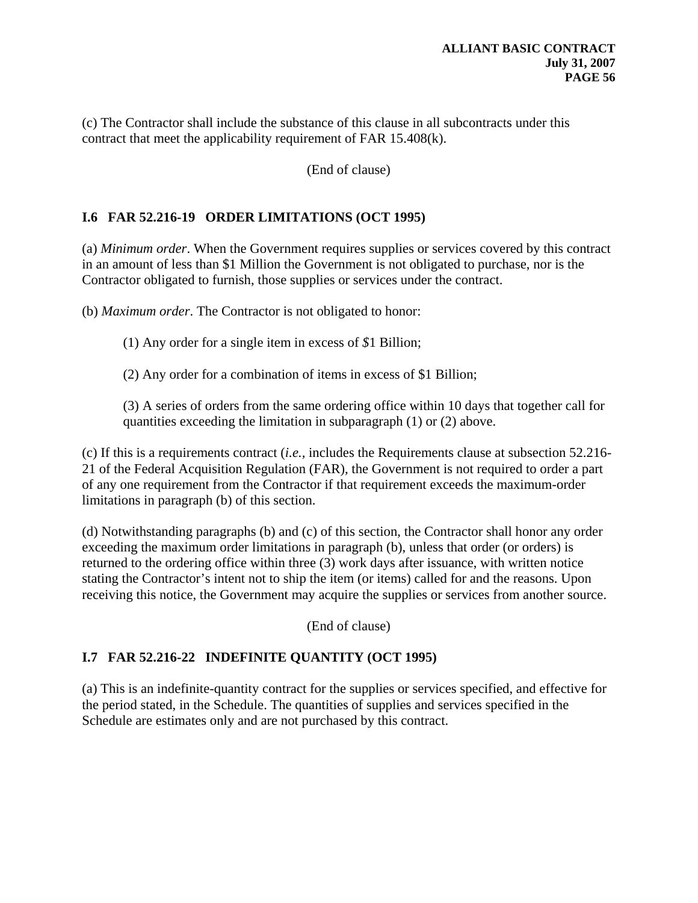(c) The Contractor shall include the substance of this clause in all subcontracts under this contract that meet the applicability requirement of FAR 15.408(k).

(End of clause)

# **I.6 FAR 52.216-19 ORDER LIMITATIONS (OCT 1995)**

(a) *Minimum order*. When the Government requires supplies or services covered by this contract in an amount of less than \$1 Million the Government is not obligated to purchase, nor is the Contractor obligated to furnish, those supplies or services under the contract.

(b) *Maximum order*. The Contractor is not obligated to honor:

(1) Any order for a single item in excess of *\$*1 Billion;

(2) Any order for a combination of items in excess of \$1 Billion;

(3) A series of orders from the same ordering office within 10 days that together call for quantities exceeding the limitation in subparagraph (1) or (2) above.

(c) If this is a requirements contract (*i.e.,* includes the Requirements clause at subsection 52.216- 21 of the Federal Acquisition Regulation (FAR), the Government is not required to order a part of any one requirement from the Contractor if that requirement exceeds the maximum-order limitations in paragraph (b) of this section.

(d) Notwithstanding paragraphs (b) and (c) of this section, the Contractor shall honor any order exceeding the maximum order limitations in paragraph (b), unless that order (or orders) is returned to the ordering office within three (3) work days after issuance, with written notice stating the Contractor's intent not to ship the item (or items) called for and the reasons. Upon receiving this notice, the Government may acquire the supplies or services from another source.

(End of clause)

# **I.7 FAR 52.216-22 INDEFINITE QUANTITY (OCT 1995)**

(a) This is an indefinite-quantity contract for the supplies or services specified, and effective for the period stated, in the Schedule. The quantities of supplies and services specified in the Schedule are estimates only and are not purchased by this contract.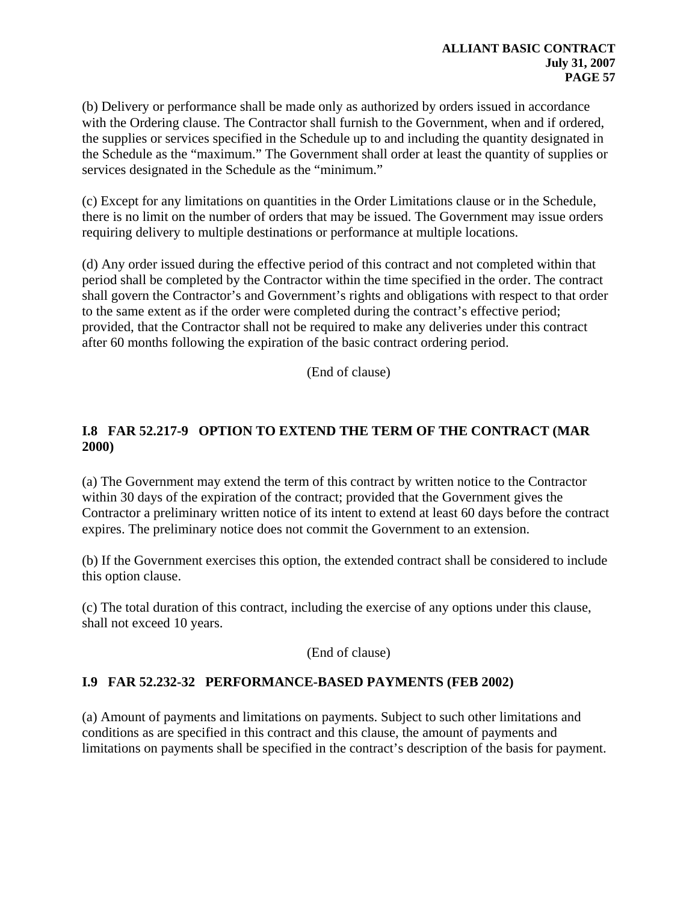(b) Delivery or performance shall be made only as authorized by orders issued in accordance with the Ordering clause. The Contractor shall furnish to the Government, when and if ordered, the supplies or services specified in the Schedule up to and including the quantity designated in the Schedule as the "maximum." The Government shall order at least the quantity of supplies or services designated in the Schedule as the "minimum."

(c) Except for any limitations on quantities in the Order Limitations clause or in the Schedule, there is no limit on the number of orders that may be issued. The Government may issue orders requiring delivery to multiple destinations or performance at multiple locations.

(d) Any order issued during the effective period of this contract and not completed within that period shall be completed by the Contractor within the time specified in the order. The contract shall govern the Contractor's and Government's rights and obligations with respect to that order to the same extent as if the order were completed during the contract's effective period; provided, that the Contractor shall not be required to make any deliveries under this contract after 60 months following the expiration of the basic contract ordering period.

(End of clause)

# **I.8 FAR 52.217-9 OPTION TO EXTEND THE TERM OF THE CONTRACT (MAR 2000)**

(a) The Government may extend the term of this contract by written notice to the Contractor within 30 days of the expiration of the contract; provided that the Government gives the Contractor a preliminary written notice of its intent to extend at least 60 days before the contract expires. The preliminary notice does not commit the Government to an extension.

(b) If the Government exercises this option, the extended contract shall be considered to include this option clause.

(c) The total duration of this contract, including the exercise of any options under this clause, shall not exceed 10 years.

(End of clause)

# **I.9 FAR 52.232-32 PERFORMANCE-BASED PAYMENTS (FEB 2002)**

(a) Amount of payments and limitations on payments. Subject to such other limitations and conditions as are specified in this contract and this clause, the amount of payments and limitations on payments shall be specified in the contract's description of the basis for payment.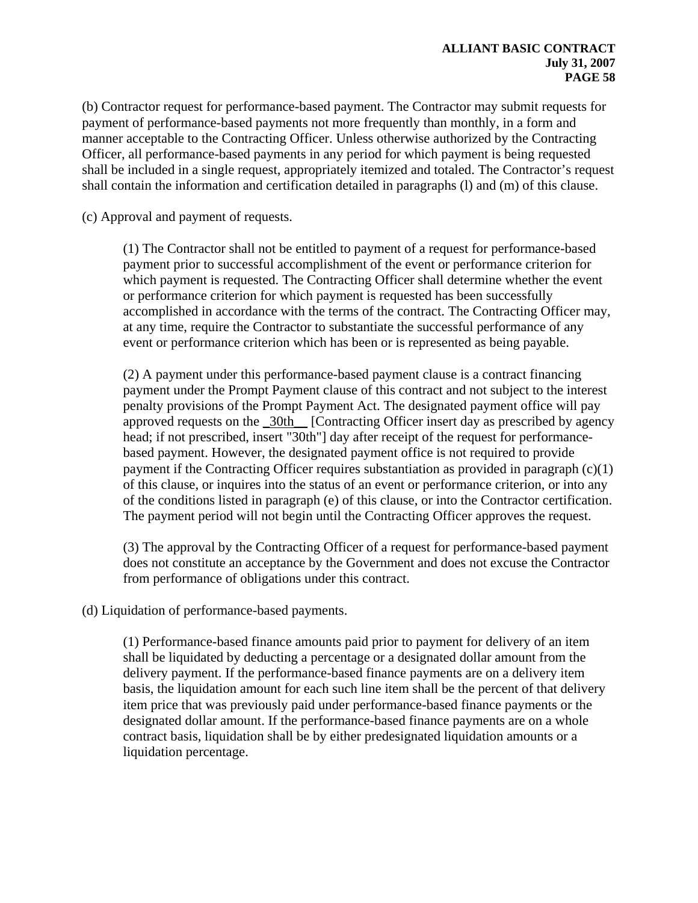(b) Contractor request for performance-based payment. The Contractor may submit requests for payment of performance-based payments not more frequently than monthly, in a form and manner acceptable to the Contracting Officer. Unless otherwise authorized by the Contracting Officer, all performance-based payments in any period for which payment is being requested shall be included in a single request, appropriately itemized and totaled. The Contractor's request shall contain the information and certification detailed in paragraphs (l) and (m) of this clause.

(c) Approval and payment of requests.

(1) The Contractor shall not be entitled to payment of a request for performance-based payment prior to successful accomplishment of the event or performance criterion for which payment is requested. The Contracting Officer shall determine whether the event or performance criterion for which payment is requested has been successfully accomplished in accordance with the terms of the contract. The Contracting Officer may, at any time, require the Contractor to substantiate the successful performance of any event or performance criterion which has been or is represented as being payable.

(2) A payment under this performance-based payment clause is a contract financing payment under the Prompt Payment clause of this contract and not subject to the interest penalty provisions of the Prompt Payment Act. The designated payment office will pay approved requests on the  $\frac{30 \text{th}}{200 \text{th}}$  [Contracting Officer insert day as prescribed by agency head; if not prescribed, insert "30th"] day after receipt of the request for performancebased payment. However, the designated payment office is not required to provide payment if the Contracting Officer requires substantiation as provided in paragraph (c)(1) of this clause, or inquires into the status of an event or performance criterion, or into any of the conditions listed in paragraph (e) of this clause, or into the Contractor certification. The payment period will not begin until the Contracting Officer approves the request.

(3) The approval by the Contracting Officer of a request for performance-based payment does not constitute an acceptance by the Government and does not excuse the Contractor from performance of obligations under this contract.

(d) Liquidation of performance-based payments.

(1) Performance-based finance amounts paid prior to payment for delivery of an item shall be liquidated by deducting a percentage or a designated dollar amount from the delivery payment. If the performance-based finance payments are on a delivery item basis, the liquidation amount for each such line item shall be the percent of that delivery item price that was previously paid under performance-based finance payments or the designated dollar amount. If the performance-based finance payments are on a whole contract basis, liquidation shall be by either predesignated liquidation amounts or a liquidation percentage.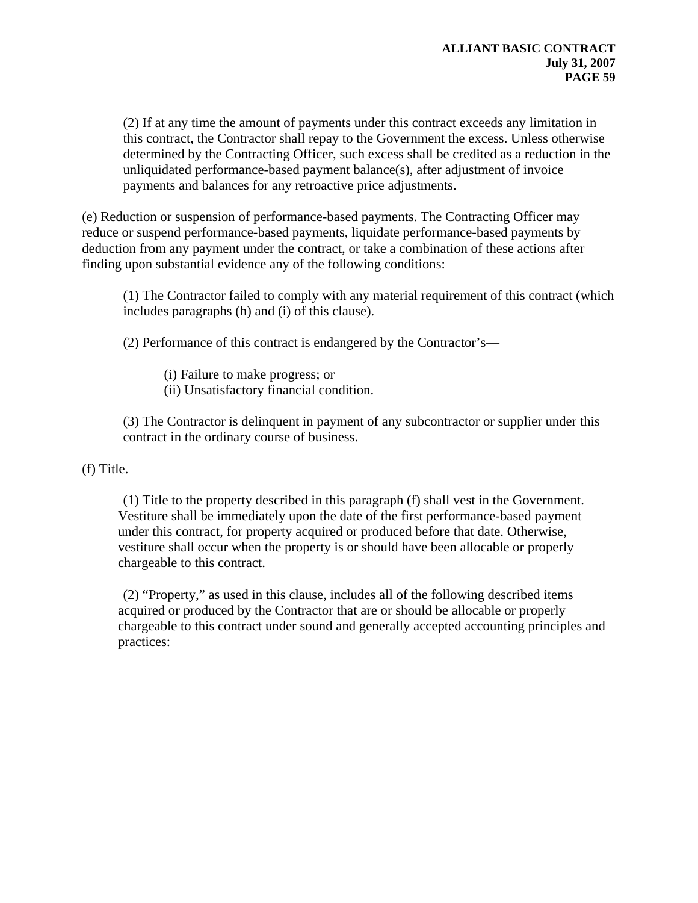(2) If at any time the amount of payments under this contract exceeds any limitation in this contract, the Contractor shall repay to the Government the excess. Unless otherwise determined by the Contracting Officer, such excess shall be credited as a reduction in the unliquidated performance-based payment balance(s), after adjustment of invoice payments and balances for any retroactive price adjustments.

(e) Reduction or suspension of performance-based payments. The Contracting Officer may reduce or suspend performance-based payments, liquidate performance-based payments by deduction from any payment under the contract, or take a combination of these actions after finding upon substantial evidence any of the following conditions:

(1) The Contractor failed to comply with any material requirement of this contract (which includes paragraphs (h) and (i) of this clause).

(2) Performance of this contract is endangered by the Contractor's—

(i) Failure to make progress; or

(ii) Unsatisfactory financial condition.

(3) The Contractor is delinquent in payment of any subcontractor or supplier under this contract in the ordinary course of business.

(f) Title.

(1) Title to the property described in this paragraph (f) shall vest in the Government. Vestiture shall be immediately upon the date of the first performance-based payment under this contract, for property acquired or produced before that date. Otherwise, vestiture shall occur when the property is or should have been allocable or properly chargeable to this contract.

(2) "Property," as used in this clause, includes all of the following described items acquired or produced by the Contractor that are or should be allocable or properly chargeable to this contract under sound and generally accepted accounting principles and practices: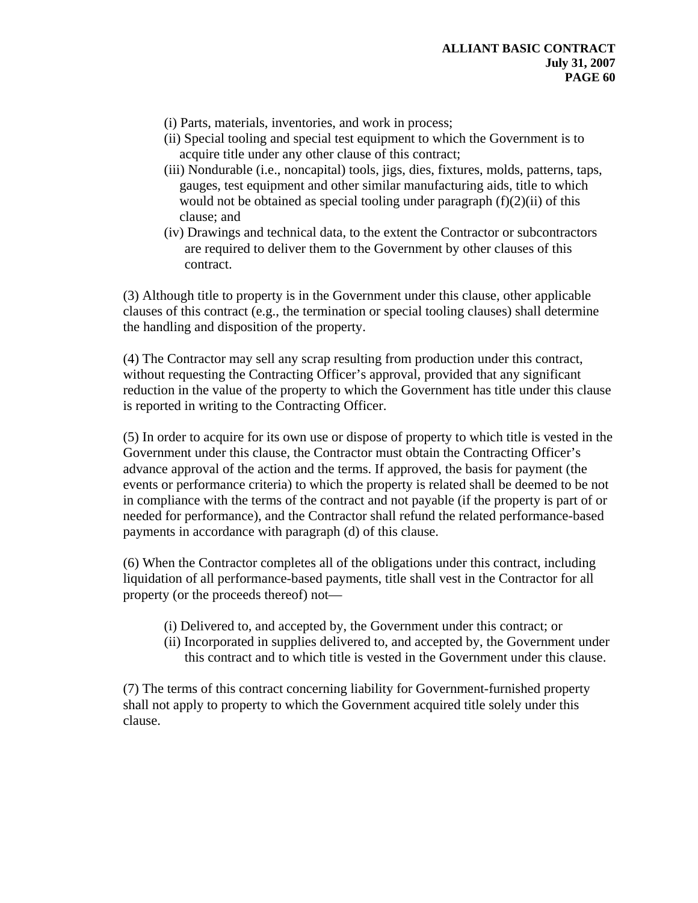- (i) Parts, materials, inventories, and work in process;
- (ii) Special tooling and special test equipment to which the Government is to acquire title under any other clause of this contract;
- (iii) Nondurable (i.e., noncapital) tools, jigs, dies, fixtures, molds, patterns, taps, gauges, test equipment and other similar manufacturing aids, title to which would not be obtained as special tooling under paragraph  $(f)(2)(ii)$  of this clause; and
- (iv) Drawings and technical data, to the extent the Contractor or subcontractors are required to deliver them to the Government by other clauses of this contract.

(3) Although title to property is in the Government under this clause, other applicable clauses of this contract (e.g., the termination or special tooling clauses) shall determine the handling and disposition of the property.

(4) The Contractor may sell any scrap resulting from production under this contract, without requesting the Contracting Officer's approval, provided that any significant reduction in the value of the property to which the Government has title under this clause is reported in writing to the Contracting Officer.

(5) In order to acquire for its own use or dispose of property to which title is vested in the Government under this clause, the Contractor must obtain the Contracting Officer's advance approval of the action and the terms. If approved, the basis for payment (the events or performance criteria) to which the property is related shall be deemed to be not in compliance with the terms of the contract and not payable (if the property is part of or needed for performance), and the Contractor shall refund the related performance-based payments in accordance with paragraph (d) of this clause.

(6) When the Contractor completes all of the obligations under this contract, including liquidation of all performance-based payments, title shall vest in the Contractor for all property (or the proceeds thereof) not—

- (i) Delivered to, and accepted by, the Government under this contract; or
- (ii) Incorporated in supplies delivered to, and accepted by, the Government under this contract and to which title is vested in the Government under this clause.

(7) The terms of this contract concerning liability for Government-furnished property shall not apply to property to which the Government acquired title solely under this clause.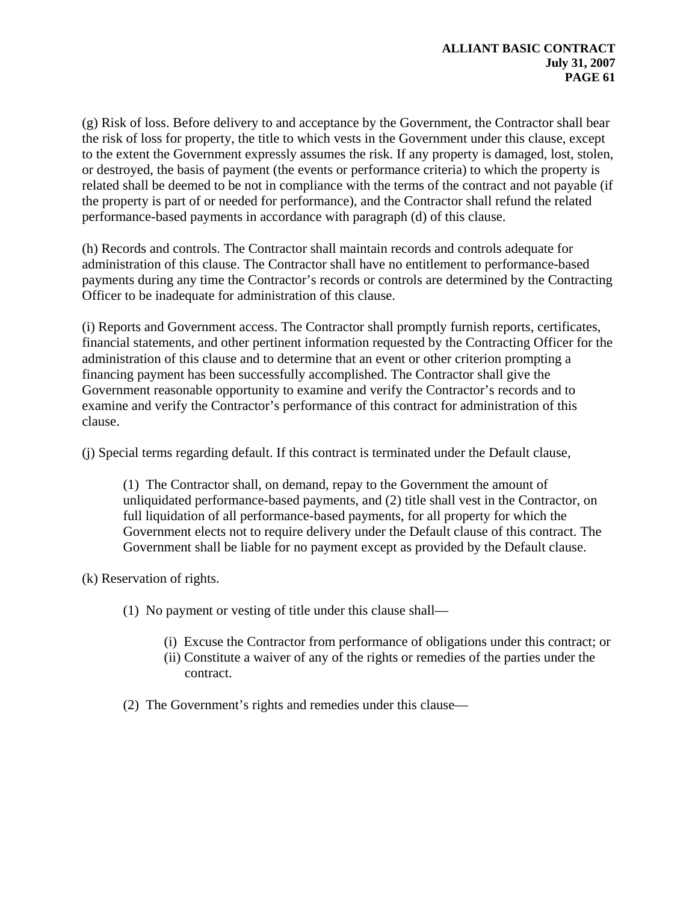(g) Risk of loss. Before delivery to and acceptance by the Government, the Contractor shall bear the risk of loss for property, the title to which vests in the Government under this clause, except to the extent the Government expressly assumes the risk. If any property is damaged, lost, stolen, or destroyed, the basis of payment (the events or performance criteria) to which the property is related shall be deemed to be not in compliance with the terms of the contract and not payable (if the property is part of or needed for performance), and the Contractor shall refund the related performance-based payments in accordance with paragraph (d) of this clause.

(h) Records and controls. The Contractor shall maintain records and controls adequate for administration of this clause. The Contractor shall have no entitlement to performance-based payments during any time the Contractor's records or controls are determined by the Contracting Officer to be inadequate for administration of this clause.

(i) Reports and Government access. The Contractor shall promptly furnish reports, certificates, financial statements, and other pertinent information requested by the Contracting Officer for the administration of this clause and to determine that an event or other criterion prompting a financing payment has been successfully accomplished. The Contractor shall give the Government reasonable opportunity to examine and verify the Contractor's records and to examine and verify the Contractor's performance of this contract for administration of this clause.

(j) Special terms regarding default. If this contract is terminated under the Default clause,

(1) The Contractor shall, on demand, repay to the Government the amount of unliquidated performance-based payments, and (2) title shall vest in the Contractor, on full liquidation of all performance-based payments, for all property for which the Government elects not to require delivery under the Default clause of this contract. The Government shall be liable for no payment except as provided by the Default clause.

(k) Reservation of rights.

- (1) No payment or vesting of title under this clause shall—
	- (i) Excuse the Contractor from performance of obligations under this contract; or
	- (ii) Constitute a waiver of any of the rights or remedies of the parties under the contract.
- (2) The Government's rights and remedies under this clause—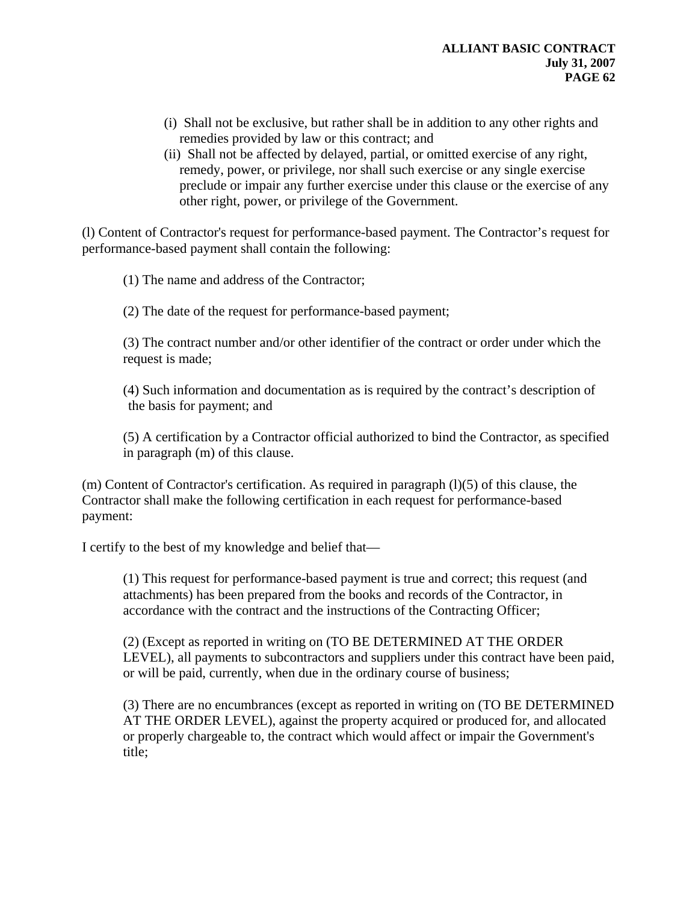- (i) Shall not be exclusive, but rather shall be in addition to any other rights and remedies provided by law or this contract; and
- (ii) Shall not be affected by delayed, partial, or omitted exercise of any right, remedy, power, or privilege, nor shall such exercise or any single exercise preclude or impair any further exercise under this clause or the exercise of any other right, power, or privilege of the Government.

(l) Content of Contractor's request for performance-based payment. The Contractor's request for performance-based payment shall contain the following:

(1) The name and address of the Contractor;

(2) The date of the request for performance-based payment;

(3) The contract number and/or other identifier of the contract or order under which the request is made;

(4) Such information and documentation as is required by the contract's description of the basis for payment; and

(5) A certification by a Contractor official authorized to bind the Contractor, as specified in paragraph (m) of this clause.

 $(m)$  Content of Contractor's certification. As required in paragraph  $(l)(5)$  of this clause, the Contractor shall make the following certification in each request for performance-based payment:

I certify to the best of my knowledge and belief that—

(1) This request for performance-based payment is true and correct; this request (and attachments) has been prepared from the books and records of the Contractor, in accordance with the contract and the instructions of the Contracting Officer;

(2) (Except as reported in writing on (TO BE DETERMINED AT THE ORDER LEVEL), all payments to subcontractors and suppliers under this contract have been paid, or will be paid, currently, when due in the ordinary course of business;

(3) There are no encumbrances (except as reported in writing on (TO BE DETERMINED AT THE ORDER LEVEL), against the property acquired or produced for, and allocated or properly chargeable to, the contract which would affect or impair the Government's title;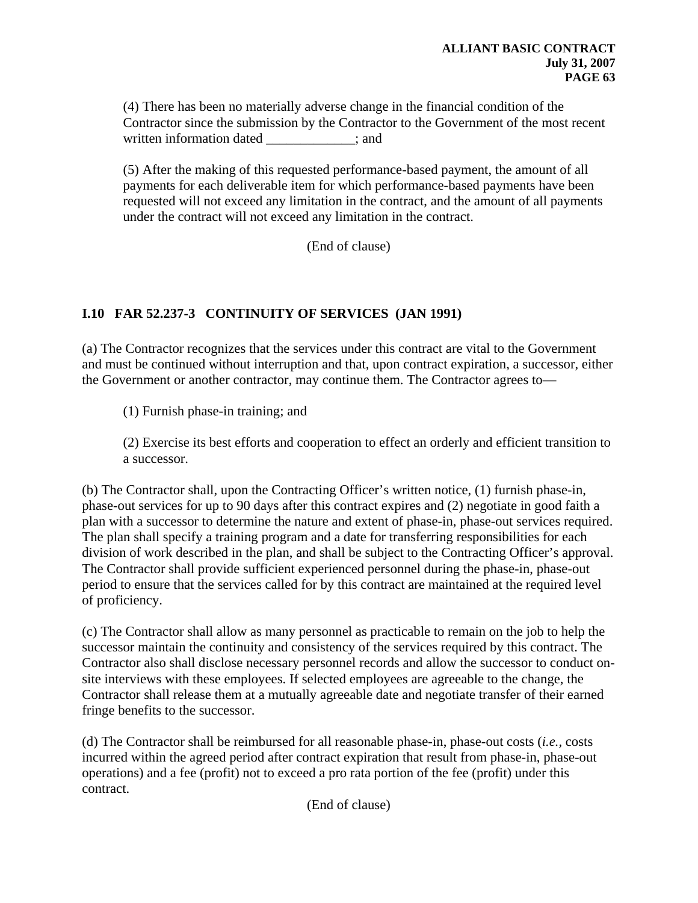(4) There has been no materially adverse change in the financial condition of the Contractor since the submission by the Contractor to the Government of the most recent written information dated  $\qquad \qquad ;$  and

(5) After the making of this requested performance-based payment, the amount of all payments for each deliverable item for which performance-based payments have been requested will not exceed any limitation in the contract, and the amount of all payments under the contract will not exceed any limitation in the contract.

(End of clause)

# **I.10 FAR 52.237-3 CONTINUITY OF SERVICES (JAN 1991)**

(a) The Contractor recognizes that the services under this contract are vital to the Government and must be continued without interruption and that, upon contract expiration, a successor, either the Government or another contractor, may continue them. The Contractor agrees to—

(1) Furnish phase-in training; and

(2) Exercise its best efforts and cooperation to effect an orderly and efficient transition to a successor.

(b) The Contractor shall, upon the Contracting Officer's written notice, (1) furnish phase-in, phase-out services for up to 90 days after this contract expires and (2) negotiate in good faith a plan with a successor to determine the nature and extent of phase-in, phase-out services required. The plan shall specify a training program and a date for transferring responsibilities for each division of work described in the plan, and shall be subject to the Contracting Officer's approval. The Contractor shall provide sufficient experienced personnel during the phase-in, phase-out period to ensure that the services called for by this contract are maintained at the required level of proficiency.

(c) The Contractor shall allow as many personnel as practicable to remain on the job to help the successor maintain the continuity and consistency of the services required by this contract. The Contractor also shall disclose necessary personnel records and allow the successor to conduct onsite interviews with these employees. If selected employees are agreeable to the change, the Contractor shall release them at a mutually agreeable date and negotiate transfer of their earned fringe benefits to the successor.

(d) The Contractor shall be reimbursed for all reasonable phase-in, phase-out costs (*i.e.,* costs incurred within the agreed period after contract expiration that result from phase-in, phase-out operations) and a fee (profit) not to exceed a pro rata portion of the fee (profit) under this contract.

(End of clause)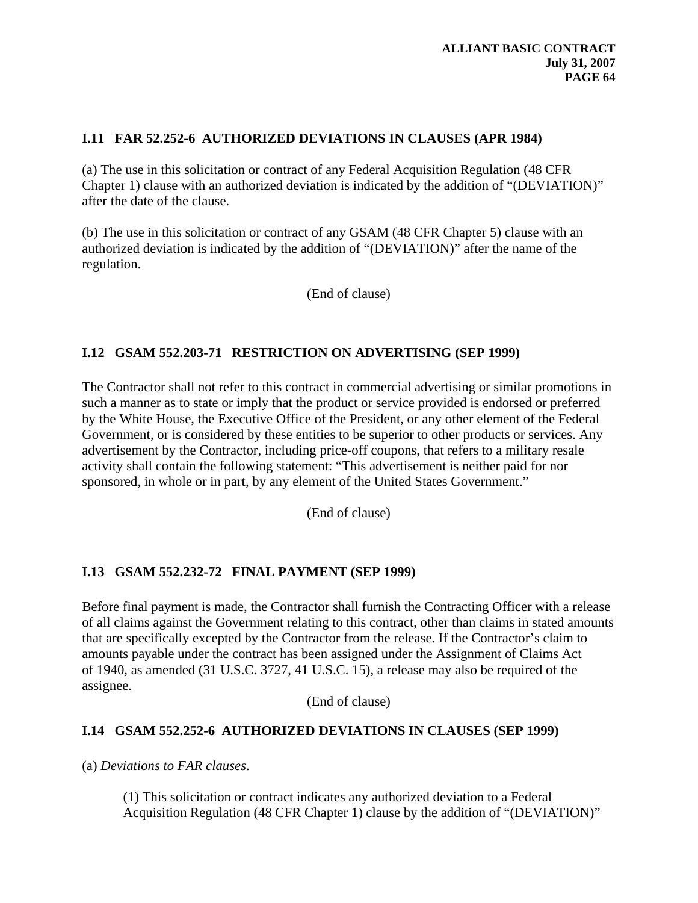# **I.11 FAR 52.252-6 AUTHORIZED DEVIATIONS IN CLAUSES (APR 1984)**

(a) The use in this solicitation or contract of any Federal Acquisition Regulation (48 CFR Chapter 1) clause with an authorized deviation is indicated by the addition of "(DEVIATION)" after the date of the clause.

(b) The use in this solicitation or contract of any GSAM (48 CFR Chapter 5) clause with an authorized deviation is indicated by the addition of "(DEVIATION)" after the name of the regulation.

(End of clause)

# **I.12 GSAM 552.203-71 RESTRICTION ON ADVERTISING (SEP 1999)**

The Contractor shall not refer to this contract in commercial advertising or similar promotions in such a manner as to state or imply that the product or service provided is endorsed or preferred by the White House, the Executive Office of the President, or any other element of the Federal Government, or is considered by these entities to be superior to other products or services. Any advertisement by the Contractor, including price-off coupons, that refers to a military resale activity shall contain the following statement: "This advertisement is neither paid for nor sponsored, in whole or in part, by any element of the United States Government."

(End of clause)

# **I.13 GSAM 552.232-72 FINAL PAYMENT (SEP 1999)**

Before final payment is made, the Contractor shall furnish the Contracting Officer with a release of all claims against the Government relating to this contract, other than claims in stated amounts that are specifically excepted by the Contractor from the release. If the Contractor's claim to amounts payable under the contract has been assigned under the Assignment of Claims Act of 1940, as amended (31 U.S.C. 3727, 41 U.S.C. 15), a release may also be required of the assignee.

(End of clause)

# **I.14 GSAM 552.252-6 AUTHORIZED DEVIATIONS IN CLAUSES (SEP 1999)**

(a) *Deviations to FAR clauses*.

(1) This solicitation or contract indicates any authorized deviation to a Federal Acquisition Regulation (48 CFR Chapter 1) clause by the addition of "(DEVIATION)"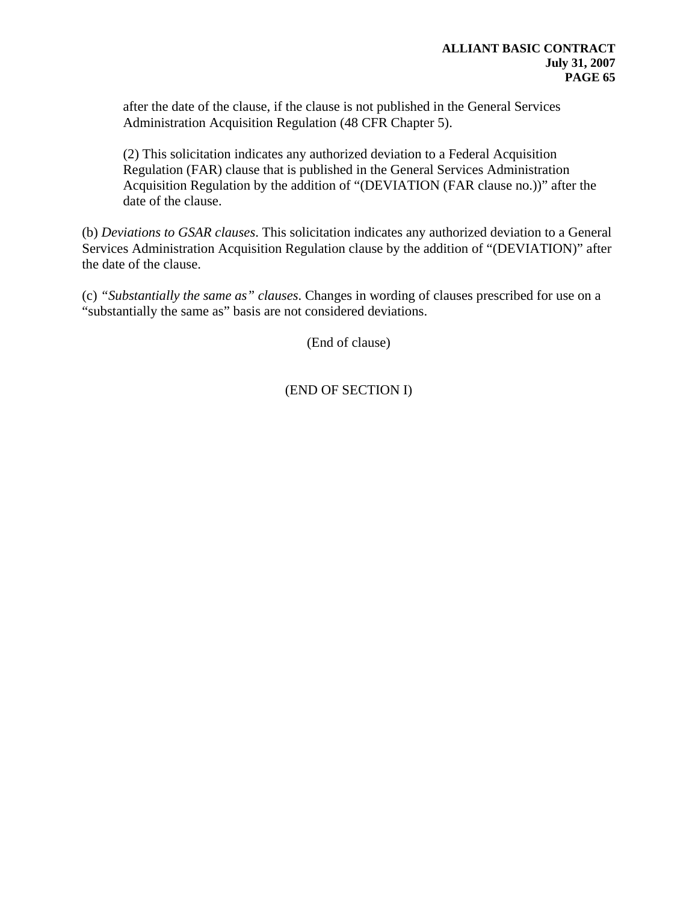after the date of the clause, if the clause is not published in the General Services Administration Acquisition Regulation (48 CFR Chapter 5).

(2) This solicitation indicates any authorized deviation to a Federal Acquisition Regulation (FAR) clause that is published in the General Services Administration Acquisition Regulation by the addition of "(DEVIATION (FAR clause no.))" after the date of the clause.

(b) *Deviations to GSAR clauses*. This solicitation indicates any authorized deviation to a General Services Administration Acquisition Regulation clause by the addition of "(DEVIATION)" after the date of the clause.

(c) *"Substantially the same as" clauses*. Changes in wording of clauses prescribed for use on a "substantially the same as" basis are not considered deviations.

(End of clause)

(END OF SECTION I)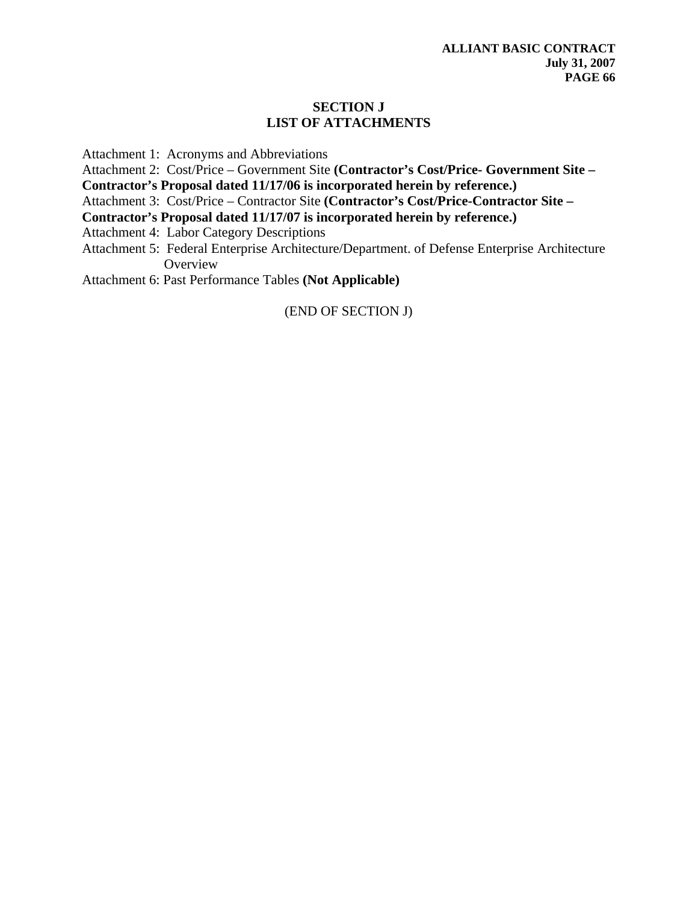# **SECTION J LIST OF ATTACHMENTS**

Attachment 1: Acronyms and Abbreviations

Attachment 2: Cost/Price – Government Site **(Contractor's Cost/Price- Government Site –** 

**Contractor's Proposal dated 11/17/06 is incorporated herein by reference.)** 

Attachment 3: Cost/Price – Contractor Site **(Contractor's Cost/Price-Contractor Site –** 

**Contractor's Proposal dated 11/17/07 is incorporated herein by reference.)** 

Attachment 4: Labor Category Descriptions

Attachment 5: Federal Enterprise Architecture/Department. of Defense Enterprise Architecture **Overview** 

Attachment 6: Past Performance Tables **(Not Applicable)** 

(END OF SECTION J)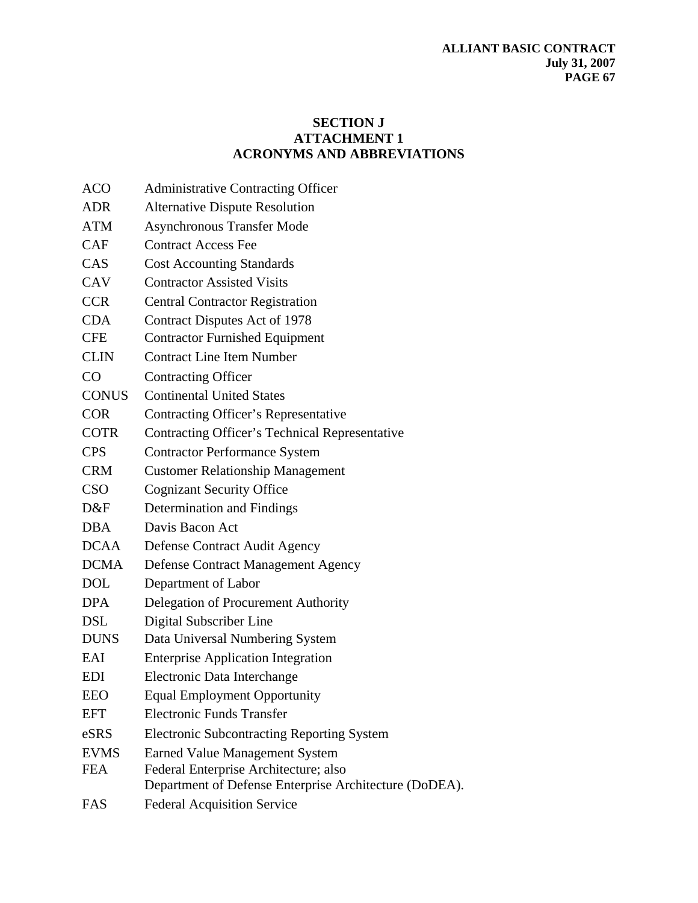# **SECTION J ATTACHMENT 1 ACRONYMS AND ABBREVIATIONS**

| <b>ACO</b>   | <b>Administrative Contracting Officer</b>                                                       |
|--------------|-------------------------------------------------------------------------------------------------|
| <b>ADR</b>   | <b>Alternative Dispute Resolution</b>                                                           |
| <b>ATM</b>   | <b>Asynchronous Transfer Mode</b>                                                               |
| CAF          | <b>Contract Access Fee</b>                                                                      |
| CAS          | <b>Cost Accounting Standards</b>                                                                |
| <b>CAV</b>   | <b>Contractor Assisted Visits</b>                                                               |
| <b>CCR</b>   | <b>Central Contractor Registration</b>                                                          |
| <b>CDA</b>   | Contract Disputes Act of 1978                                                                   |
| <b>CFE</b>   | <b>Contractor Furnished Equipment</b>                                                           |
| <b>CLIN</b>  | <b>Contract Line Item Number</b>                                                                |
| CO           | <b>Contracting Officer</b>                                                                      |
| <b>CONUS</b> | <b>Continental United States</b>                                                                |
| <b>COR</b>   | <b>Contracting Officer's Representative</b>                                                     |
| <b>COTR</b>  | Contracting Officer's Technical Representative                                                  |
| <b>CPS</b>   | <b>Contractor Performance System</b>                                                            |
| <b>CRM</b>   | <b>Customer Relationship Management</b>                                                         |
| <b>CSO</b>   | <b>Cognizant Security Office</b>                                                                |
| D&F          | Determination and Findings                                                                      |
| <b>DBA</b>   | Davis Bacon Act                                                                                 |
| <b>DCAA</b>  | Defense Contract Audit Agency                                                                   |
| <b>DCMA</b>  | <b>Defense Contract Management Agency</b>                                                       |
| <b>DOL</b>   | Department of Labor                                                                             |
| <b>DPA</b>   | Delegation of Procurement Authority                                                             |
| <b>DSL</b>   | Digital Subscriber Line                                                                         |
| <b>DUNS</b>  | Data Universal Numbering System                                                                 |
| EAI          | <b>Enterprise Application Integration</b>                                                       |
| <b>EDI</b>   | Electronic Data Interchange                                                                     |
| <b>EEO</b>   | <b>Equal Employment Opportunity</b>                                                             |
| <b>EFT</b>   | <b>Electronic Funds Transfer</b>                                                                |
| eSRS         | <b>Electronic Subcontracting Reporting System</b>                                               |
| <b>EVMS</b>  | <b>Earned Value Management System</b>                                                           |
| <b>FEA</b>   | Federal Enterprise Architecture; also<br>Department of Defense Enterprise Architecture (DoDEA). |
| FAS          | <b>Federal Acquisition Service</b>                                                              |
|              |                                                                                                 |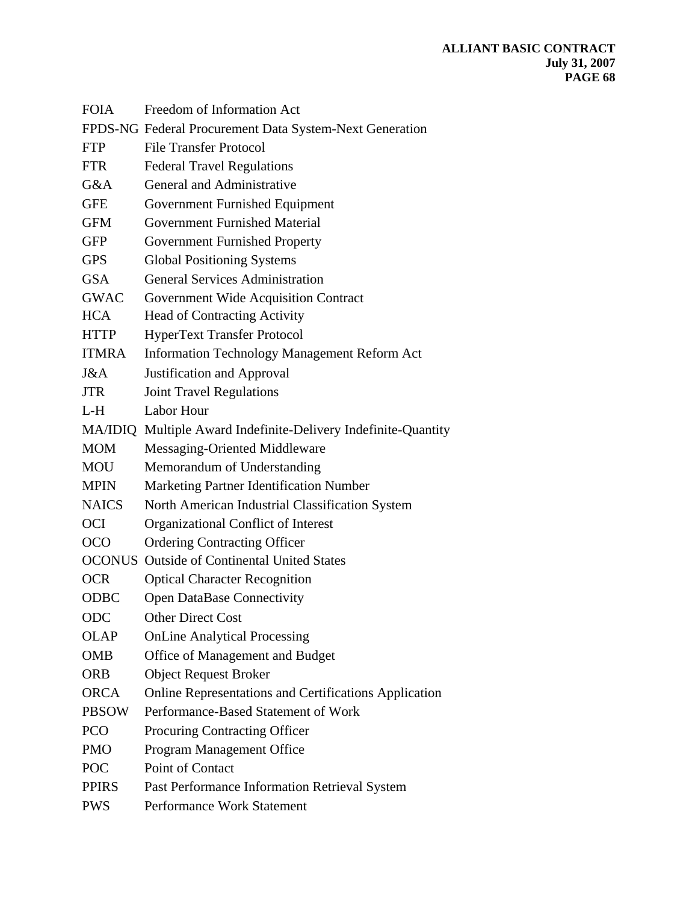| <b>FOIA</b>  | Freedom of Information Act                                     |
|--------------|----------------------------------------------------------------|
|              | FPDS-NG Federal Procurement Data System-Next Generation        |
| <b>FTP</b>   | <b>File Transfer Protocol</b>                                  |
| <b>FTR</b>   | <b>Federal Travel Regulations</b>                              |
| G&A          | General and Administrative                                     |
| <b>GFE</b>   | Government Furnished Equipment                                 |
| <b>GFM</b>   | <b>Government Furnished Material</b>                           |
| <b>GFP</b>   | <b>Government Furnished Property</b>                           |
| <b>GPS</b>   | <b>Global Positioning Systems</b>                              |
| <b>GSA</b>   | <b>General Services Administration</b>                         |
| <b>GWAC</b>  | Government Wide Acquisition Contract                           |
| <b>HCA</b>   | <b>Head of Contracting Activity</b>                            |
| <b>HTTP</b>  | <b>HyperText Transfer Protocol</b>                             |
| <b>ITMRA</b> | <b>Information Technology Management Reform Act</b>            |
| J&A          | Justification and Approval                                     |
| <b>JTR</b>   | <b>Joint Travel Regulations</b>                                |
| $L-H$        | Labor Hour                                                     |
|              | MA/IDIQ Multiple Award Indefinite-Delivery Indefinite-Quantity |
| <b>MOM</b>   | Messaging-Oriented Middleware                                  |
| <b>MOU</b>   | Memorandum of Understanding                                    |
| <b>MPIN</b>  | Marketing Partner Identification Number                        |
| <b>NAICS</b> | North American Industrial Classification System                |
| <b>OCI</b>   | Organizational Conflict of Interest                            |
| <b>OCO</b>   | <b>Ordering Contracting Officer</b>                            |
|              | <b>OCONUS</b> Outside of Continental United States             |
| <b>OCR</b>   | <b>Optical Character Recognition</b>                           |
| <b>ODBC</b>  | <b>Open DataBase Connectivity</b>                              |
| ODC          | <b>Other Direct Cost</b>                                       |
| <b>OLAP</b>  | <b>OnLine Analytical Processing</b>                            |
| <b>OMB</b>   | Office of Management and Budget                                |
| <b>ORB</b>   | <b>Object Request Broker</b>                                   |
| <b>ORCA</b>  | Online Representations and Certifications Application          |
| <b>PBSOW</b> | Performance-Based Statement of Work                            |
| <b>PCO</b>   | Procuring Contracting Officer                                  |
| <b>PMO</b>   | Program Management Office                                      |
| <b>POC</b>   | Point of Contact                                               |
| <b>PPIRS</b> | Past Performance Information Retrieval System                  |
| <b>PWS</b>   | Performance Work Statement                                     |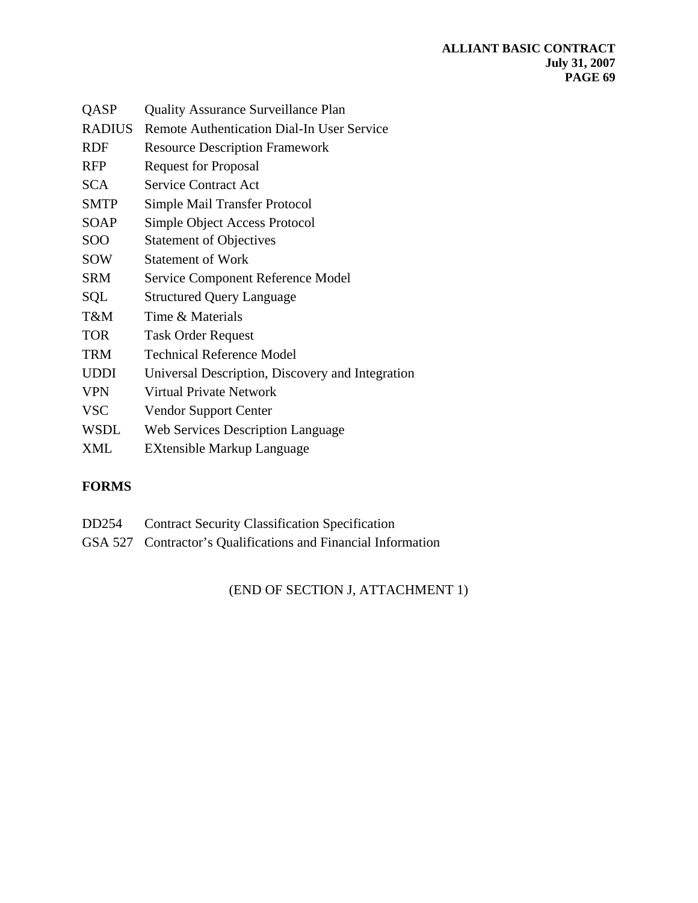| QASP          | <b>Quality Assurance Surveillance Plan</b>        |
|---------------|---------------------------------------------------|
| <b>RADIUS</b> | <b>Remote Authentication Dial-In User Service</b> |
| RDF           | <b>Resource Description Framework</b>             |
| <b>RFP</b>    | <b>Request for Proposal</b>                       |
| <b>SCA</b>    | <b>Service Contract Act</b>                       |
| <b>SMTP</b>   | Simple Mail Transfer Protocol                     |
| <b>SOAP</b>   | Simple Object Access Protocol                     |
| SOO           | <b>Statement of Objectives</b>                    |
| SOW           | <b>Statement of Work</b>                          |
| <b>SRM</b>    | Service Component Reference Model                 |
| SQL           | <b>Structured Query Language</b>                  |
| T&M           | Time & Materials                                  |
| <b>TOR</b>    | <b>Task Order Request</b>                         |
| <b>TRM</b>    | <b>Technical Reference Model</b>                  |
| <b>UDDI</b>   | Universal Description, Discovery and Integration  |
| <b>VPN</b>    | Virtual Private Network                           |
| <b>VSC</b>    | <b>Vendor Support Center</b>                      |
| <b>WSDL</b>   | <b>Web Services Description Language</b>          |
| <b>XML</b>    | EXtensible Markup Language                        |
|               |                                                   |

# **FORMS**

- DD254 Contract Security Classification Specification
- GSA 527 Contractor's Qualifications and Financial Information

(END OF SECTION J, ATTACHMENT 1)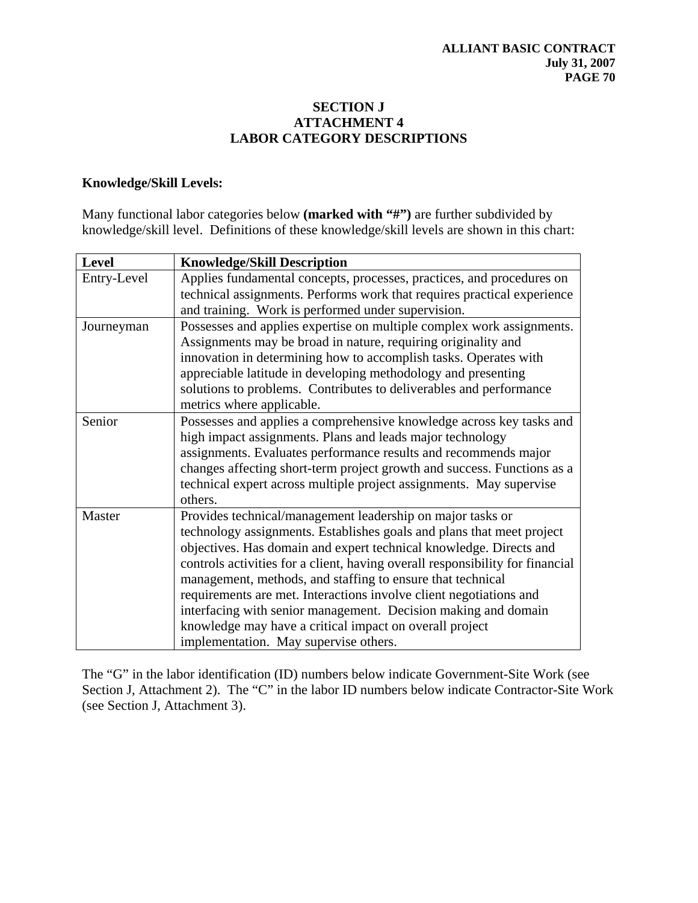### **SECTION J ATTACHMENT 4 LABOR CATEGORY DESCRIPTIONS**

### **Knowledge/Skill Levels:**

Many functional labor categories below **(marked with "#")** are further subdivided by knowledge/skill level. Definitions of these knowledge/skill levels are shown in this chart:

| <b>Level</b> | <b>Knowledge/Skill Description</b>                                                                                                                                                                                                                                                                                                                                                                                                                                                                                                                                                                   |
|--------------|------------------------------------------------------------------------------------------------------------------------------------------------------------------------------------------------------------------------------------------------------------------------------------------------------------------------------------------------------------------------------------------------------------------------------------------------------------------------------------------------------------------------------------------------------------------------------------------------------|
| Entry-Level  | Applies fundamental concepts, processes, practices, and procedures on<br>technical assignments. Performs work that requires practical experience<br>and training. Work is performed under supervision.                                                                                                                                                                                                                                                                                                                                                                                               |
| Journeyman   | Possesses and applies expertise on multiple complex work assignments.<br>Assignments may be broad in nature, requiring originality and<br>innovation in determining how to accomplish tasks. Operates with<br>appreciable latitude in developing methodology and presenting<br>solutions to problems. Contributes to deliverables and performance<br>metrics where applicable.                                                                                                                                                                                                                       |
| Senior       | Possesses and applies a comprehensive knowledge across key tasks and<br>high impact assignments. Plans and leads major technology<br>assignments. Evaluates performance results and recommends major<br>changes affecting short-term project growth and success. Functions as a<br>technical expert across multiple project assignments. May supervise<br>others.                                                                                                                                                                                                                                    |
| Master       | Provides technical/management leadership on major tasks or<br>technology assignments. Establishes goals and plans that meet project<br>objectives. Has domain and expert technical knowledge. Directs and<br>controls activities for a client, having overall responsibility for financial<br>management, methods, and staffing to ensure that technical<br>requirements are met. Interactions involve client negotiations and<br>interfacing with senior management. Decision making and domain<br>knowledge may have a critical impact on overall project<br>implementation. May supervise others. |

The "G" in the labor identification (ID) numbers below indicate Government-Site Work (see Section J, Attachment 2). The "C" in the labor ID numbers below indicate Contractor-Site Work (see Section J, Attachment 3).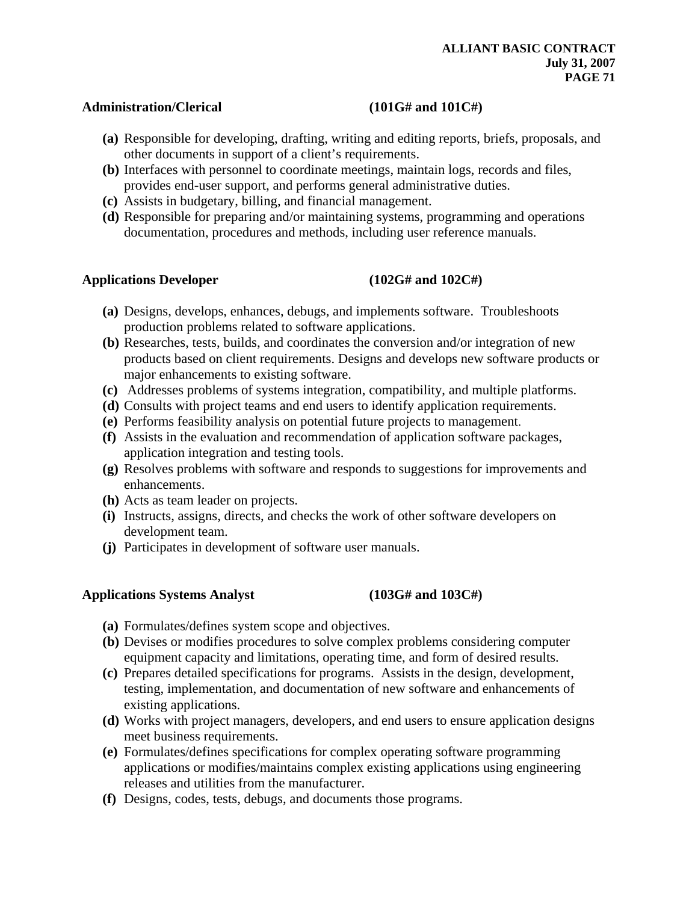#### Administration/Clerical (101G# and 101C#)

- **(a)** Responsible for developing, drafting, writing and editing reports, briefs, proposals, and other documents in support of a client's requirements.
- **(b)** Interfaces with personnel to coordinate meetings, maintain logs, records and files, provides end-user support, and performs general administrative duties.
- **(c)** Assists in budgetary, billing, and financial management.
- **(d)** Responsible for preparing and/or maintaining systems, programming and operations documentation, procedures and methods, including user reference manuals.

#### **Applications Developer (102G# and 102C#)**

- **(a)** Designs, develops, enhances, debugs, and implements software. Troubleshoots production problems related to software applications.
- **(b)** Researches, tests, builds, and coordinates the conversion and/or integration of new products based on client requirements. Designs and develops new software products or major enhancements to existing software.
- **(c)** Addresses problems of systems integration, compatibility, and multiple platforms.
- **(d)** Consults with project teams and end users to identify application requirements.
- **(e)** Performs feasibility analysis on potential future projects to management.
- **(f)** Assists in the evaluation and recommendation of application software packages, application integration and testing tools.
- **(g)** Resolves problems with software and responds to suggestions for improvements and enhancements.
- **(h)** Acts as team leader on projects.
- **(i)** Instructs, assigns, directs, and checks the work of other software developers on development team.
- **(j)** Participates in development of software user manuals.

#### **Applications Systems Analyst (103G# and 103C#)**

- **(a)** Formulates/defines system scope and objectives.
- **(b)** Devises or modifies procedures to solve complex problems considering computer equipment capacity and limitations, operating time, and form of desired results.
- **(c)** Prepares detailed specifications for programs. Assists in the design, development, testing, implementation, and documentation of new software and enhancements of existing applications.
- **(d)** Works with project managers, developers, and end users to ensure application designs meet business requirements.
- **(e)** Formulates/defines specifications for complex operating software programming applications or modifies/maintains complex existing applications using engineering releases and utilities from the manufacturer.
- **(f)** Designs, codes, tests, debugs, and documents those programs.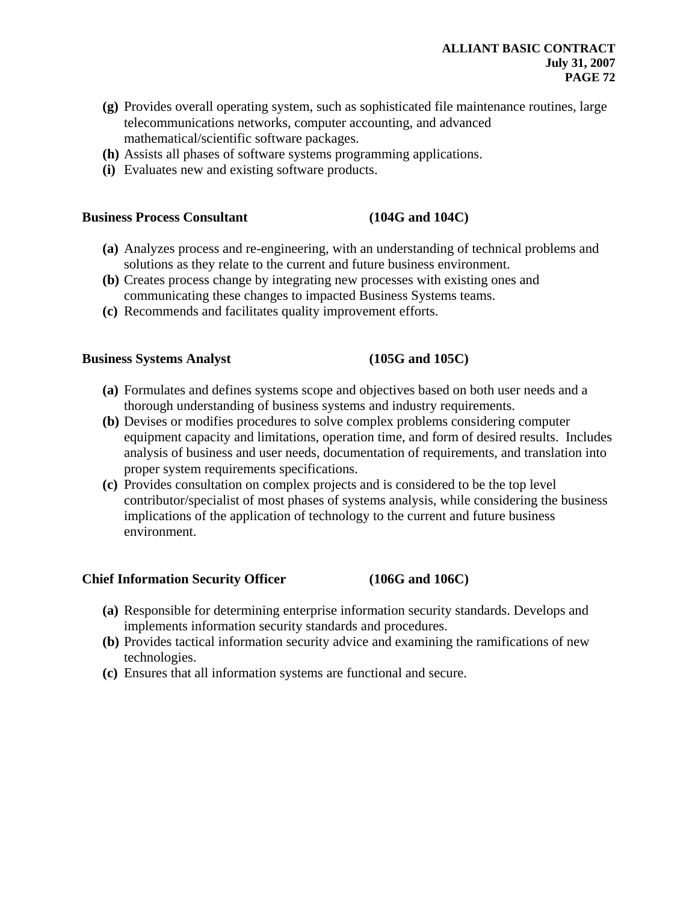#### **ALLIANT BASIC CONTRACT July 31, 2007 PAGE 72**

- **(g)** Provides overall operating system, such as sophisticated file maintenance routines, large telecommunications networks, computer accounting, and advanced mathematical/scientific software packages.
- **(h)** Assists all phases of software systems programming applications.
- **(i)** Evaluates new and existing software products.

#### **Business Process Consultant (104G and 104C)**

- **(a)** Analyzes process and re-engineering, with an understanding of technical problems and solutions as they relate to the current and future business environment.
- **(b)** Creates process change by integrating new processes with existing ones and communicating these changes to impacted Business Systems teams.
- **(c)** Recommends and facilitates quality improvement efforts.

#### **Business Systems Analyst (105G and 105C)**

- **(a)** Formulates and defines systems scope and objectives based on both user needs and a thorough understanding of business systems and industry requirements.
- **(b)** Devises or modifies procedures to solve complex problems considering computer equipment capacity and limitations, operation time, and form of desired results. Includes analysis of business and user needs, documentation of requirements, and translation into proper system requirements specifications.
- **(c)** Provides consultation on complex projects and is considered to be the top level contributor/specialist of most phases of systems analysis, while considering the business implications of the application of technology to the current and future business environment.

#### **Chief Information Security Officer (106G and 106C)**

- **(a)** Responsible for determining enterprise information security standards. Develops and implements information security standards and procedures.
- **(b)** Provides tactical information security advice and examining the ramifications of new technologies.
- **(c)** Ensures that all information systems are functional and secure.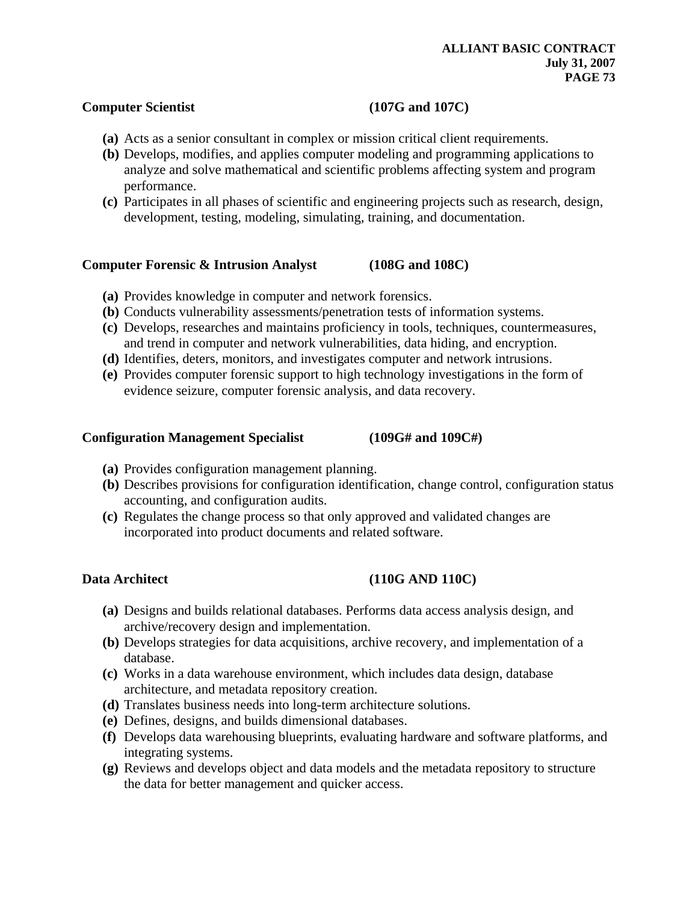### **Computer Scientist** (107G and 107C)

- **(a)** Acts as a senior consultant in complex or mission critical client requirements.
- **(b)** Develops, modifies, and applies computer modeling and programming applications to analyze and solve mathematical and scientific problems affecting system and program performance.
- **(c)** Participates in all phases of scientific and engineering projects such as research, design, development, testing, modeling, simulating, training, and documentation.

### **Computer Forensic & Intrusion Analyst (108G and 108C)**

- **(a)** Provides knowledge in computer and network forensics.
- **(b)** Conducts vulnerability assessments/penetration tests of information systems.
- **(c)** Develops, researches and maintains proficiency in tools, techniques, countermeasures, and trend in computer and network vulnerabilities, data hiding, and encryption.
- **(d)** Identifies, deters, monitors, and investigates computer and network intrusions.
- **(e)** Provides computer forensic support to high technology investigations in the form of evidence seizure, computer forensic analysis, and data recovery.

### **Configuration Management Specialist (109G# and 109C#)**

- **(a)** Provides configuration management planning.
- **(b)** Describes provisions for configuration identification, change control, configuration status accounting, and configuration audits.
- **(c)** Regulates the change process so that only approved and validated changes are incorporated into product documents and related software.

# Data Architect (110G AND 110C)

- **(a)** Designs and builds relational databases. Performs data access analysis design, and archive/recovery design and implementation.
- **(b)** Develops strategies for data acquisitions, archive recovery, and implementation of a database.
- **(c)** Works in a data warehouse environment, which includes data design, database architecture, and metadata repository creation.
- **(d)** Translates business needs into long-term architecture solutions.
- **(e)** Defines, designs, and builds dimensional databases.
- **(f)** Develops data warehousing blueprints, evaluating hardware and software platforms, and integrating systems.
- **(g)** Reviews and develops object and data models and the metadata repository to structure the data for better management and quicker access.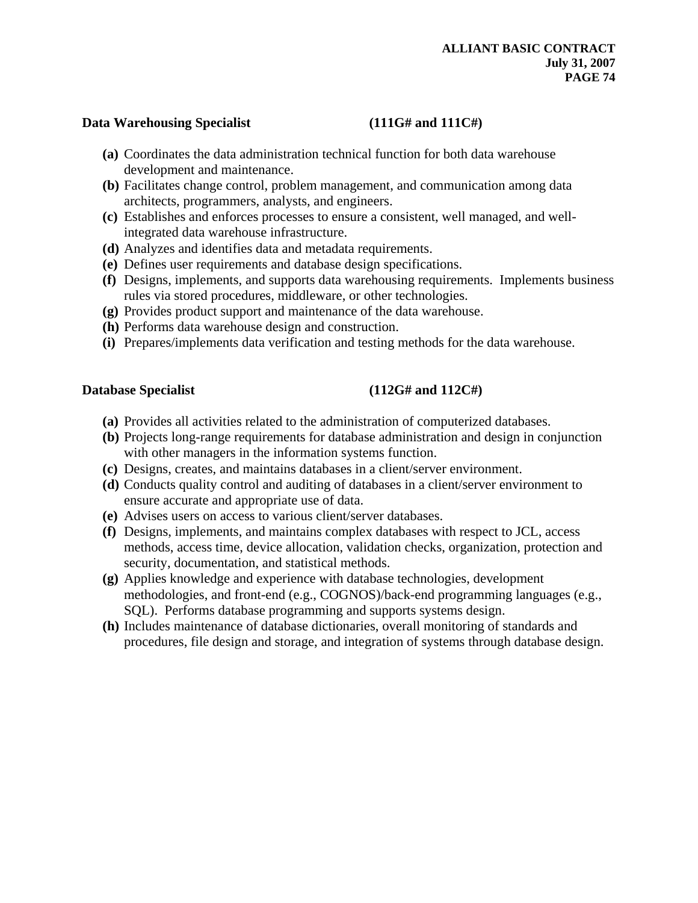### Data Warehousing Specialist **(111G# and 111C#)**

- **(a)** Coordinates the data administration technical function for both data warehouse development and maintenance.
- **(b)** Facilitates change control, problem management, and communication among data architects, programmers, analysts, and engineers.
- **(c)** Establishes and enforces processes to ensure a consistent, well managed, and wellintegrated data warehouse infrastructure.
- **(d)** Analyzes and identifies data and metadata requirements.
- **(e)** Defines user requirements and database design specifications.
- **(f)** Designs, implements, and supports data warehousing requirements. Implements business rules via stored procedures, middleware, or other technologies.
- **(g)** Provides product support and maintenance of the data warehouse.
- **(h)** Performs data warehouse design and construction.
- **(i)** Prepares/implements data verification and testing methods for the data warehouse.

### Database Specialist (112G# and 112C#)

- **(a)** Provides all activities related to the administration of computerized databases.
- **(b)** Projects long-range requirements for database administration and design in conjunction with other managers in the information systems function.
- **(c)** Designs, creates, and maintains databases in a client/server environment.
- **(d)** Conducts quality control and auditing of databases in a client/server environment to ensure accurate and appropriate use of data.
- **(e)** Advises users on access to various client/server databases.
- **(f)** Designs, implements, and maintains complex databases with respect to JCL, access methods, access time, device allocation, validation checks, organization, protection and security, documentation, and statistical methods.
- **(g)** Applies knowledge and experience with database technologies, development methodologies, and front-end (e.g., COGNOS)/back-end programming languages (e.g., SQL). Performs database programming and supports systems design.
- **(h)** Includes maintenance of database dictionaries, overall monitoring of standards and procedures, file design and storage, and integration of systems through database design.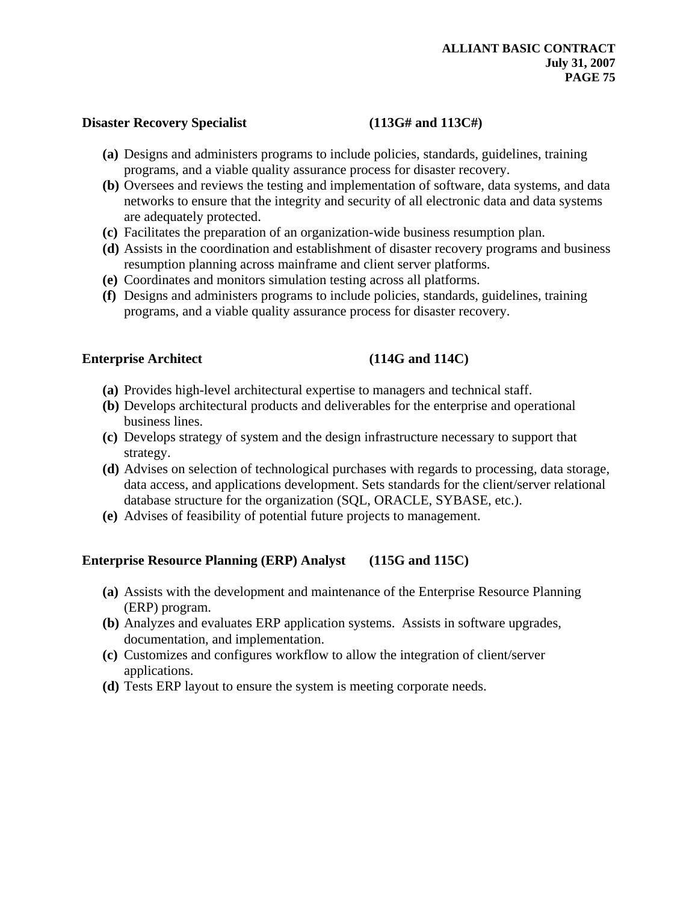### Disaster Recovery Specialist (113G# and 113C#)

- **(a)** Designs and administers programs to include policies, standards, guidelines, training programs, and a viable quality assurance process for disaster recovery.
- **(b)** Oversees and reviews the testing and implementation of software, data systems, and data networks to ensure that the integrity and security of all electronic data and data systems are adequately protected.
- **(c)** Facilitates the preparation of an organization-wide business resumption plan.
- **(d)** Assists in the coordination and establishment of disaster recovery programs and business resumption planning across mainframe and client server platforms.
- **(e)** Coordinates and monitors simulation testing across all platforms.
- **(f)** Designs and administers programs to include policies, standards, guidelines, training programs, and a viable quality assurance process for disaster recovery.

### **Enterprise Architect** (114G and 114C)

- **(a)** Provides high-level architectural expertise to managers and technical staff.
- **(b)** Develops architectural products and deliverables for the enterprise and operational business lines.
- **(c)** Develops strategy of system and the design infrastructure necessary to support that strategy.
- **(d)** Advises on selection of technological purchases with regards to processing, data storage, data access, and applications development. Sets standards for the client/server relational database structure for the organization (SQL, ORACLE, SYBASE, etc.).
- **(e)** Advises of feasibility of potential future projects to management.

## **Enterprise Resource Planning (ERP) Analyst (115G and 115C)**

- **(a)** Assists with the development and maintenance of the Enterprise Resource Planning (ERP) program.
- **(b)** Analyzes and evaluates ERP application systems. Assists in software upgrades, documentation, and implementation.
- **(c)** Customizes and configures workflow to allow the integration of client/server applications.
- **(d)** Tests ERP layout to ensure the system is meeting corporate needs.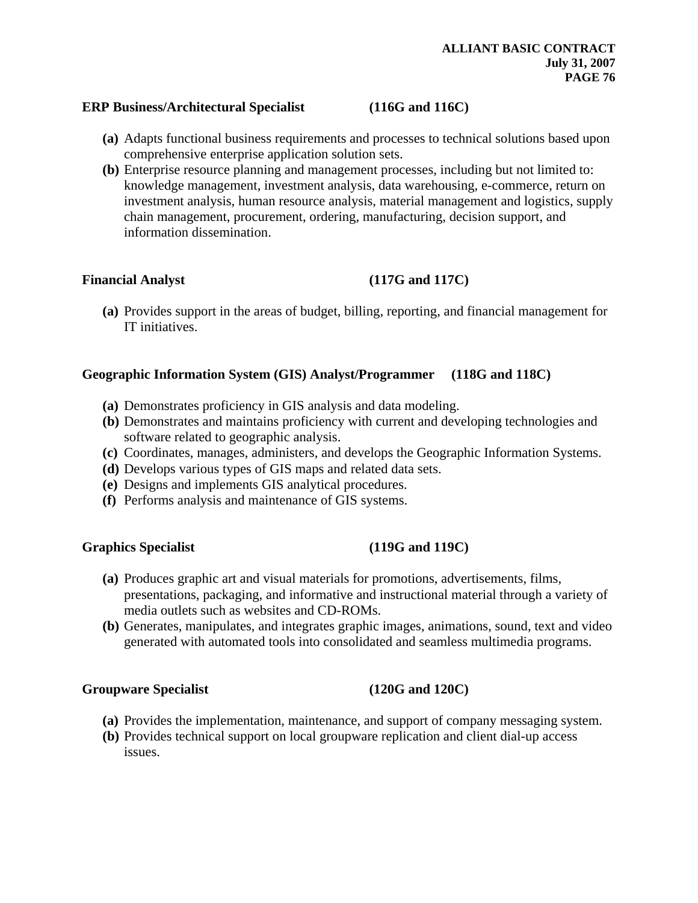### **ERP Business/Architectural Specialist (116G and 116C)**

- **(a)** Adapts functional business requirements and processes to technical solutions based upon comprehensive enterprise application solution sets.
- **(b)** Enterprise resource planning and management processes, including but not limited to: knowledge management, investment analysis, data warehousing, e-commerce, return on investment analysis, human resource analysis, material management and logistics, supply chain management, procurement, ordering, manufacturing, decision support, and information dissemination.

### Financial Analyst (117G and 117C)

**(a)** Provides support in the areas of budget, billing, reporting, and financial management for IT initiatives.

## **Geographic Information System (GIS) Analyst/Programmer (118G and 118C)**

- **(a)** Demonstrates proficiency in GIS analysis and data modeling.
- **(b)** Demonstrates and maintains proficiency with current and developing technologies and software related to geographic analysis.
- **(c)** Coordinates, manages, administers, and develops the Geographic Information Systems.
- **(d)** Develops various types of GIS maps and related data sets.
- **(e)** Designs and implements GIS analytical procedures.
- **(f)** Performs analysis and maintenance of GIS systems.

### Graphics Specialist (119G and 119C)

- **(a)** Produces graphic art and visual materials for promotions, advertisements, films, presentations, packaging, and informative and instructional material through a variety of media outlets such as websites and CD-ROMs.
- **(b)** Generates, manipulates, and integrates graphic images, animations, sound, text and video generated with automated tools into consolidated and seamless multimedia programs.

### **Groupware Specialist (120G and 120C)**

- **(a)** Provides the implementation, maintenance, and support of company messaging system.
- **(b)** Provides technical support on local groupware replication and client dial-up access issues.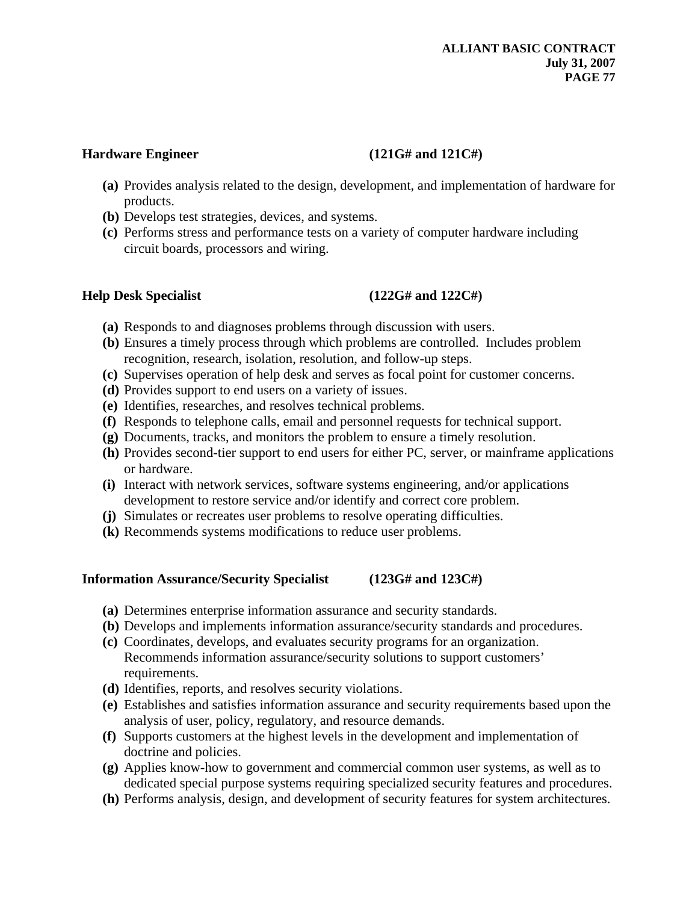## Hardware Engineer (121G# and 121C#)

- **(a)** Provides analysis related to the design, development, and implementation of hardware for products.
- **(b)** Develops test strategies, devices, and systems.
- **(c)** Performs stress and performance tests on a variety of computer hardware including circuit boards, processors and wiring.

# **Help Desk Specialist (122G# and 122C#)**

- **(a)** Responds to and diagnoses problems through discussion with users.
- **(b)** Ensures a timely process through which problems are controlled. Includes problem recognition, research, isolation, resolution, and follow-up steps.
- **(c)** Supervises operation of help desk and serves as focal point for customer concerns.
- **(d)** Provides support to end users on a variety of issues.
- **(e)** Identifies, researches, and resolves technical problems.
- **(f)** Responds to telephone calls, email and personnel requests for technical support.
- **(g)** Documents, tracks, and monitors the problem to ensure a timely resolution.
- **(h)** Provides second-tier support to end users for either PC, server, or mainframe applications or hardware.
- **(i)** Interact with network services, software systems engineering, and/or applications development to restore service and/or identify and correct core problem.
- **(j)** Simulates or recreates user problems to resolve operating difficulties.
- **(k)** Recommends systems modifications to reduce user problems.

# **Information Assurance/Security Specialist (123G# and 123C#)**

- **(a)** Determines enterprise information assurance and security standards.
- **(b)** Develops and implements information assurance/security standards and procedures.
- **(c)** Coordinates, develops, and evaluates security programs for an organization. Recommends information assurance/security solutions to support customers' requirements.
- **(d)** Identifies, reports, and resolves security violations.
- **(e)** Establishes and satisfies information assurance and security requirements based upon the analysis of user, policy, regulatory, and resource demands.
- **(f)** Supports customers at the highest levels in the development and implementation of doctrine and policies.
- **(g)** Applies know-how to government and commercial common user systems, as well as to dedicated special purpose systems requiring specialized security features and procedures.
- **(h)** Performs analysis, design, and development of security features for system architectures.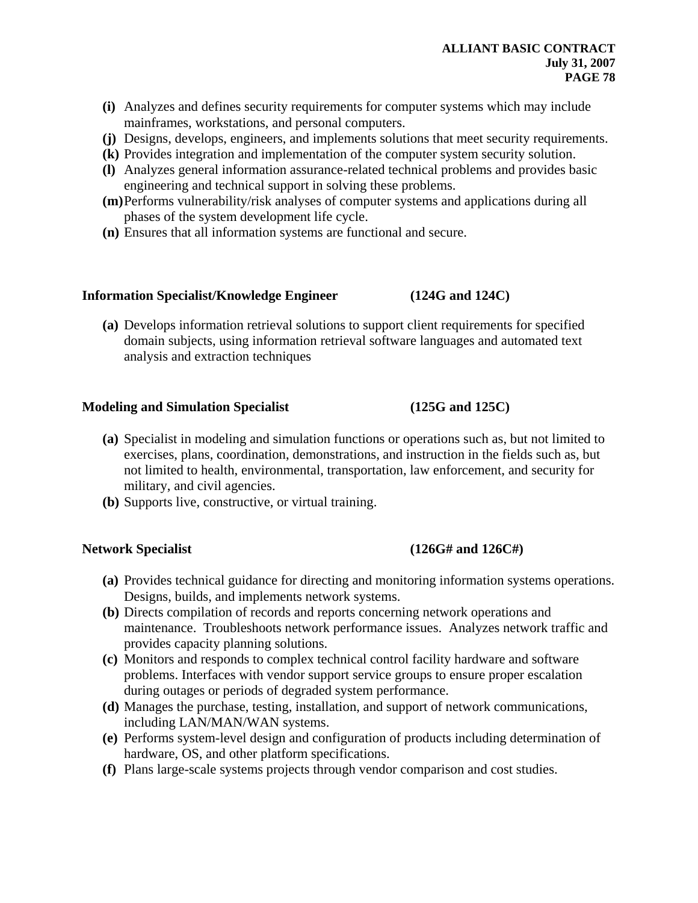- **(i)** Analyzes and defines security requirements for computer systems which may include mainframes, workstations, and personal computers.
- **(j)** Designs, develops, engineers, and implements solutions that meet security requirements.
- **(k)** Provides integration and implementation of the computer system security solution.
- **(l)** Analyzes general information assurance-related technical problems and provides basic engineering and technical support in solving these problems.
- **(m)**Performs vulnerability/risk analyses of computer systems and applications during all phases of the system development life cycle.
- **(n)** Ensures that all information systems are functional and secure.

### **Information Specialist/Knowledge Engineer (124G and 124C)**

**(a)** Develops information retrieval solutions to support client requirements for specified domain subjects, using information retrieval software languages and automated text analysis and extraction techniques

## **Modeling and Simulation Specialist (125G and 125C)**

- **(a)** Specialist in modeling and simulation functions or operations such as, but not limited to exercises, plans, coordination, demonstrations, and instruction in the fields such as, but not limited to health, environmental, transportation, law enforcement, and security for military, and civil agencies.
- **(b)** Supports live, constructive, or virtual training.

## Network Specialist (126G# and 126C#)

- **(a)** Provides technical guidance for directing and monitoring information systems operations. Designs, builds, and implements network systems.
- **(b)** Directs compilation of records and reports concerning network operations and maintenance. Troubleshoots network performance issues. Analyzes network traffic and provides capacity planning solutions.
- **(c)** Monitors and responds to complex technical control facility hardware and software problems. Interfaces with vendor support service groups to ensure proper escalation during outages or periods of degraded system performance.
- **(d)** Manages the purchase, testing, installation, and support of network communications, including LAN/MAN/WAN systems.
- **(e)** Performs system-level design and configuration of products including determination of hardware, OS, and other platform specifications.
- **(f)** Plans large-scale systems projects through vendor comparison and cost studies.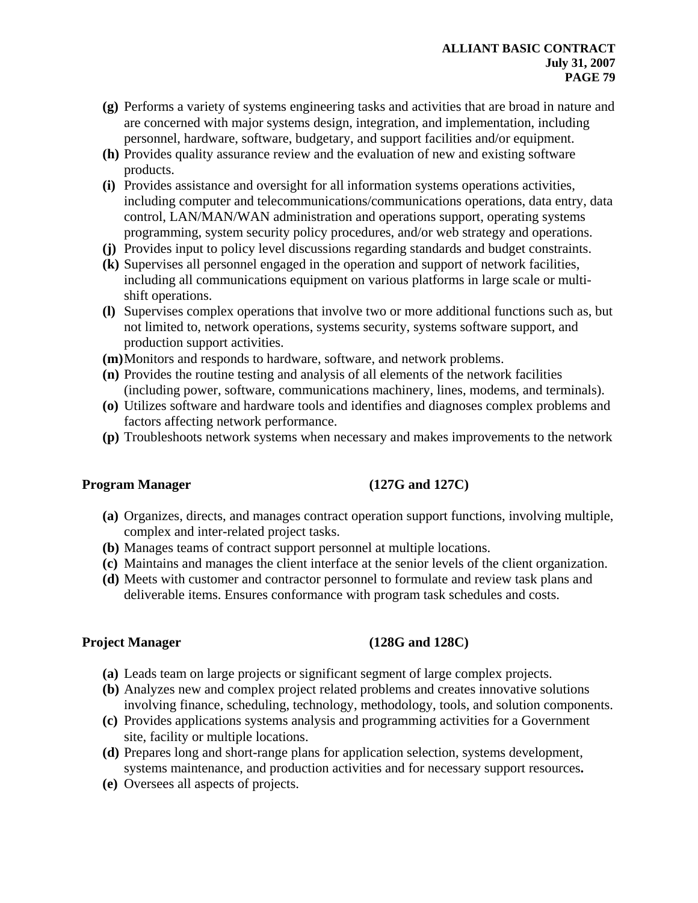- **(g)** Performs a variety of systems engineering tasks and activities that are broad in nature and are concerned with major systems design, integration, and implementation, including personnel, hardware, software, budgetary, and support facilities and/or equipment.
- **(h)** Provides quality assurance review and the evaluation of new and existing software products.
- **(i)** Provides assistance and oversight for all information systems operations activities, including computer and telecommunications/communications operations, data entry, data control, LAN/MAN/WAN administration and operations support, operating systems programming, system security policy procedures, and/or web strategy and operations.
- **(j)** Provides input to policy level discussions regarding standards and budget constraints.
- **(k)** Supervises all personnel engaged in the operation and support of network facilities, including all communications equipment on various platforms in large scale or multishift operations.
- **(l)** Supervises complex operations that involve two or more additional functions such as, but not limited to, network operations, systems security, systems software support, and production support activities.
- **(m)**Monitors and responds to hardware, software, and network problems.
- **(n)** Provides the routine testing and analysis of all elements of the network facilities (including power, software, communications machinery, lines, modems, and terminals).
- **(o)** Utilizes software and hardware tools and identifies and diagnoses complex problems and factors affecting network performance.
- **(p)** Troubleshoots network systems when necessary and makes improvements to the network

# **Program Manager** (127G and 127C)

- **(a)** Organizes, directs, and manages contract operation support functions, involving multiple, complex and inter-related project tasks.
- **(b)** Manages teams of contract support personnel at multiple locations.
- **(c)** Maintains and manages the client interface at the senior levels of the client organization.
- **(d)** Meets with customer and contractor personnel to formulate and review task plans and deliverable items. Ensures conformance with program task schedules and costs.

# **Project Manager** (128G and 128C)

- **(a)** Leads team on large projects or significant segment of large complex projects.
- **(b)** Analyzes new and complex project related problems and creates innovative solutions involving finance, scheduling, technology, methodology, tools, and solution components.
- **(c)** Provides applications systems analysis and programming activities for a Government site, facility or multiple locations.
- **(d)** Prepares long and short-range plans for application selection, systems development, systems maintenance, and production activities and for necessary support resources**.**
- **(e)** Oversees all aspects of projects.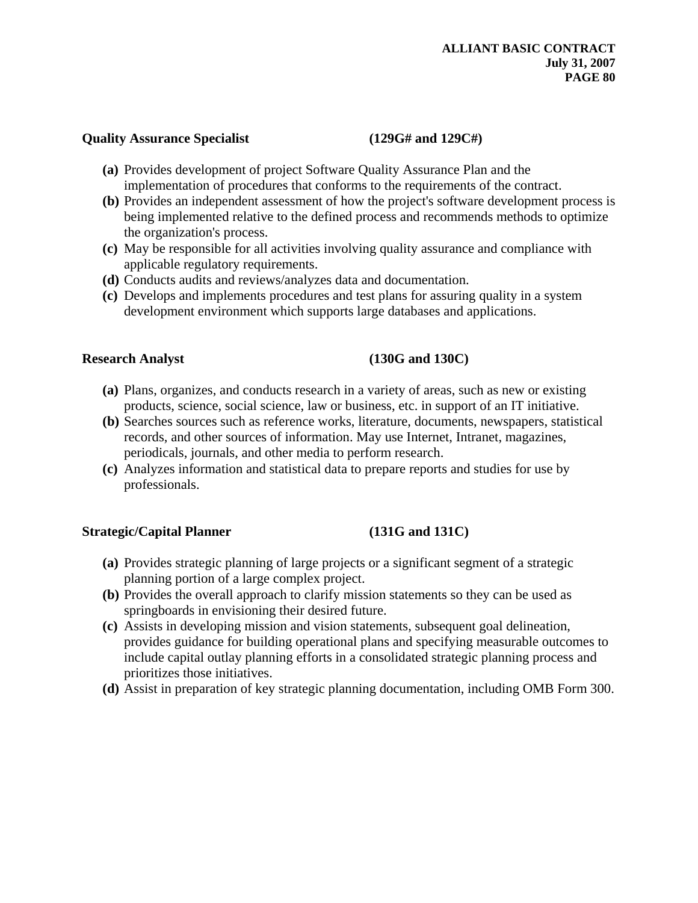### **Quality Assurance Specialist (129G# and 129C#)**

- **(a)** Provides development of project Software Quality Assurance Plan and the implementation of procedures that conforms to the requirements of the contract.
- **(b)** Provides an independent assessment of how the project's software development process is being implemented relative to the defined process and recommends methods to optimize the organization's process.
- **(c)** May be responsible for all activities involving quality assurance and compliance with applicable regulatory requirements.
- **(d)** Conducts audits and reviews/analyzes data and documentation.
- **(c)** Develops and implements procedures and test plans for assuring quality in a system development environment which supports large databases and applications.

## **Research Analyst** (130G and 130C)

- **(a)** Plans, organizes, and conducts research in a variety of areas, such as new or existing products, science, social science, law or business, etc. in support of an IT initiative.
- **(b)** Searches sources such as reference works, literature, documents, newspapers, statistical records, and other sources of information. May use Internet, Intranet, magazines, periodicals, journals, and other media to perform research.
- **(c)** Analyzes information and statistical data to prepare reports and studies for use by professionals.

## Strategic/Capital Planner (131G and 131C)

- **(a)** Provides strategic planning of large projects or a significant segment of a strategic planning portion of a large complex project.
- **(b)** Provides the overall approach to clarify mission statements so they can be used as springboards in envisioning their desired future.
- **(c)** Assists in developing mission and vision statements, subsequent goal delineation, provides guidance for building operational plans and specifying measurable outcomes to include capital outlay planning efforts in a consolidated strategic planning process and prioritizes those initiatives.
- **(d)** Assist in preparation of key strategic planning documentation, including OMB Form 300.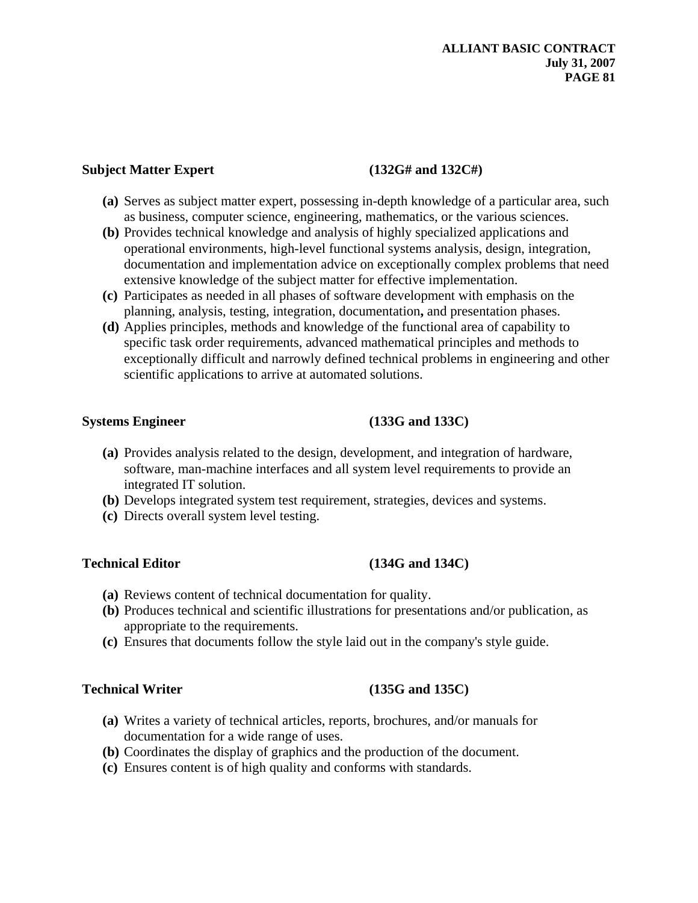## Subject Matter Expert (132G# and 132C#)

- **(a)** Serves as subject matter expert, possessing in-depth knowledge of a particular area, such as business, computer science, engineering, mathematics, or the various sciences.
- **(b)** Provides technical knowledge and analysis of highly specialized applications and operational environments, high-level functional systems analysis, design, integration, documentation and implementation advice on exceptionally complex problems that need extensive knowledge of the subject matter for effective implementation.
- **(c)** Participates as needed in all phases of software development with emphasis on the planning, analysis, testing, integration, documentation**,** and presentation phases.
- **(d)** Applies principles, methods and knowledge of the functional area of capability to specific task order requirements, advanced mathematical principles and methods to exceptionally difficult and narrowly defined technical problems in engineering and other scientific applications to arrive at automated solutions.

## **Systems Engineer** (133G and 133C)

- **(a)** Provides analysis related to the design, development, and integration of hardware, software, man-machine interfaces and all system level requirements to provide an integrated IT solution.
- **(b)** Develops integrated system test requirement, strategies, devices and systems.
- **(c)** Directs overall system level testing.

## Technical Editor (134G and 134C)

- **(a)** Reviews content of technical documentation for quality.
- **(b)** Produces technical and scientific illustrations for presentations and/or publication, as appropriate to the requirements.
- **(c)** Ensures that documents follow the style laid out in the company's style guide.

## Technical Writer (135G and 135C)

- **(a)** Writes a variety of technical articles, reports, brochures, and/or manuals for documentation for a wide range of uses.
- **(b)** Coordinates the display of graphics and the production of the document.
- **(c)** Ensures content is of high quality and conforms with standards.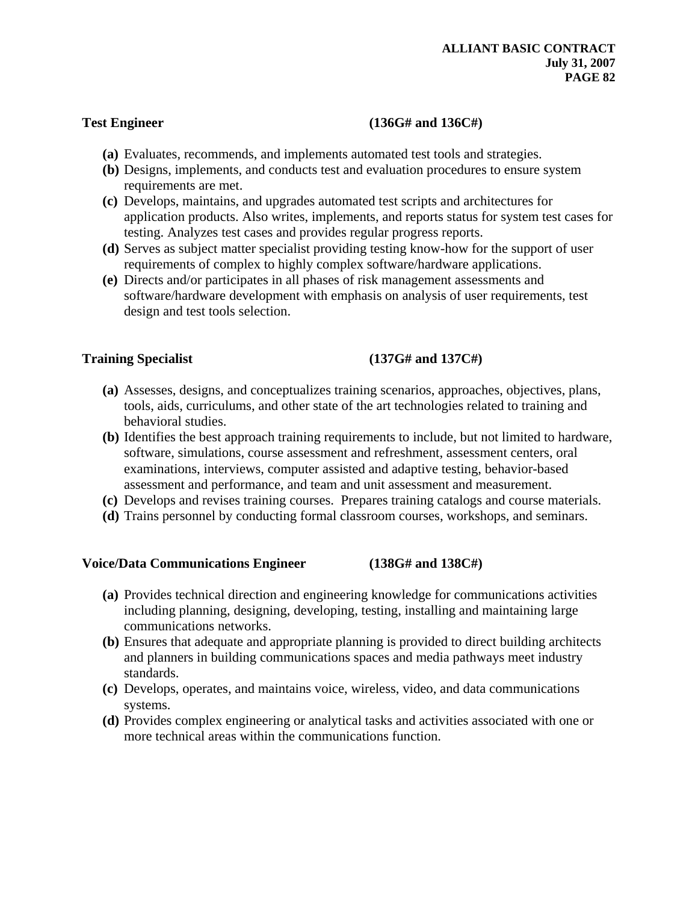## **Test Engineer (136G# and 136C#)**

- **(a)** Evaluates, recommends, and implements automated test tools and strategies.
- **(b)** Designs, implements, and conducts test and evaluation procedures to ensure system requirements are met.
- **(c)** Develops, maintains, and upgrades automated test scripts and architectures for application products. Also writes, implements, and reports status for system test cases for testing. Analyzes test cases and provides regular progress reports.
- **(d)** Serves as subject matter specialist providing testing know-how for the support of user requirements of complex to highly complex software/hardware applications.
- **(e)** Directs and/or participates in all phases of risk management assessments and software/hardware development with emphasis on analysis of user requirements, test design and test tools selection.

# **Training Specialist (137G# and 137C#)**

- **(a)** Assesses, designs, and conceptualizes training scenarios, approaches, objectives, plans, tools, aids, curriculums, and other state of the art technologies related to training and behavioral studies.
- **(b)** Identifies the best approach training requirements to include, but not limited to hardware, software, simulations, course assessment and refreshment, assessment centers, oral examinations, interviews, computer assisted and adaptive testing, behavior-based assessment and performance, and team and unit assessment and measurement.
- **(c)** Develops and revises training courses. Prepares training catalogs and course materials.
- **(d)** Trains personnel by conducting formal classroom courses, workshops, and seminars.

## **Voice/Data Communications Engineer (138G# and 138C#)**

- **(a)** Provides technical direction and engineering knowledge for communications activities including planning, designing, developing, testing, installing and maintaining large communications networks.
- **(b)** Ensures that adequate and appropriate planning is provided to direct building architects and planners in building communications spaces and media pathways meet industry standards.
- **(c)** Develops, operates, and maintains voice, wireless, video, and data communications systems.
- **(d)** Provides complex engineering or analytical tasks and activities associated with one or more technical areas within the communications function.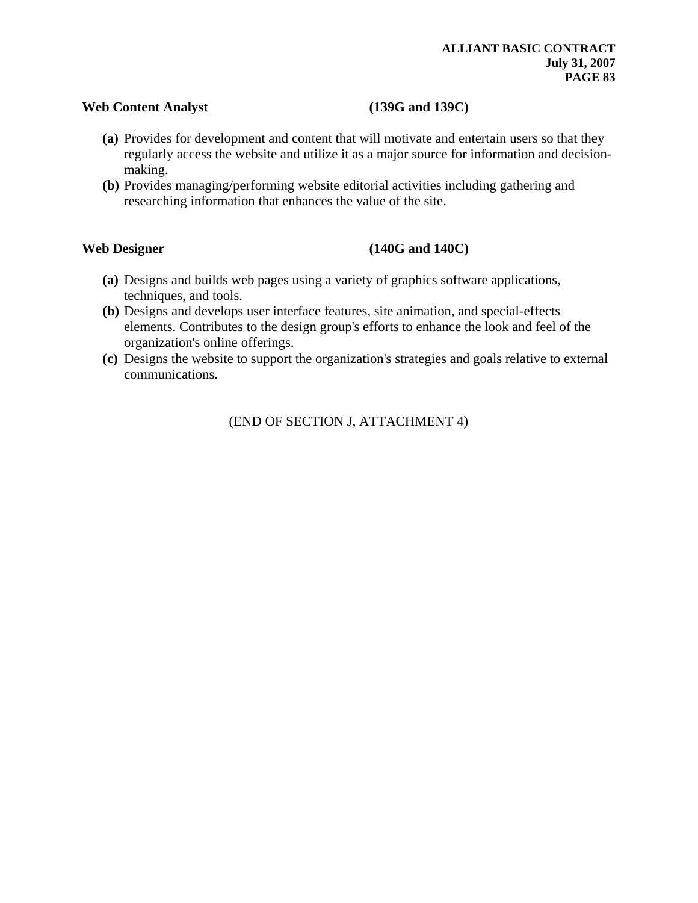### **Web Content Analyst (139G and 139C)**

- **(a)** Provides for development and content that will motivate and entertain users so that they regularly access the website and utilize it as a major source for information and decisionmaking.
- **(b)** Provides managing/performing website editorial activities including gathering and researching information that enhances the value of the site.

## Web Designer (140G and 140C)

- **(a)** Designs and builds web pages using a variety of graphics software applications, techniques, and tools.
- **(b)** Designs and develops user interface features, site animation, and special-effects elements. Contributes to the design group's efforts to enhance the look and feel of the organization's online offerings.
- **(c)** Designs the website to support the organization's strategies and goals relative to external communications.

(END OF SECTION J, ATTACHMENT 4)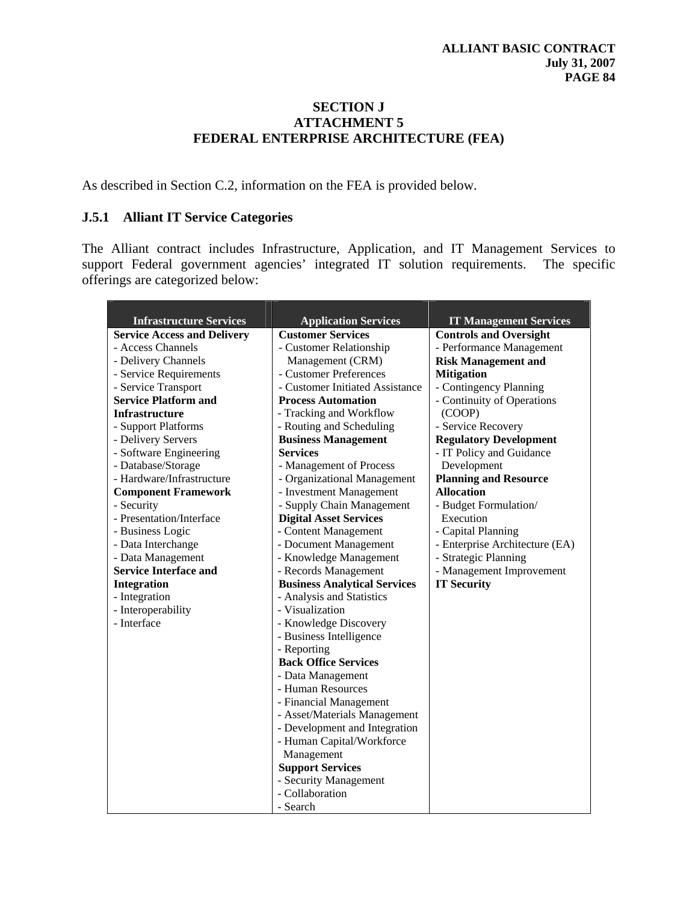## **SECTION J ATTACHMENT 5 FEDERAL ENTERPRISE ARCHITECTURE (FEA)**

As described in Section C.2, information on the FEA is provided below.

## **J.5.1 Alliant IT Service Categories**

The Alliant contract includes Infrastructure, Application, and IT Management Services to support Federal government agencies' integrated IT solution requirements. The specific offerings are categorized below:

| <b>Infrastructure Services</b>     | <b>Application Services</b>         | <b>IT Management Services</b>  |
|------------------------------------|-------------------------------------|--------------------------------|
| <b>Service Access and Delivery</b> | <b>Customer Services</b>            | <b>Controls and Oversight</b>  |
| - Access Channels                  | - Customer Relationship             | - Performance Management       |
| - Delivery Channels                | Management (CRM)                    | <b>Risk Management and</b>     |
| - Service Requirements             | - Customer Preferences              | <b>Mitigation</b>              |
| - Service Transport                | - Customer Initiated Assistance     | - Contingency Planning         |
| <b>Service Platform and</b>        | <b>Process Automation</b>           | - Continuity of Operations     |
| <b>Infrastructure</b>              | - Tracking and Workflow             | (COOP)                         |
| - Support Platforms                | - Routing and Scheduling            | - Service Recovery             |
| - Delivery Servers                 | <b>Business Management</b>          | <b>Regulatory Development</b>  |
| - Software Engineering             | <b>Services</b>                     | - IT Policy and Guidance       |
| - Database/Storage                 | - Management of Process             | Development                    |
| - Hardware/Infrastructure          | - Organizational Management         | <b>Planning and Resource</b>   |
| <b>Component Framework</b>         | - Investment Management             | <b>Allocation</b>              |
| - Security                         | - Supply Chain Management           | - Budget Formulation/          |
| - Presentation/Interface           | <b>Digital Asset Services</b>       | Execution                      |
| - Business Logic                   | - Content Management                | - Capital Planning             |
| - Data Interchange                 | - Document Management               | - Enterprise Architecture (EA) |
| - Data Management                  | - Knowledge Management              | - Strategic Planning           |
| <b>Service Interface and</b>       | - Records Management                | - Management Improvement       |
| <b>Integration</b>                 | <b>Business Analytical Services</b> | <b>IT Security</b>             |
| - Integration                      | - Analysis and Statistics           |                                |
| - Interoperability                 | - Visualization                     |                                |
| - Interface                        | - Knowledge Discovery               |                                |
|                                    | - Business Intelligence             |                                |
|                                    | - Reporting                         |                                |
|                                    | <b>Back Office Services</b>         |                                |
|                                    | - Data Management                   |                                |
|                                    | - Human Resources                   |                                |
|                                    | - Financial Management              |                                |
|                                    | - Asset/Materials Management        |                                |
|                                    | - Development and Integration       |                                |
|                                    | - Human Capital/Workforce           |                                |
|                                    | Management                          |                                |
|                                    | <b>Support Services</b>             |                                |
|                                    | - Security Management               |                                |
|                                    | - Collaboration                     |                                |
|                                    | - Search                            |                                |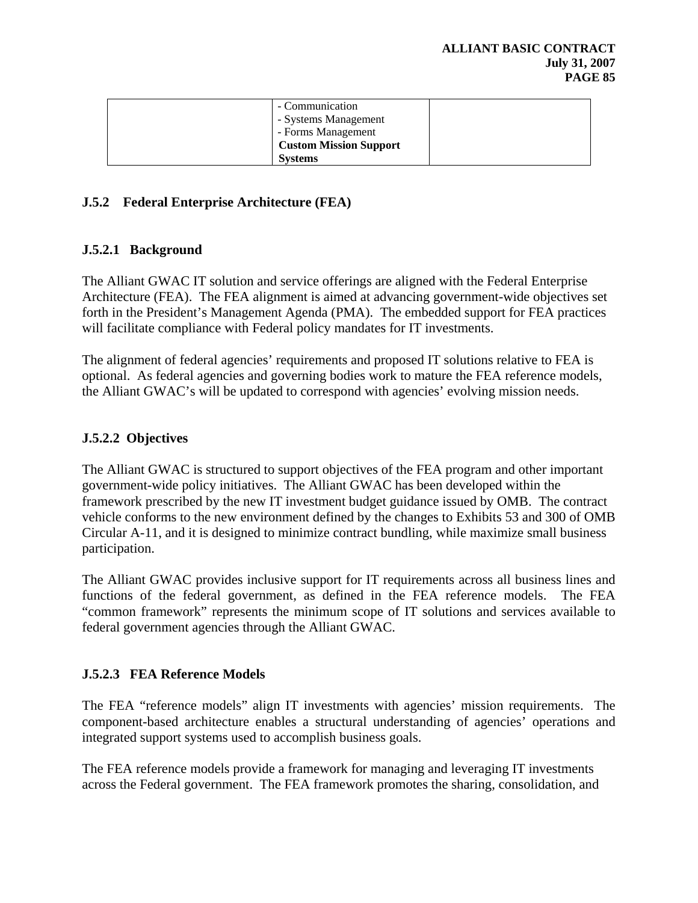| - Communication<br>- Systems Management |  |
|-----------------------------------------|--|
| - Forms Management                      |  |
| <b>Custom Mission Support</b>           |  |
| <b>Systems</b>                          |  |

## **J.5.2 Federal Enterprise Architecture (FEA)**

## **J.5.2.1 Background**

The Alliant GWAC IT solution and service offerings are aligned with the Federal Enterprise Architecture (FEA). The FEA alignment is aimed at advancing government-wide objectives set forth in the President's Management Agenda (PMA). The embedded support for FEA practices will facilitate compliance with Federal policy mandates for IT investments.

The alignment of federal agencies' requirements and proposed IT solutions relative to FEA is optional. As federal agencies and governing bodies work to mature the FEA reference models, the Alliant GWAC's will be updated to correspond with agencies' evolving mission needs.

# **J.5.2.2 Objectives**

The Alliant GWAC is structured to support objectives of the FEA program and other important government-wide policy initiatives. The Alliant GWAC has been developed within the framework prescribed by the new IT investment budget guidance issued by OMB. The contract vehicle conforms to the new environment defined by the changes to Exhibits 53 and 300 of OMB Circular A-11, and it is designed to minimize contract bundling, while maximize small business participation.

The Alliant GWAC provides inclusive support for IT requirements across all business lines and functions of the federal government, as defined in the FEA reference models. The FEA "common framework" represents the minimum scope of IT solutions and services available to federal government agencies through the Alliant GWAC.

# **J.5.2.3 FEA Reference Models**

The FEA "reference models" align IT investments with agencies' mission requirements. The component-based architecture enables a structural understanding of agencies' operations and integrated support systems used to accomplish business goals.

The FEA reference models provide a framework for managing and leveraging IT investments across the Federal government. The FEA framework promotes the sharing, consolidation, and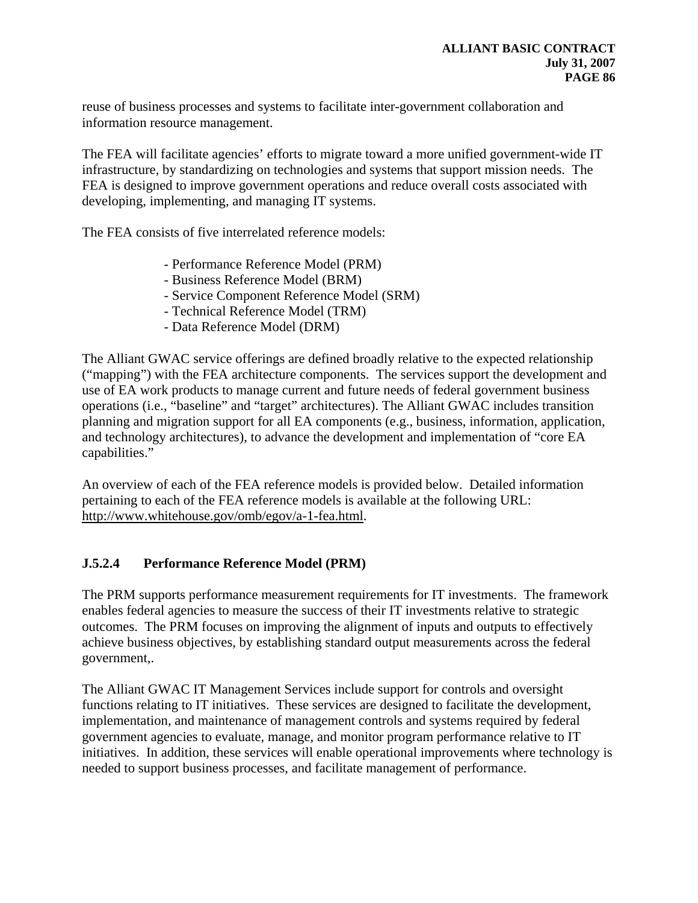reuse of business processes and systems to facilitate inter-government collaboration and information resource management.

The FEA will facilitate agencies' efforts to migrate toward a more unified government-wide IT infrastructure, by standardizing on technologies and systems that support mission needs. The FEA is designed to improve government operations and reduce overall costs associated with developing, implementing, and managing IT systems.

The FEA consists of five interrelated reference models:

- Performance Reference Model (PRM)
- Business Reference Model (BRM)
- Service Component Reference Model (SRM)
- Technical Reference Model (TRM)
- Data Reference Model (DRM)

The Alliant GWAC service offerings are defined broadly relative to the expected relationship ("mapping") with the FEA architecture components. The services support the development and use of EA work products to manage current and future needs of federal government business operations (i.e., "baseline" and "target" architectures). The Alliant GWAC includes transition planning and migration support for all EA components (e.g., business, information, application, and technology architectures), to advance the development and implementation of "core EA capabilities."

An overview of each of the FEA reference models is provided below. Detailed information pertaining to each of the FEA reference models is available at the following URL: [http://www.whitehouse.gov/omb/egov/a-1-fea.html.](http://www.whitehouse.gov/omb/egov/a-1-fea.html)

# **J.5.2.4 Performance Reference Model (PRM)**

The PRM supports performance measurement requirements for IT investments. The framework enables federal agencies to measure the success of their IT investments relative to strategic outcomes. The PRM focuses on improving the alignment of inputs and outputs to effectively achieve business objectives, by establishing standard output measurements across the federal government,.

The Alliant GWAC IT Management Services include support for controls and oversight functions relating to IT initiatives. These services are designed to facilitate the development, implementation, and maintenance of management controls and systems required by federal government agencies to evaluate, manage, and monitor program performance relative to IT initiatives. In addition, these services will enable operational improvements where technology is needed to support business processes, and facilitate management of performance.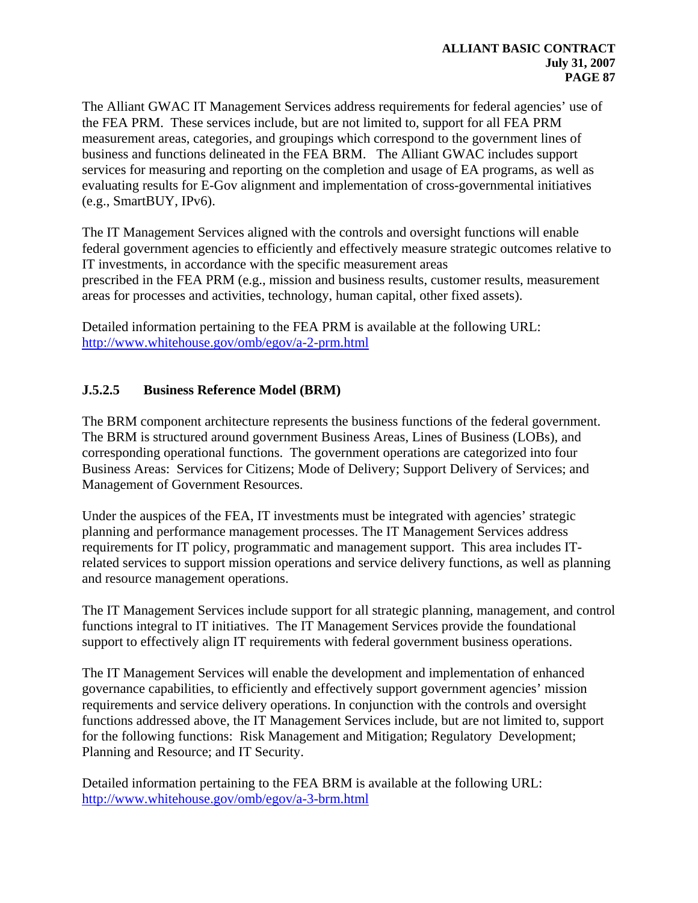The Alliant GWAC IT Management Services address requirements for federal agencies' use of the FEA PRM. These services include, but are not limited to, support for all FEA PRM measurement areas, categories, and groupings which correspond to the government lines of business and functions delineated in the FEA BRM. The Alliant GWAC includes support services for measuring and reporting on the completion and usage of EA programs, as well as evaluating results for E-Gov alignment and implementation of cross-governmental initiatives (e.g., SmartBUY, IPv6).

The IT Management Services aligned with the controls and oversight functions will enable federal government agencies to efficiently and effectively measure strategic outcomes relative to IT investments, in accordance with the specific measurement areas prescribed in the FEA PRM (e.g., mission and business results, customer results, measurement areas for processes and activities, technology, human capital, other fixed assets).

Detailed information pertaining to the FEA PRM is available at the following URL: <http://www.whitehouse.gov/omb/egov/a-2-prm.html>

## **J.5.2.5 Business Reference Model (BRM)**

The BRM component architecture represents the business functions of the federal government. The BRM is structured around government Business Areas, Lines of Business (LOBs), and corresponding operational functions. The government operations are categorized into four Business Areas: Services for Citizens; Mode of Delivery; Support Delivery of Services; and Management of Government Resources.

Under the auspices of the FEA, IT investments must be integrated with agencies' strategic planning and performance management processes. The IT Management Services address requirements for IT policy, programmatic and management support. This area includes ITrelated services to support mission operations and service delivery functions, as well as planning and resource management operations.

The IT Management Services include support for all strategic planning, management, and control functions integral to IT initiatives. The IT Management Services provide the foundational support to effectively align IT requirements with federal government business operations.

The IT Management Services will enable the development and implementation of enhanced governance capabilities, to efficiently and effectively support government agencies' mission requirements and service delivery operations. In conjunction with the controls and oversight functions addressed above, the IT Management Services include, but are not limited to, support for the following functions: Risk Management and Mitigation; Regulatory Development; Planning and Resource; and IT Security.

Detailed information pertaining to the FEA BRM is available at the following URL: <http://www.whitehouse.gov/omb/egov/a-3-brm.html>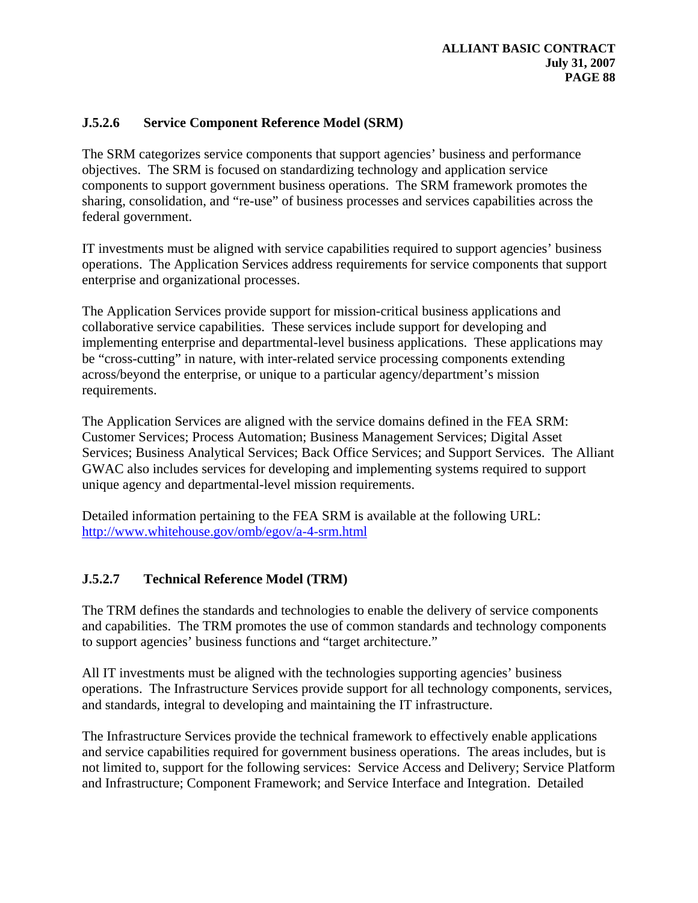# **J.5.2.6 Service Component Reference Model (SRM)**

The SRM categorizes service components that support agencies' business and performance objectives. The SRM is focused on standardizing technology and application service components to support government business operations. The SRM framework promotes the sharing, consolidation, and "re-use" of business processes and services capabilities across the federal government.

IT investments must be aligned with service capabilities required to support agencies' business operations. The Application Services address requirements for service components that support enterprise and organizational processes.

The Application Services provide support for mission-critical business applications and collaborative service capabilities. These services include support for developing and implementing enterprise and departmental-level business applications. These applications may be "cross-cutting" in nature, with inter-related service processing components extending across/beyond the enterprise, or unique to a particular agency/department's mission requirements.

The Application Services are aligned with the service domains defined in the FEA SRM: Customer Services; Process Automation; Business Management Services; Digital Asset Services; Business Analytical Services; Back Office Services; and Support Services. The Alliant GWAC also includes services for developing and implementing systems required to support unique agency and departmental-level mission requirements.

Detailed information pertaining to the FEA SRM is available at the following URL: <http://www.whitehouse.gov/omb/egov/a-4-srm.html>

# **J.5.2.7 Technical Reference Model (TRM)**

The TRM defines the standards and technologies to enable the delivery of service components and capabilities. The TRM promotes the use of common standards and technology components to support agencies' business functions and "target architecture."

All IT investments must be aligned with the technologies supporting agencies' business operations. The Infrastructure Services provide support for all technology components, services, and standards, integral to developing and maintaining the IT infrastructure.

The Infrastructure Services provide the technical framework to effectively enable applications and service capabilities required for government business operations. The areas includes, but is not limited to, support for the following services: Service Access and Delivery; Service Platform and Infrastructure; Component Framework; and Service Interface and Integration. Detailed